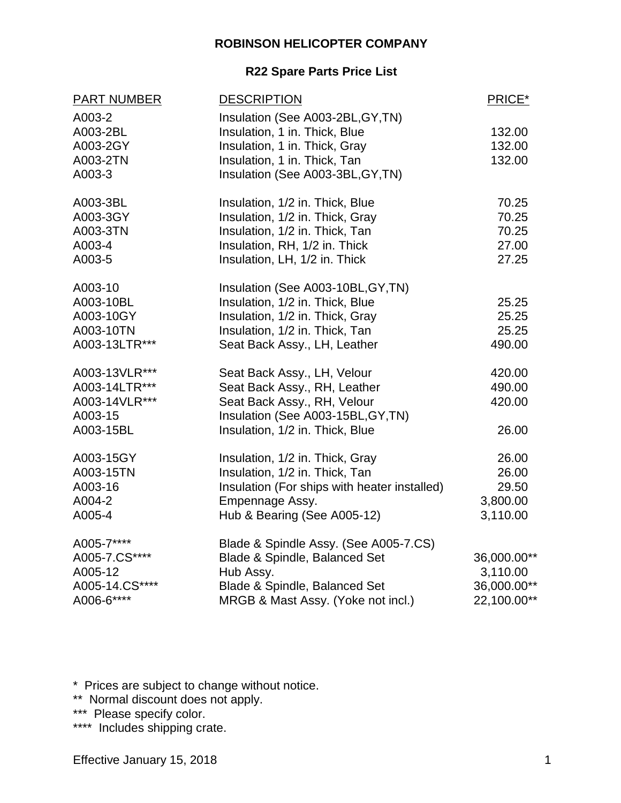#### **ROBINSON HELICOPTER COMPANY**

#### **R22 Spare Parts Price List**

| <b>PART NUMBER</b> | <b>DESCRIPTION</b>                           | PRICE*      |
|--------------------|----------------------------------------------|-------------|
| A003-2             | Insulation (See A003-2BL, GY, TN)            |             |
| A003-2BL           | Insulation, 1 in. Thick, Blue                | 132.00      |
| A003-2GY           | Insulation, 1 in. Thick, Gray                | 132.00      |
| A003-2TN           | Insulation, 1 in. Thick, Tan                 | 132.00      |
| A003-3             | Insulation (See A003-3BL, GY, TN)            |             |
| A003-3BL           | Insulation, 1/2 in. Thick, Blue              | 70.25       |
| A003-3GY           | Insulation, 1/2 in. Thick, Gray              | 70.25       |
| A003-3TN           | Insulation, 1/2 in. Thick, Tan               | 70.25       |
| A003-4             | Insulation, RH, 1/2 in. Thick                | 27.00       |
| A003-5             | Insulation, LH, 1/2 in. Thick                | 27.25       |
| A003-10            | Insulation (See A003-10BL, GY, TN)           |             |
| A003-10BL          | Insulation, 1/2 in. Thick, Blue              | 25.25       |
| A003-10GY          | Insulation, 1/2 in. Thick, Gray              | 25.25       |
| A003-10TN          | Insulation, 1/2 in. Thick, Tan               | 25.25       |
| A003-13LTR***      | Seat Back Assy., LH, Leather                 | 490.00      |
| A003-13VLR***      | Seat Back Assy., LH, Velour                  | 420.00      |
| A003-14LTR***      | Seat Back Assy., RH, Leather                 | 490.00      |
| A003-14VLR***      | Seat Back Assy., RH, Velour                  | 420.00      |
| A003-15            | Insulation (See A003-15BL, GY, TN)           |             |
| A003-15BL          | Insulation, 1/2 in. Thick, Blue              | 26.00       |
| A003-15GY          | Insulation, 1/2 in. Thick, Gray              | 26.00       |
| A003-15TN          | Insulation, 1/2 in. Thick, Tan               | 26.00       |
| A003-16            | Insulation (For ships with heater installed) | 29.50       |
| A004-2             | Empennage Assy.                              | 3,800.00    |
| A005-4             | Hub & Bearing (See A005-12)                  | 3,110.00    |
| A005-7****         | Blade & Spindle Assy. (See A005-7.CS)        |             |
| A005-7.CS****      | Blade & Spindle, Balanced Set                | 36,000.00** |
| A005-12            | Hub Assy.                                    | 3,110.00    |
| A005-14.CS****     | Blade & Spindle, Balanced Set                | 36,000.00** |
| A006-6****         | MRGB & Mast Assy. (Yoke not incl.)           | 22,100.00** |
|                    |                                              |             |

\* Prices are subject to change without notice.

\*\* Normal discount does not apply.

\*\*\* Please specify color.

\*\*\*\* Includes shipping crate.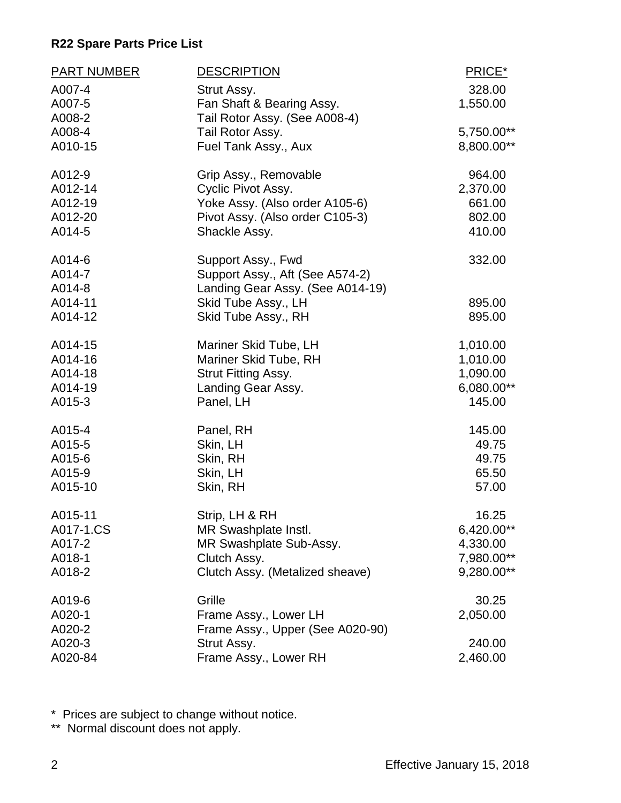| <b>PART NUMBER</b> | <b>DESCRIPTION</b>               | PRICE*     |
|--------------------|----------------------------------|------------|
| A007-4             | Strut Assy.                      | 328.00     |
| A007-5             | Fan Shaft & Bearing Assy.        | 1,550.00   |
| A008-2             | Tail Rotor Assy. (See A008-4)    |            |
| A008-4             | Tail Rotor Assy.                 | 5,750.00** |
| A010-15            | Fuel Tank Assy., Aux             | 8,800.00** |
| A012-9             | Grip Assy., Removable            | 964.00     |
| A012-14            | Cyclic Pivot Assy.               | 2,370.00   |
| A012-19            | Yoke Assy. (Also order A105-6)   | 661.00     |
| A012-20            | Pivot Assy. (Also order C105-3)  | 802.00     |
| A014-5             | Shackle Assy.                    | 410.00     |
| A014-6             | Support Assy., Fwd               | 332.00     |
| A014-7             | Support Assy., Aft (See A574-2)  |            |
| A014-8             | Landing Gear Assy. (See A014-19) |            |
| A014-11            | Skid Tube Assy., LH              | 895.00     |
| A014-12            | Skid Tube Assy., RH              | 895.00     |
| A014-15            | Mariner Skid Tube, LH            | 1,010.00   |
| A014-16            | Mariner Skid Tube, RH            | 1,010.00   |
| A014-18            | <b>Strut Fitting Assy.</b>       | 1,090.00   |
| A014-19            | Landing Gear Assy.               | 6,080.00** |
| A015-3             | Panel, LH                        | 145.00     |
| A015-4             | Panel, RH                        | 145.00     |
| A015-5             | Skin, LH                         | 49.75      |
| A015-6             | Skin, RH                         | 49.75      |
| A015-9             | Skin, LH                         | 65.50      |
| A015-10            | Skin, RH                         | 57.00      |
| A015-11            | Strip, LH & RH                   | 16.25      |
| A017-1.CS          | MR Swashplate Instl.             | 6,420.00** |
| A017-2             | MR Swashplate Sub-Assy.          | 4,330.00   |
| A018-1             | Clutch Assy.                     | 7,980.00** |
| A018-2             | Clutch Assy. (Metalized sheave)  | 9,280.00** |
| A019-6             | Grille                           | 30.25      |
| A020-1             | Frame Assy., Lower LH            | 2,050.00   |
| A020-2             | Frame Assy., Upper (See A020-90) |            |
| A020-3             | Strut Assy.                      | 240.00     |
| A020-84            | Frame Assy., Lower RH            | 2,460.00   |

\* Prices are subject to change without notice.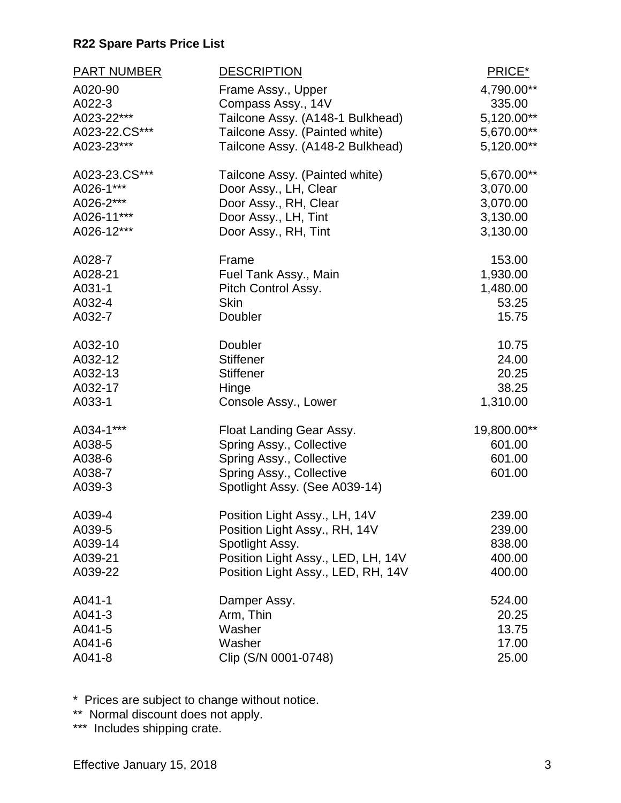| PART NUMBER   | <b>DESCRIPTION</b>                 | PRICE*       |
|---------------|------------------------------------|--------------|
| A020-90       | Frame Assy., Upper                 | 4,790.00**   |
| A022-3        | Compass Assy., 14V                 | 335.00       |
| A023-22***    | Tailcone Assy. (A148-1 Bulkhead)   | 5,120.00**   |
| A023-22.CS*** | Tailcone Assy. (Painted white)     | 5,670.00**   |
| A023-23***    | Tailcone Assy. (A148-2 Bulkhead)   | $5,120.00**$ |
| A023-23.CS*** | Tailcone Assy. (Painted white)     | 5,670.00**   |
| A026-1***     | Door Assy., LH, Clear              | 3,070.00     |
| A026-2***     | Door Assy., RH, Clear              | 3,070.00     |
| A026-11***    | Door Assy., LH, Tint               | 3,130.00     |
| A026-12***    | Door Assy., RH, Tint               | 3,130.00     |
| A028-7        | Frame                              | 153.00       |
| A028-21       | Fuel Tank Assy., Main              | 1,930.00     |
| A031-1        | Pitch Control Assy.                | 1,480.00     |
| A032-4        | <b>Skin</b>                        | 53.25        |
| A032-7        | Doubler                            | 15.75        |
| A032-10       | Doubler                            | 10.75        |
| A032-12       | <b>Stiffener</b>                   | 24.00        |
| A032-13       | <b>Stiffener</b>                   | 20.25        |
| A032-17       | Hinge                              | 38.25        |
| A033-1        | Console Assy., Lower               | 1,310.00     |
| A034-1***     | Float Landing Gear Assy.           | 19,800.00**  |
| A038-5        | Spring Assy., Collective           | 601.00       |
| A038-6        | Spring Assy., Collective           | 601.00       |
| A038-7        | Spring Assy., Collective           | 601.00       |
| A039-3        | Spotlight Assy. (See A039-14)      |              |
| A039-4        | Position Light Assy., LH, 14V      | 239.00       |
| A039-5        | Position Light Assy., RH, 14V      | 239.00       |
| A039-14       | Spotlight Assy.                    | 838.00       |
| A039-21       | Position Light Assy., LED, LH, 14V | 400.00       |
| A039-22       | Position Light Assy., LED, RH, 14V | 400.00       |
| A041-1        | Damper Assy.                       | 524.00       |
| A041-3        | Arm, Thin                          | 20.25        |
| A041-5        | Washer                             | 13.75        |
| A041-6        | Washer                             | 17.00        |
| A041-8        | Clip (S/N 0001-0748)               | 25.00        |

\* Prices are subject to change without notice.

\*\* Normal discount does not apply.

\*\*\* Includes shipping crate.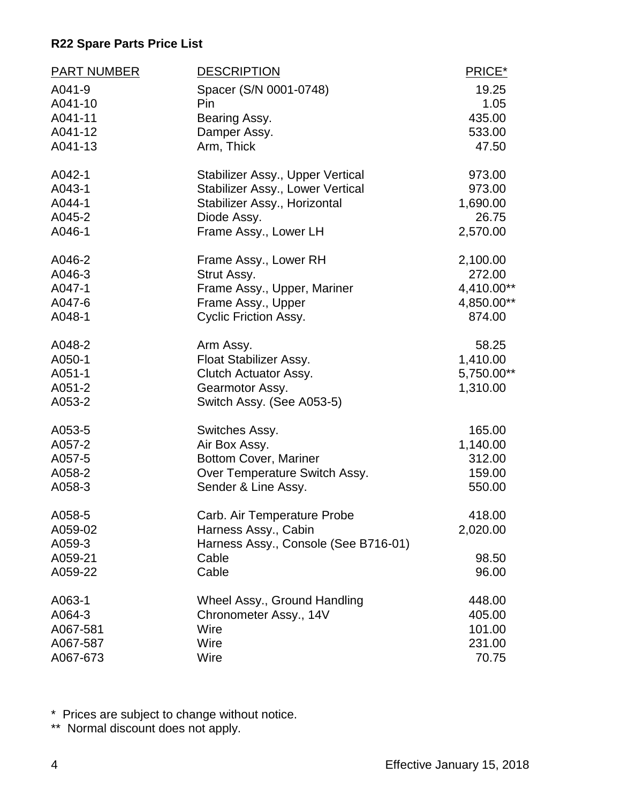| <b>PART NUMBER</b> | <b>DESCRIPTION</b>                   | PRICE*     |
|--------------------|--------------------------------------|------------|
| A041-9             | Spacer (S/N 0001-0748)               | 19.25      |
| A041-10            | Pin                                  | 1.05       |
| A041-11            | Bearing Assy.                        | 435.00     |
| A041-12            | Damper Assy.                         | 533.00     |
| A041-13            | Arm, Thick                           | 47.50      |
| A042-1             | Stabilizer Assy., Upper Vertical     | 973.00     |
| A043-1             | Stabilizer Assy., Lower Vertical     | 973.00     |
| A044-1             | Stabilizer Assy., Horizontal         | 1,690.00   |
| A045-2             | Diode Assy.                          | 26.75      |
| A046-1             | Frame Assy., Lower LH                | 2,570.00   |
| A046-2             | Frame Assy., Lower RH                | 2,100.00   |
| A046-3             | Strut Assy.                          | 272.00     |
| A047-1             | Frame Assy., Upper, Mariner          | 4,410.00** |
| A047-6             | Frame Assy., Upper                   | 4,850.00** |
| A048-1             | <b>Cyclic Friction Assy.</b>         | 874.00     |
| A048-2             | Arm Assy.                            | 58.25      |
| A050-1             | Float Stabilizer Assy.               | 1,410.00   |
| A051-1             | Clutch Actuator Assy.                | 5,750.00** |
| A051-2             | Gearmotor Assy.                      | 1,310.00   |
| A053-2             | Switch Assy. (See A053-5)            |            |
| A053-5             | Switches Assy.                       | 165.00     |
| A057-2             | Air Box Assy.                        | 1,140.00   |
| A057-5             | <b>Bottom Cover, Mariner</b>         | 312.00     |
| A058-2             | Over Temperature Switch Assy.        | 159.00     |
| A058-3             | Sender & Line Assy.                  | 550.00     |
| A058-5             | Carb. Air Temperature Probe          | 418.00     |
| A059-02            | Harness Assy., Cabin                 | 2,020.00   |
| A059-3             | Harness Assy., Console (See B716-01) |            |
| A059-21            | Cable                                | 98.50      |
| A059-22            | Cable                                | 96.00      |
| A063-1             | Wheel Assy., Ground Handling         | 448.00     |
| A064-3             | Chronometer Assy., 14V               | 405.00     |
| A067-581           | Wire                                 | 101.00     |
| A067-587           | Wire                                 | 231.00     |
| A067-673           | Wire                                 | 70.75      |

\* Prices are subject to change without notice.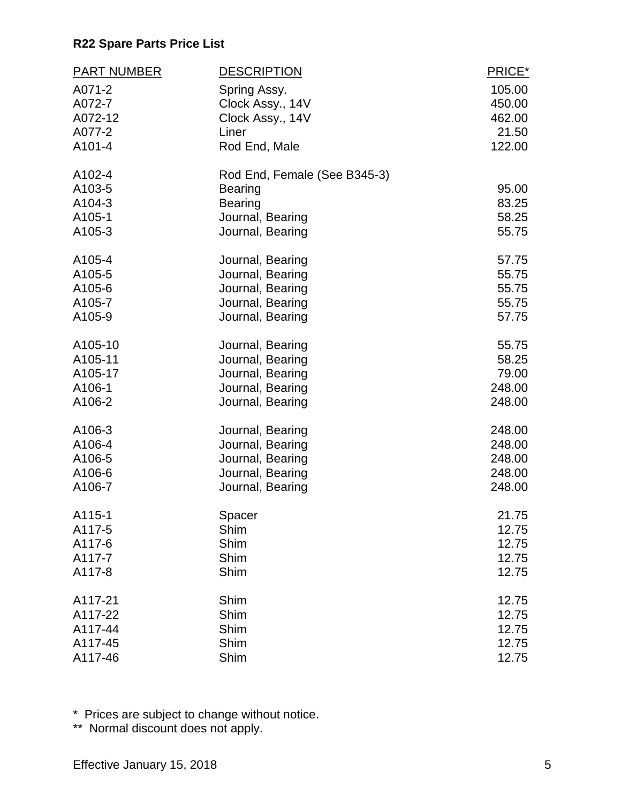| <b>PART NUMBER</b> | <b>DESCRIPTION</b>           | PRICE* |
|--------------------|------------------------------|--------|
| A071-2             | Spring Assy.                 | 105.00 |
| A072-7             | Clock Assy., 14V             | 450.00 |
| A072-12            | Clock Assy., 14V             | 462.00 |
| A077-2             | Liner                        | 21.50  |
| A101-4             | Rod End, Male                | 122.00 |
| A102-4             | Rod End, Female (See B345-3) |        |
| A103-5             | <b>Bearing</b>               | 95.00  |
| A104-3             | <b>Bearing</b>               | 83.25  |
| A105-1             | Journal, Bearing             | 58.25  |
| A105-3             | Journal, Bearing             | 55.75  |
| A105-4             | Journal, Bearing             | 57.75  |
| A105-5             | Journal, Bearing             | 55.75  |
| A105-6             | Journal, Bearing             | 55.75  |
| A105-7             | Journal, Bearing             | 55.75  |
| A105-9             | Journal, Bearing             | 57.75  |
| A105-10            | Journal, Bearing             | 55.75  |
| A105-11            | Journal, Bearing             | 58.25  |
| A105-17            | Journal, Bearing             | 79.00  |
| A106-1             | Journal, Bearing             | 248.00 |
| A106-2             | Journal, Bearing             | 248.00 |
| A106-3             | Journal, Bearing             | 248.00 |
| A106-4             | Journal, Bearing             | 248.00 |
| A106-5             | Journal, Bearing             | 248.00 |
| A106-6             | Journal, Bearing             | 248.00 |
| A106-7             | Journal, Bearing             | 248.00 |
| A115-1             | Spacer                       | 21.75  |
| A117-5             | Shim                         | 12.75  |
| A117-6             | Shim                         | 12.75  |
| A117-7             | Shim                         | 12.75  |
| A117-8             | Shim                         | 12.75  |
| A117-21            | Shim                         | 12.75  |
| A117-22            | Shim                         | 12.75  |
| A117-44            | Shim                         | 12.75  |
| A117-45            | Shim                         | 12.75  |
| A117-46            | Shim                         | 12.75  |

\* Prices are subject to change without notice.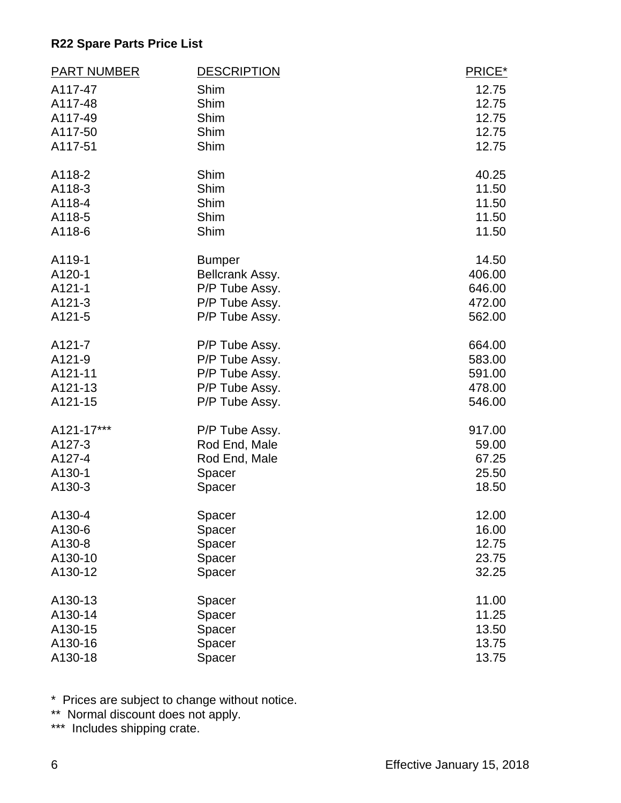| <b>PART NUMBER</b> | <b>DESCRIPTION</b> | PRICE* |
|--------------------|--------------------|--------|
| A117-47            | Shim               | 12.75  |
| A117-48            | Shim               | 12.75  |
| A117-49            | Shim               | 12.75  |
| A117-50            | Shim               | 12.75  |
| A117-51            | Shim               | 12.75  |
| A118-2             | Shim               | 40.25  |
| A118-3             | Shim               | 11.50  |
| A118-4             | Shim               | 11.50  |
| A118-5             | Shim               | 11.50  |
| A118-6             | Shim               | 11.50  |
| A119-1             | <b>Bumper</b>      | 14.50  |
| A120-1             | Bellcrank Assy.    | 406.00 |
| A121-1             | P/P Tube Assy.     | 646.00 |
| A121-3             | P/P Tube Assy.     | 472.00 |
| A121-5             | P/P Tube Assy.     | 562.00 |
| A121-7             | P/P Tube Assy.     | 664.00 |
| A121-9             | P/P Tube Assy.     | 583.00 |
| A121-11            | P/P Tube Assy.     | 591.00 |
| A121-13            | P/P Tube Assy.     | 478.00 |
| A121-15            | P/P Tube Assy.     | 546.00 |
| A121-17***         | P/P Tube Assy.     | 917.00 |
| A127-3             | Rod End, Male      | 59.00  |
| A127-4             | Rod End, Male      | 67.25  |
| A130-1             | Spacer             | 25.50  |
| A130-3             | Spacer             | 18.50  |
| A130-4             | Spacer             | 12.00  |
| A130-6             | Spacer             | 16.00  |
| A130-8             | Spacer             | 12.75  |
| A130-10            | Spacer             | 23.75  |
| A130-12            | Spacer             | 32.25  |
| A130-13            | Spacer             | 11.00  |
| A130-14            | Spacer             | 11.25  |
| A130-15            | Spacer             | 13.50  |
| A130-16            | Spacer             | 13.75  |
| A130-18            | Spacer             | 13.75  |

\* Prices are subject to change without notice.

\*\* Normal discount does not apply.

\*\*\* Includes shipping crate.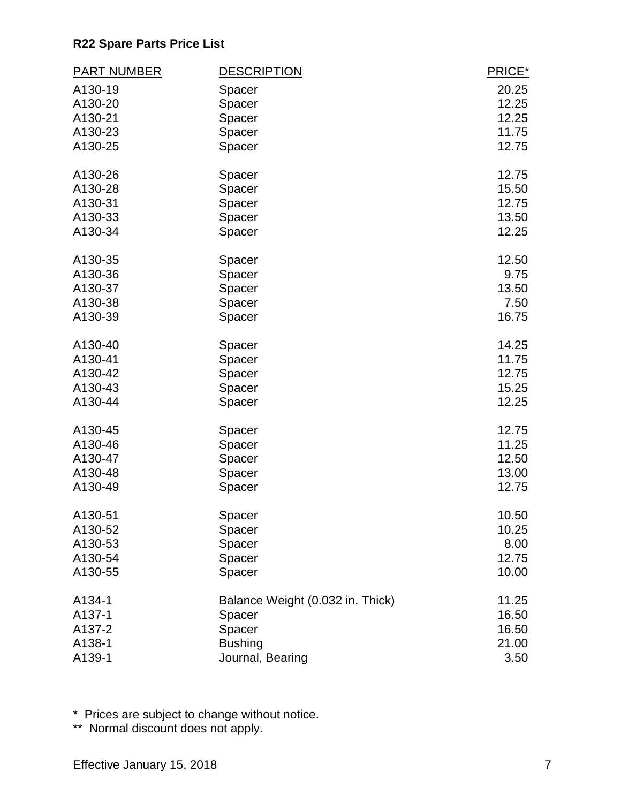| <b>PART NUMBER</b> | <b>DESCRIPTION</b>               | PRICE* |
|--------------------|----------------------------------|--------|
| A130-19            | Spacer                           | 20.25  |
| A130-20            | Spacer                           | 12.25  |
| A130-21            | Spacer                           | 12.25  |
| A130-23            | Spacer                           | 11.75  |
| A130-25            | Spacer                           | 12.75  |
| A130-26            | Spacer                           | 12.75  |
| A130-28            | Spacer                           | 15.50  |
| A130-31            | Spacer                           | 12.75  |
| A130-33            | Spacer                           | 13.50  |
| A130-34            | Spacer                           | 12.25  |
| A130-35            | Spacer                           | 12.50  |
| A130-36            | Spacer                           | 9.75   |
| A130-37            | Spacer                           | 13.50  |
| A130-38            | Spacer                           | 7.50   |
| A130-39            | Spacer                           | 16.75  |
| A130-40            | Spacer                           | 14.25  |
| A130-41            | Spacer                           | 11.75  |
| A130-42            | Spacer                           | 12.75  |
| A130-43            | Spacer                           | 15.25  |
| A130-44            | Spacer                           | 12.25  |
| A130-45            | Spacer                           | 12.75  |
| A130-46            | Spacer                           | 11.25  |
| A130-47            | Spacer                           | 12.50  |
| A130-48            | Spacer                           | 13.00  |
| A130-49            | Spacer                           | 12.75  |
| A130-51            | Spacer                           | 10.50  |
| A130-52            | Spacer                           | 10.25  |
| A130-53            | Spacer                           | 8.00   |
| A130-54            | Spacer                           | 12.75  |
| A130-55            | Spacer                           | 10.00  |
| A134-1             | Balance Weight (0.032 in. Thick) | 11.25  |
| A137-1             | Spacer                           | 16.50  |
| A137-2             | Spacer                           | 16.50  |
| A138-1             | <b>Bushing</b>                   | 21.00  |
| A139-1             | Journal, Bearing                 | 3.50   |

\* Prices are subject to change without notice.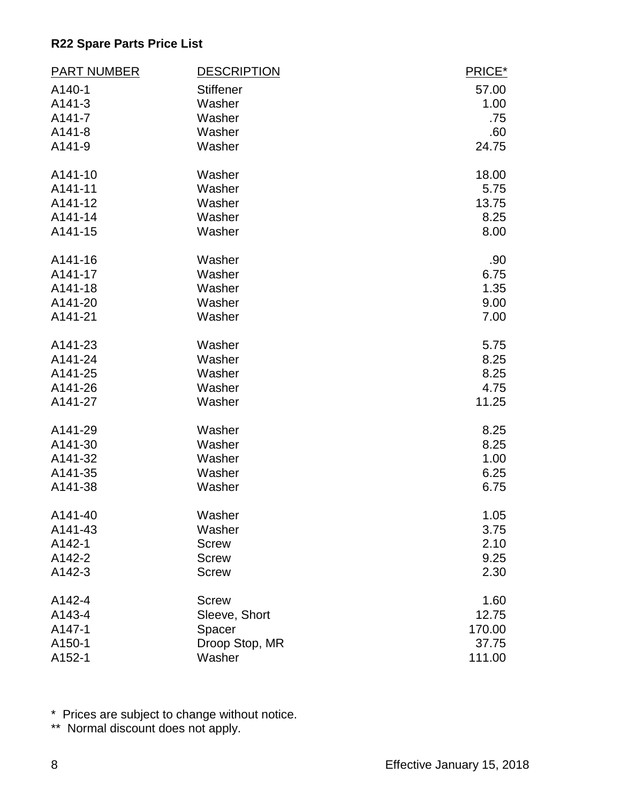| <b>PART NUMBER</b> | <b>DESCRIPTION</b> | PRICE* |
|--------------------|--------------------|--------|
| A140-1             | <b>Stiffener</b>   | 57.00  |
| A141-3             | Washer             | 1.00   |
| A141-7             | Washer             | .75    |
| $A141-8$           | Washer             | .60    |
| A141-9             | Washer             | 24.75  |
| A141-10            | Washer             | 18.00  |
| A141-11            | Washer             | 5.75   |
| A141-12            | Washer             | 13.75  |
| A141-14            | Washer             | 8.25   |
| A141-15            | Washer             | 8.00   |
| A141-16            | Washer             | .90    |
| A141-17            | Washer             | 6.75   |
| A141-18            | Washer             | 1.35   |
| A141-20            | Washer             | 9.00   |
| A141-21            | Washer             | 7.00   |
| A141-23            | Washer             | 5.75   |
| A141-24            | Washer             | 8.25   |
| A141-25            | Washer             | 8.25   |
| A141-26            | Washer             | 4.75   |
| A141-27            | Washer             | 11.25  |
| A141-29            | Washer             | 8.25   |
| A141-30            | Washer             | 8.25   |
| A141-32            | Washer             | 1.00   |
| A141-35            | Washer             | 6.25   |
| A141-38            | Washer             | 6.75   |
| A141-40            | Washer             | 1.05   |
| A141-43            | Washer             | 3.75   |
| A142-1             | <b>Screw</b>       | 2.10   |
| A142-2             | <b>Screw</b>       | 9.25   |
| A142-3             | <b>Screw</b>       | 2.30   |
| A142-4             | <b>Screw</b>       | 1.60   |
| A143-4             | Sleeve, Short      | 12.75  |
| A147-1             | Spacer             | 170.00 |
| A150-1             | Droop Stop, MR     | 37.75  |
| A152-1             | Washer             | 111.00 |

\* Prices are subject to change without notice.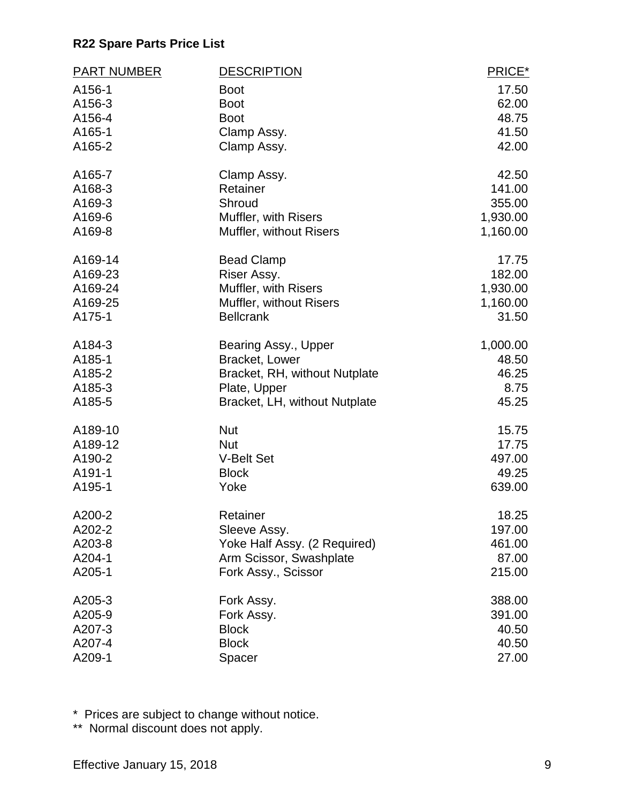| <b>PART NUMBER</b> | <b>DESCRIPTION</b>             | PRICE*   |
|--------------------|--------------------------------|----------|
| A156-1             | <b>Boot</b>                    | 17.50    |
| A156-3             | <b>Boot</b>                    | 62.00    |
| A156-4             | <b>Boot</b>                    | 48.75    |
| A165-1             | Clamp Assy.                    | 41.50    |
| A165-2             | Clamp Assy.                    | 42.00    |
| A165-7             | Clamp Assy.                    | 42.50    |
| A168-3             | Retainer                       | 141.00   |
| A169-3             | Shroud                         | 355.00   |
| A169-6             | Muffler, with Risers           | 1,930.00 |
| A169-8             | <b>Muffler, without Risers</b> | 1,160.00 |
| A169-14            | <b>Bead Clamp</b>              | 17.75    |
| A169-23            | Riser Assy.                    | 182.00   |
| A169-24            | Muffler, with Risers           | 1,930.00 |
| A169-25            | Muffler, without Risers        | 1,160.00 |
| A175-1             | <b>Bellcrank</b>               | 31.50    |
| A184-3             | Bearing Assy., Upper           | 1,000.00 |
| A185-1             | Bracket, Lower                 | 48.50    |
| A185-2             | Bracket, RH, without Nutplate  | 46.25    |
| A185-3             | Plate, Upper                   | 8.75     |
| A185-5             | Bracket, LH, without Nutplate  | 45.25    |
| A189-10            | <b>Nut</b>                     | 15.75    |
| A189-12            | <b>Nut</b>                     | 17.75    |
| A190-2             | <b>V-Belt Set</b>              | 497.00   |
| A191-1             | <b>Block</b>                   | 49.25    |
| A195-1             | Yoke                           | 639.00   |
| A200-2             | Retainer                       | 18.25    |
| A202-2             | Sleeve Assy.                   | 197.00   |
| A203-8             | Yoke Half Assy. (2 Required)   | 461.00   |
| A204-1             | Arm Scissor, Swashplate        | 87.00    |
| A205-1             | Fork Assy., Scissor            | 215.00   |
| A205-3             | Fork Assy.                     | 388.00   |
| A205-9             | Fork Assy.                     | 391.00   |
| A207-3             | <b>Block</b>                   | 40.50    |
| A207-4             | <b>Block</b>                   | 40.50    |
| A209-1             | Spacer                         | 27.00    |

\* Prices are subject to change without notice.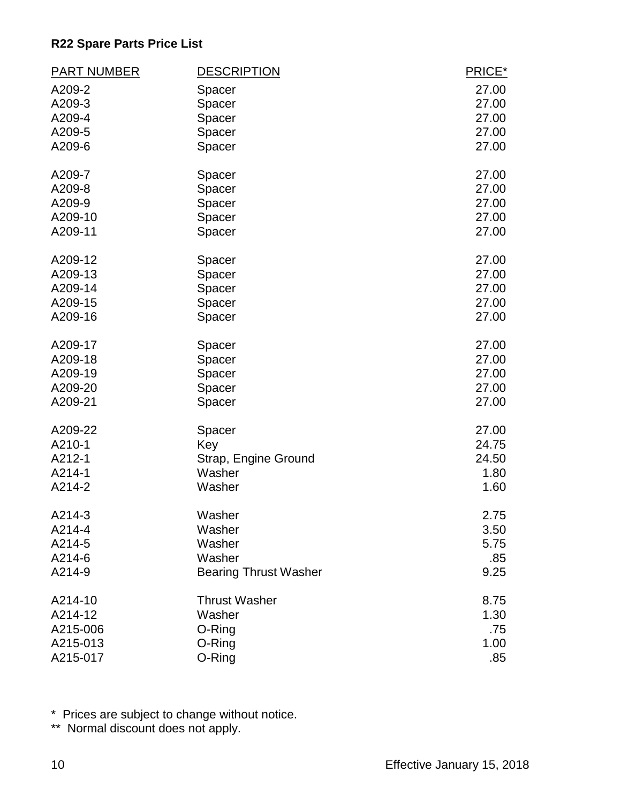| <b>PART NUMBER</b> | <b>DESCRIPTION</b>           | PRICE* |
|--------------------|------------------------------|--------|
| A209-2             | Spacer                       | 27.00  |
| A209-3             | Spacer                       | 27.00  |
| A209-4             | Spacer                       | 27.00  |
| A209-5             | Spacer                       | 27.00  |
| A209-6             | Spacer                       | 27.00  |
| A209-7             | Spacer                       | 27.00  |
| A209-8             | Spacer                       | 27.00  |
| A209-9             | Spacer                       | 27.00  |
| A209-10            | Spacer                       | 27.00  |
| A209-11            | Spacer                       | 27.00  |
| A209-12            | Spacer                       | 27.00  |
| A209-13            | Spacer                       | 27.00  |
| A209-14            | Spacer                       | 27.00  |
| A209-15            | Spacer                       | 27.00  |
| A209-16            | Spacer                       | 27.00  |
| A209-17            | Spacer                       | 27.00  |
| A209-18            | Spacer                       | 27.00  |
| A209-19            | Spacer                       | 27.00  |
| A209-20            | Spacer                       | 27.00  |
| A209-21            | Spacer                       | 27.00  |
| A209-22            | Spacer                       | 27.00  |
| A210-1             | Key                          | 24.75  |
| A212-1             | Strap, Engine Ground         | 24.50  |
| A214-1             | Washer                       | 1.80   |
| A214-2             | Washer                       | 1.60   |
| A214-3             | Washer                       | 2.75   |
| A214-4             | Washer                       | 3.50   |
| A214-5             | Washer                       | 5.75   |
| A214-6             | Washer                       | .85    |
| A214-9             | <b>Bearing Thrust Washer</b> | 9.25   |
| A214-10            | <b>Thrust Washer</b>         | 8.75   |
| A214-12            | Washer                       | 1.30   |
| A215-006           | O-Ring                       | .75    |
| A215-013           | O-Ring                       | 1.00   |
| A215-017           | O-Ring                       | .85    |

\* Prices are subject to change without notice.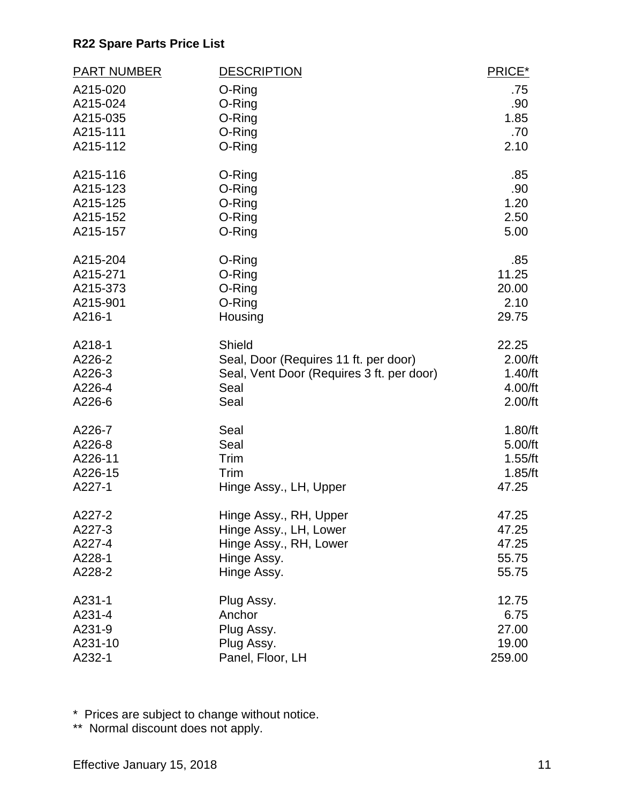| <b>PART NUMBER</b>   | <b>DESCRIPTION</b>                        | PRICE*         |
|----------------------|-------------------------------------------|----------------|
| A215-020             | O-Ring                                    | .75            |
| A215-024             | O-Ring                                    | .90            |
| A215-035             | O-Ring                                    | 1.85           |
| A215-111             | O-Ring                                    | .70            |
| A215-112             | O-Ring                                    | 2.10           |
| A215-116             | O-Ring                                    | .85            |
| A215-123             | O-Ring                                    | .90            |
| A215-125             | O-Ring                                    | 1.20           |
| A215-152             | O-Ring                                    | 2.50           |
| A215-157             | O-Ring                                    | 5.00           |
| A215-204             | O-Ring                                    | .85            |
| A215-271             | O-Ring                                    | 11.25<br>20.00 |
| A215-373<br>A215-901 | O-Ring<br>O-Ring                          | 2.10           |
| A216-1               | Housing                                   | 29.75          |
|                      |                                           |                |
| A218-1               | Shield                                    | 22.25          |
| A226-2               | Seal, Door (Requires 11 ft. per door)     | 2.00/ft        |
| A226-3               | Seal, Vent Door (Requires 3 ft. per door) | 1.40/ft        |
| A226-4               | Seal                                      | 4.00/ft        |
| A226-6               | Seal                                      | 2.00/ft        |
| A226-7               | Seal                                      | 1.80/ft        |
| A226-8               | Seal                                      | 5.00/ft        |
| A226-11              | Trim                                      | 1.55/ft        |
| A226-15              | Trim                                      | 1.85/ft        |
| A227-1               | Hinge Assy., LH, Upper                    | 47.25          |
| A227-2               | Hinge Assy., RH, Upper                    | 47.25          |
| A227-3               | Hinge Assy., LH, Lower                    | 47.25          |
| A227-4               | Hinge Assy., RH, Lower                    | 47.25          |
| A228-1               | Hinge Assy.                               | 55.75          |
| A228-2               | Hinge Assy.                               | 55.75          |
| A231-1               | Plug Assy.                                | 12.75          |
| A231-4               | Anchor                                    | 6.75           |
| A231-9               | Plug Assy.                                | 27.00          |
| A231-10              | Plug Assy.                                | 19.00          |
| A232-1               | Panel, Floor, LH                          | 259.00         |

\* Prices are subject to change without notice.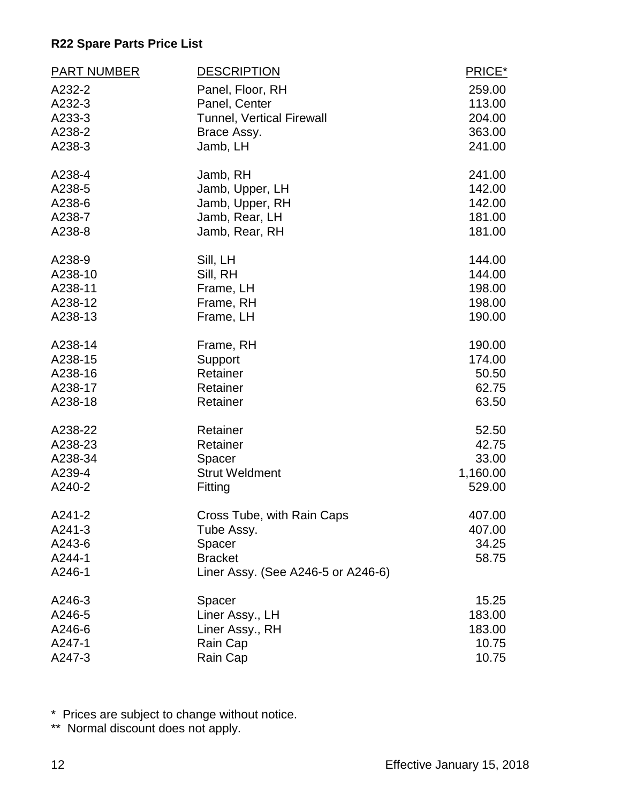| <b>PART NUMBER</b> | <b>DESCRIPTION</b>                 | PRICE*   |
|--------------------|------------------------------------|----------|
| A232-2             | Panel, Floor, RH                   | 259.00   |
| A232-3             | Panel, Center                      | 113.00   |
| A233-3             | Tunnel, Vertical Firewall          | 204.00   |
| A238-2             | Brace Assy.                        | 363.00   |
| A238-3             | Jamb, LH                           | 241.00   |
| A238-4             | Jamb, RH                           | 241.00   |
| A238-5             | Jamb, Upper, LH                    | 142.00   |
| A238-6             | Jamb, Upper, RH                    | 142.00   |
| A238-7             | Jamb, Rear, LH                     | 181.00   |
| A238-8             | Jamb, Rear, RH                     | 181.00   |
| A238-9             | Sill, LH                           | 144.00   |
| A238-10            | Sill, RH                           | 144.00   |
| A238-11            | Frame, LH                          | 198.00   |
| A238-12            | Frame, RH                          | 198.00   |
| A238-13            | Frame, LH                          | 190.00   |
| A238-14            | Frame, RH                          | 190.00   |
| A238-15            | Support                            | 174.00   |
| A238-16            | Retainer                           | 50.50    |
| A238-17            | Retainer                           | 62.75    |
| A238-18            | Retainer                           | 63.50    |
| A238-22            | Retainer                           | 52.50    |
| A238-23            | Retainer                           | 42.75    |
| A238-34            | Spacer                             | 33.00    |
| A239-4             | <b>Strut Weldment</b>              | 1,160.00 |
| A240-2             | Fitting                            | 529.00   |
| A241-2             | Cross Tube, with Rain Caps         | 407.00   |
| A241-3             | Tube Assy.                         | 407.00   |
| A243-6             | Spacer                             | 34.25    |
| A244-1             | <b>Bracket</b>                     | 58.75    |
| A246-1             | Liner Assy. (See A246-5 or A246-6) |          |
| A246-3             | Spacer                             | 15.25    |
| A246-5             | Liner Assy., LH                    | 183.00   |
| A246-6             | Liner Assy., RH                    | 183.00   |
| A247-1             | Rain Cap                           | 10.75    |
| A247-3             | Rain Cap                           | 10.75    |

\* Prices are subject to change without notice.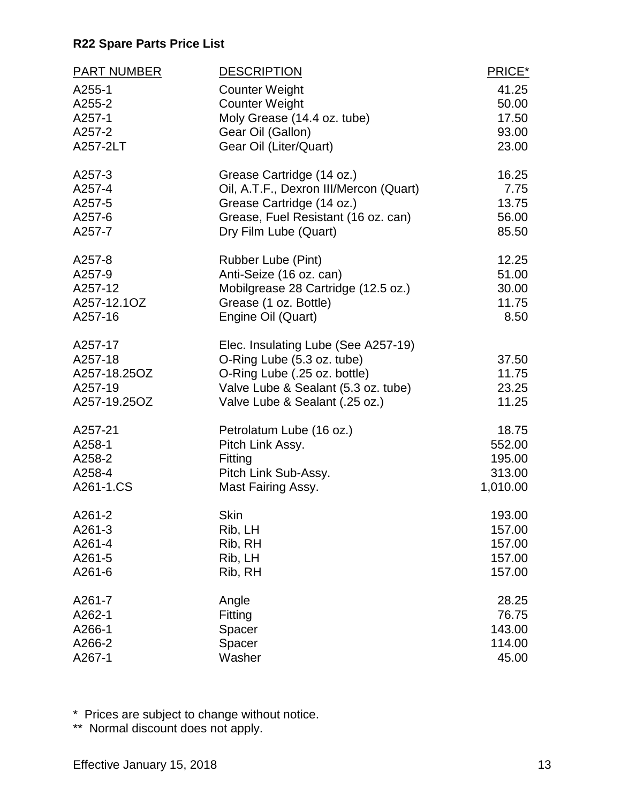| <b>PART NUMBER</b>     | <b>DESCRIPTION</b>                                           | PRICE*             |
|------------------------|--------------------------------------------------------------|--------------------|
| A255-1                 | <b>Counter Weight</b>                                        | 41.25              |
| A255-2                 | <b>Counter Weight</b>                                        | 50.00              |
| A257-1                 | Moly Grease (14.4 oz. tube)                                  | 17.50              |
| A257-2                 | Gear Oil (Gallon)                                            | 93.00              |
| A257-2LT               | Gear Oil (Liter/Quart)                                       | 23.00              |
| A257-3                 | Grease Cartridge (14 oz.)                                    | 16.25              |
| A257-4                 | Oil, A.T.F., Dexron III/Mercon (Quart)                       | 7.75               |
| A257-5                 | Grease Cartridge (14 oz.)                                    | 13.75              |
| A257-6<br>A257-7       | Grease, Fuel Resistant (16 oz. can)<br>Dry Film Lube (Quart) | 56.00<br>85.50     |
|                        |                                                              |                    |
| A257-8                 | Rubber Lube (Pint)                                           | 12.25              |
| A257-9                 | Anti-Seize (16 oz. can)                                      | 51.00              |
| A257-12                | Mobilgrease 28 Cartridge (12.5 oz.)                          | 30.00              |
| A257-12.1OZ<br>A257-16 | Grease (1 oz. Bottle)<br>Engine Oil (Quart)                  | 11.75<br>8.50      |
|                        |                                                              |                    |
| A257-17                | Elec. Insulating Lube (See A257-19)                          |                    |
| A257-18                | O-Ring Lube (5.3 oz. tube)                                   | 37.50              |
| A257-18.25OZ           | O-Ring Lube (.25 oz. bottle)                                 | 11.75              |
| A257-19                | Valve Lube & Sealant (5.3 oz. tube)                          | 23.25              |
| A257-19.25OZ           | Valve Lube & Sealant (.25 oz.)                               | 11.25              |
| A257-21                | Petrolatum Lube (16 oz.)                                     | 18.75              |
| A258-1                 | Pitch Link Assy.                                             | 552.00             |
| A258-2                 | Fitting                                                      | 195.00             |
| A258-4<br>A261-1.CS    | Pitch Link Sub-Assy.                                         | 313.00<br>1,010.00 |
|                        | Mast Fairing Assy.                                           |                    |
| A261-2                 | <b>Skin</b>                                                  | 193.00             |
| A261-3                 | Rib, LH                                                      | 157.00             |
| A261-4                 | Rib, RH                                                      | 157.00             |
| A261-5                 | Rib, LH                                                      | 157.00             |
| A261-6                 | Rib, RH                                                      | 157.00             |
| A261-7                 | Angle                                                        | 28.25              |
| A262-1                 | Fitting                                                      | 76.75              |
| A266-1                 | Spacer                                                       | 143.00             |
| A266-2<br>A267-1       | Spacer<br>Washer                                             | 114.00<br>45.00    |
|                        |                                                              |                    |

\* Prices are subject to change without notice.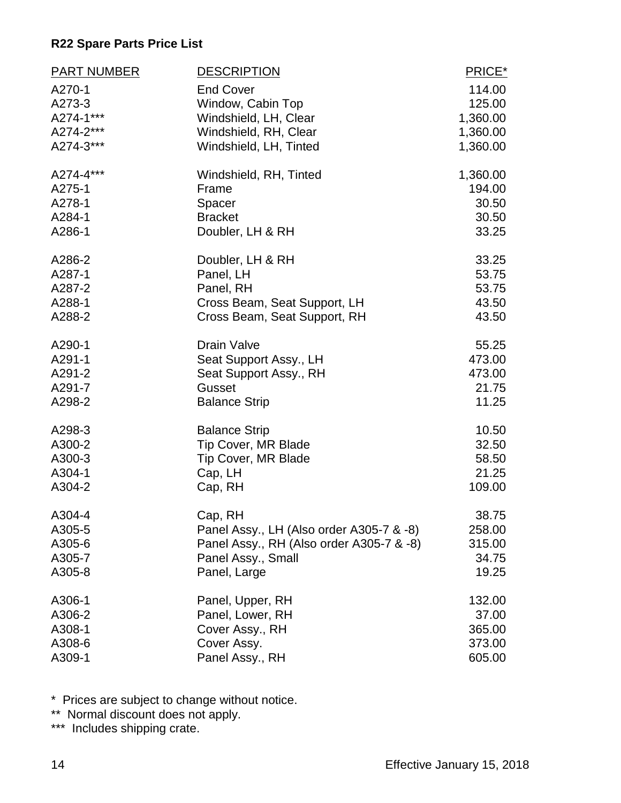| <b>PART NUMBER</b> | <b>DESCRIPTION</b>                       | PRICE*   |
|--------------------|------------------------------------------|----------|
| A270-1             | <b>End Cover</b>                         | 114.00   |
| A273-3             | Window, Cabin Top                        | 125.00   |
| A274-1***          | Windshield, LH, Clear                    | 1,360.00 |
| A274-2***          | Windshield, RH, Clear                    | 1,360.00 |
| A274-3***          | Windshield, LH, Tinted                   | 1,360.00 |
| A274-4***          | Windshield, RH, Tinted                   | 1,360.00 |
| A275-1             | Frame                                    | 194.00   |
| A278-1             | Spacer                                   | 30.50    |
| A284-1             | <b>Bracket</b>                           | 30.50    |
| A286-1             | Doubler, LH & RH                         | 33.25    |
| A286-2             | Doubler, LH & RH                         | 33.25    |
| A287-1             | Panel, LH                                | 53.75    |
| A287-2             | Panel, RH                                | 53.75    |
| A288-1             | Cross Beam, Seat Support, LH             | 43.50    |
| A288-2             | Cross Beam, Seat Support, RH             | 43.50    |
| A290-1             | <b>Drain Valve</b>                       | 55.25    |
| A291-1             | Seat Support Assy., LH                   | 473.00   |
| A291-2             | Seat Support Assy., RH                   | 473.00   |
| A291-7             | Gusset                                   | 21.75    |
| A298-2             | <b>Balance Strip</b>                     | 11.25    |
| A298-3             | <b>Balance Strip</b>                     | 10.50    |
| A300-2             | <b>Tip Cover, MR Blade</b>               | 32.50    |
| A300-3             | <b>Tip Cover, MR Blade</b>               | 58.50    |
| A304-1             | Cap, LH                                  | 21.25    |
| A304-2             | Cap, RH                                  | 109.00   |
| A304-4             | Cap, RH                                  | 38.75    |
| A305-5             | Panel Assy., LH (Also order A305-7 & -8) | 258.00   |
| A305-6             | Panel Assy., RH (Also order A305-7 & -8) | 315.00   |
| A305-7             | Panel Assy., Small                       | 34.75    |
| A305-8             | Panel, Large                             | 19.25    |
| A306-1             | Panel, Upper, RH                         | 132.00   |
| A306-2             | Panel, Lower, RH                         | 37.00    |
| A308-1             | Cover Assy., RH                          | 365.00   |
| A308-6             | Cover Assy.                              | 373.00   |
| A309-1             | Panel Assy., RH                          | 605.00   |

\* Prices are subject to change without notice.

\*\* Normal discount does not apply.

\*\*\* Includes shipping crate.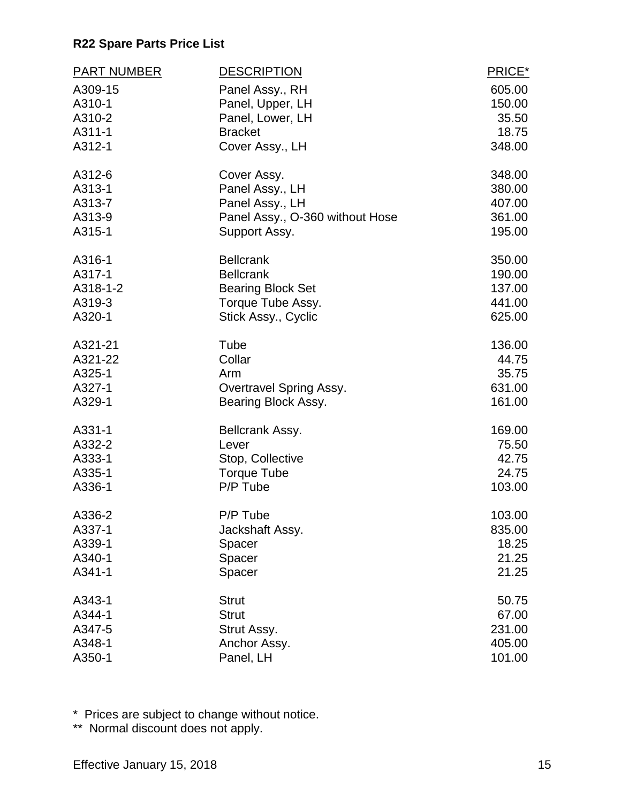| <b>PART NUMBER</b> | <b>DESCRIPTION</b>              | PRICE* |
|--------------------|---------------------------------|--------|
| A309-15            | Panel Assy., RH                 | 605.00 |
| A310-1             | Panel, Upper, LH                | 150.00 |
| A310-2             | Panel, Lower, LH                | 35.50  |
| A311-1             | <b>Bracket</b>                  | 18.75  |
| A312-1             | Cover Assy., LH                 | 348.00 |
| A312-6             | Cover Assy.                     | 348.00 |
| A313-1             | Panel Assy., LH                 | 380.00 |
| A313-7             | Panel Assy., LH                 | 407.00 |
| A313-9             | Panel Assy., O-360 without Hose | 361.00 |
| A315-1             | Support Assy.                   | 195.00 |
| A316-1             | <b>Bellcrank</b>                | 350.00 |
| A317-1             | <b>Bellcrank</b>                | 190.00 |
| A318-1-2           | <b>Bearing Block Set</b>        | 137.00 |
| A319-3             | Torque Tube Assy.               | 441.00 |
| A320-1             | Stick Assy., Cyclic             | 625.00 |
| A321-21            | Tube                            | 136.00 |
| A321-22            | Collar                          | 44.75  |
| A325-1             | Arm                             | 35.75  |
| A327-1             | Overtravel Spring Assy.         | 631.00 |
| A329-1             | Bearing Block Assy.             | 161.00 |
| A331-1             | Bellcrank Assy.                 | 169.00 |
| A332-2             | Lever                           | 75.50  |
| A333-1             | Stop, Collective                | 42.75  |
| A335-1             | <b>Torque Tube</b>              | 24.75  |
| A336-1             | P/P Tube                        | 103.00 |
| A336-2             | P/P Tube                        | 103.00 |
| A337-1             | Jackshaft Assy.                 | 835.00 |
| A339-1             | Spacer                          | 18.25  |
| A340-1             | Spacer                          | 21.25  |
| A341-1             | Spacer                          | 21.25  |
| A343-1             | <b>Strut</b>                    | 50.75  |
| A344-1             | <b>Strut</b>                    | 67.00  |
| A347-5             | Strut Assy.                     | 231.00 |
| A348-1             | Anchor Assy.                    | 405.00 |
| A350-1             | Panel, LH                       | 101.00 |

\* Prices are subject to change without notice.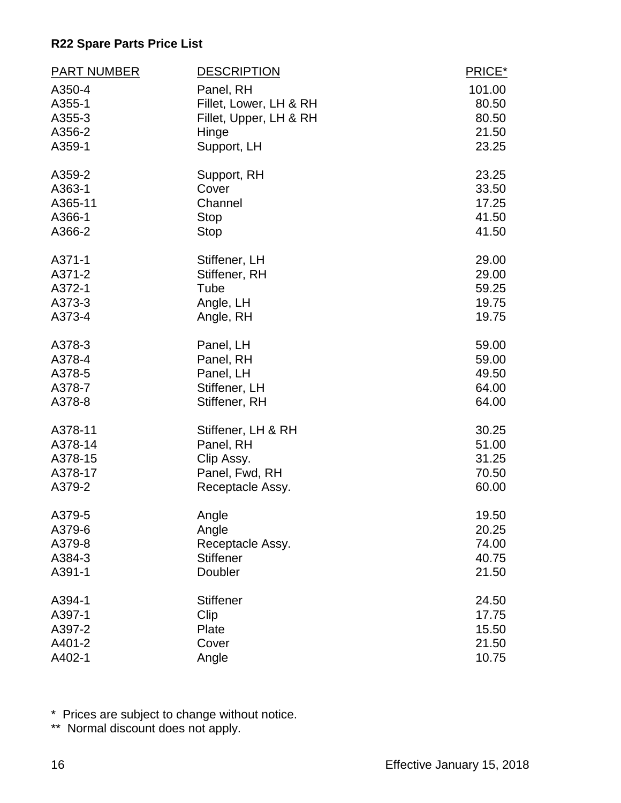| <b>PART NUMBER</b> | <b>DESCRIPTION</b>     | PRICE* |
|--------------------|------------------------|--------|
| A350-4             | Panel, RH              | 101.00 |
| A355-1             | Fillet, Lower, LH & RH | 80.50  |
| A355-3             | Fillet, Upper, LH & RH | 80.50  |
| A356-2             | Hinge                  | 21.50  |
| A359-1             | Support, LH            | 23.25  |
| A359-2             | Support, RH            | 23.25  |
| A363-1             | Cover                  | 33.50  |
| A365-11            | Channel                | 17.25  |
| A366-1             | <b>Stop</b>            | 41.50  |
| A366-2             | <b>Stop</b>            | 41.50  |
| A371-1             | Stiffener, LH          | 29.00  |
| A371-2             | Stiffener, RH          | 29.00  |
| A372-1             | Tube                   | 59.25  |
| A373-3             | Angle, LH              | 19.75  |
| A373-4             | Angle, RH              | 19.75  |
| A378-3             | Panel, LH              | 59.00  |
| A378-4             | Panel, RH              | 59.00  |
| A378-5             | Panel, LH              | 49.50  |
| A378-7             | Stiffener, LH          | 64.00  |
| A378-8             | Stiffener, RH          | 64.00  |
| A378-11            | Stiffener, LH & RH     | 30.25  |
| A378-14            | Panel, RH              | 51.00  |
| A378-15            | Clip Assy.             | 31.25  |
| A378-17            | Panel, Fwd, RH         | 70.50  |
| A379-2             | Receptacle Assy.       | 60.00  |
| A379-5             | Angle                  | 19.50  |
| A379-6             | Angle                  | 20.25  |
| A379-8             | Receptacle Assy.       | 74.00  |
| A384-3             | <b>Stiffener</b>       | 40.75  |
| A391-1             | Doubler                | 21.50  |
| A394-1             | <b>Stiffener</b>       | 24.50  |
| A397-1             | Clip                   | 17.75  |
| A397-2             | Plate                  | 15.50  |
| A401-2             | Cover                  | 21.50  |
| A402-1             | Angle                  | 10.75  |

\* Prices are subject to change without notice.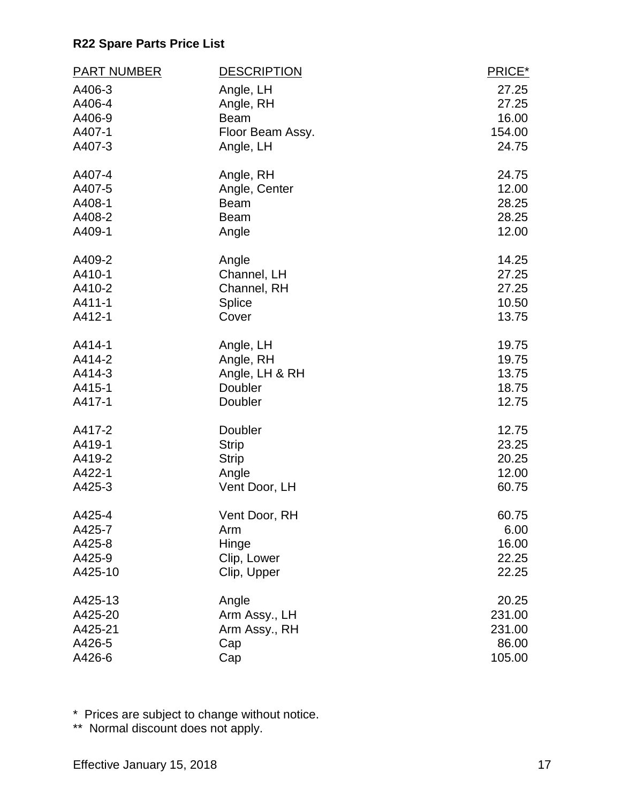| <b>PART NUMBER</b> | <b>DESCRIPTION</b>     | PRICE*         |
|--------------------|------------------------|----------------|
| A406-3             | Angle, LH              | 27.25          |
| A406-4             | Angle, RH              | 27.25          |
| A406-9             | <b>Beam</b>            | 16.00          |
| A407-1             | Floor Beam Assy.       | 154.00         |
| A407-3             | Angle, LH              | 24.75          |
| A407-4             | Angle, RH              | 24.75          |
| A407-5             | Angle, Center          | 12.00          |
| A408-1             | <b>Beam</b>            | 28.25          |
| A408-2             | <b>Beam</b>            | 28.25          |
| A409-1             | Angle                  | 12.00          |
| A409-2             | Angle                  | 14.25          |
| A410-1             | Channel, LH            | 27.25          |
| A410-2             | Channel, RH            | 27.25          |
| A411-1<br>A412-1   | <b>Splice</b><br>Cover | 10.50<br>13.75 |
|                    |                        |                |
| A414-1             | Angle, LH              | 19.75          |
| A414-2             | Angle, RH              | 19.75          |
| A414-3             | Angle, LH & RH         | 13.75          |
| A415-1             | Doubler                | 18.75          |
| A417-1             | Doubler                | 12.75          |
| A417-2             | Doubler                | 12.75          |
| A419-1             | <b>Strip</b>           | 23.25          |
| A419-2             | <b>Strip</b>           | 20.25          |
| A422-1             | Angle                  | 12.00          |
| A425-3             | Vent Door, LH          | 60.75          |
| A425-4             | Vent Door, RH          | 60.75          |
| A425-7             | Arm                    | 6.00           |
| A425-8             | Hinge                  | 16.00          |
| A425-9             | Clip, Lower            | 22.25          |
| A425-10            | Clip, Upper            | 22.25          |
| A425-13            | Angle                  | 20.25          |
| A425-20            | Arm Assy., LH          | 231.00         |
| A425-21            | Arm Assy., RH          | 231.00         |
| A426-5             | Cap                    | 86.00          |
| A426-6             | Cap                    | 105.00         |

\* Prices are subject to change without notice.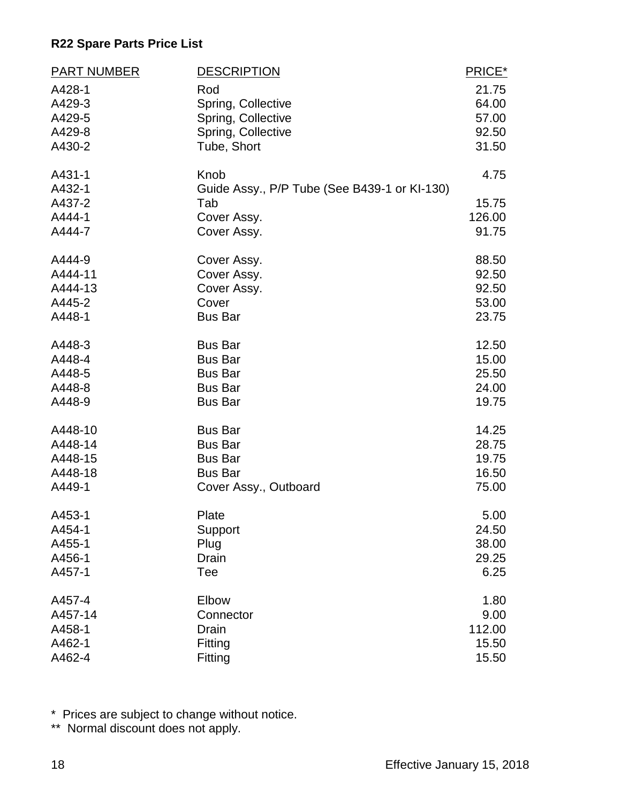| <b>PART NUMBER</b> | <b>DESCRIPTION</b>                           | PRICE* |
|--------------------|----------------------------------------------|--------|
| A428-1             | Rod                                          | 21.75  |
| A429-3             | Spring, Collective                           | 64.00  |
| A429-5             | Spring, Collective                           | 57.00  |
| A429-8             | Spring, Collective                           | 92.50  |
| A430-2             | Tube, Short                                  | 31.50  |
|                    |                                              |        |
| A431-1             | Knob                                         | 4.75   |
| A432-1             | Guide Assy., P/P Tube (See B439-1 or KI-130) |        |
| A437-2             | Tab                                          | 15.75  |
| A444-1             | Cover Assy.                                  | 126.00 |
| A444-7             | Cover Assy.                                  | 91.75  |
| A444-9             | Cover Assy.                                  | 88.50  |
| A444-11            | Cover Assy.                                  | 92.50  |
| A444-13            | Cover Assy.                                  | 92.50  |
| A445-2             | Cover                                        | 53.00  |
| A448-1             | <b>Bus Bar</b>                               | 23.75  |
|                    |                                              |        |
| A448-3             | <b>Bus Bar</b>                               | 12.50  |
| A448-4             | <b>Bus Bar</b>                               | 15.00  |
| A448-5             | <b>Bus Bar</b>                               | 25.50  |
| A448-8             | <b>Bus Bar</b>                               | 24.00  |
| A448-9             | <b>Bus Bar</b>                               | 19.75  |
| A448-10            | <b>Bus Bar</b>                               | 14.25  |
| A448-14            | <b>Bus Bar</b>                               | 28.75  |
|                    |                                              |        |
| A448-15<br>A448-18 | <b>Bus Bar</b>                               | 19.75  |
|                    | <b>Bus Bar</b>                               | 16.50  |
| A449-1             | Cover Assy., Outboard                        | 75.00  |
| A453-1             | Plate                                        | 5.00   |
| A454-1             | Support                                      | 24.50  |
| A455-1             | Plug                                         | 38.00  |
| A456-1             | Drain                                        | 29.25  |
| A457-1             | Tee                                          | 6.25   |
| A457-4             | Elbow                                        | 1.80   |
| A457-14            | Connector                                    | 9.00   |
| A458-1             | Drain                                        | 112.00 |
| A462-1             | Fitting                                      | 15.50  |
| A462-4             |                                              |        |
|                    | Fitting                                      | 15.50  |

\* Prices are subject to change without notice.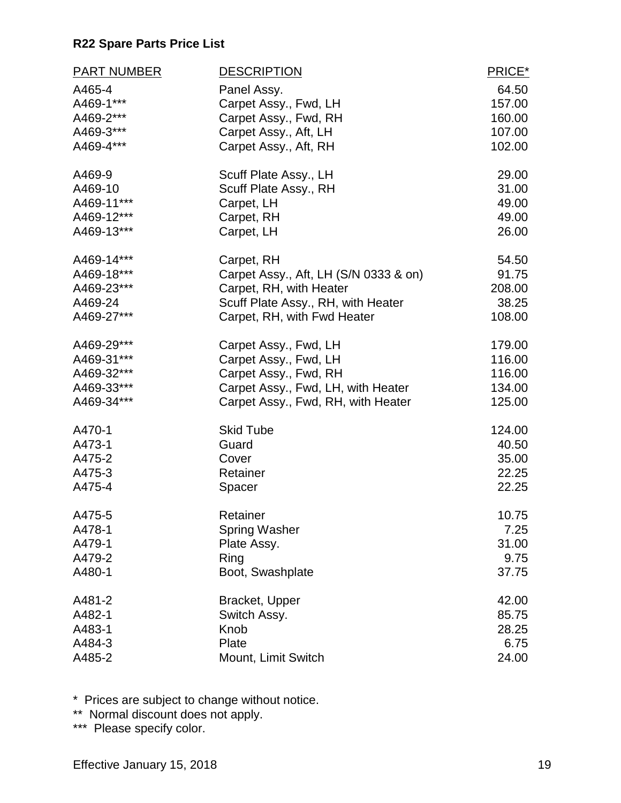| <b>PART NUMBER</b> | <b>DESCRIPTION</b>                    | PRICE* |
|--------------------|---------------------------------------|--------|
| A465-4             | Panel Assy.                           | 64.50  |
| A469-1***          | Carpet Assy., Fwd, LH                 | 157.00 |
| A469-2***          | Carpet Assy., Fwd, RH                 | 160.00 |
| A469-3***          | Carpet Assy., Aft, LH                 | 107.00 |
| A469-4***          | Carpet Assy., Aft, RH                 | 102.00 |
|                    |                                       |        |
| A469-9             | Scuff Plate Assy., LH                 | 29.00  |
| A469-10            | Scuff Plate Assy., RH                 | 31.00  |
| A469-11***         | Carpet, LH                            | 49.00  |
| A469-12***         | Carpet, RH                            | 49.00  |
| A469-13***         | Carpet, LH                            | 26.00  |
| A469-14***         | Carpet, RH                            | 54.50  |
| A469-18***         | Carpet Assy., Aft, LH (S/N 0333 & on) | 91.75  |
| A469-23***         | Carpet, RH, with Heater               | 208.00 |
| A469-24            | Scuff Plate Assy., RH, with Heater    | 38.25  |
| A469-27***         | Carpet, RH, with Fwd Heater           | 108.00 |
| A469-29***         | Carpet Assy., Fwd, LH                 | 179.00 |
| A469-31***         | Carpet Assy., Fwd, LH                 | 116.00 |
| A469-32***         | Carpet Assy., Fwd, RH                 | 116.00 |
| A469-33***         | Carpet Assy., Fwd, LH, with Heater    | 134.00 |
| A469-34***         | Carpet Assy., Fwd, RH, with Heater    | 125.00 |
| A470-1             | <b>Skid Tube</b>                      | 124.00 |
| A473-1             | Guard                                 | 40.50  |
| A475-2             | Cover                                 | 35.00  |
| A475-3             | Retainer                              | 22.25  |
| A475-4             | Spacer                                | 22.25  |
|                    |                                       |        |
| A475-5             | Retainer                              | 10.75  |
| A478-1             | <b>Spring Washer</b>                  | 7.25   |
| A479-1             | Plate Assy.                           | 31.00  |
| A479-2             | Ring                                  | 9.75   |
| A480-1             | Boot, Swashplate                      | 37.75  |
| A481-2             | Bracket, Upper                        | 42.00  |
| A482-1             | Switch Assy.                          | 85.75  |
| A483-1             | Knob                                  | 28.25  |
| A484-3             | Plate                                 | 6.75   |
| A485-2             | Mount, Limit Switch                   | 24.00  |

\* Prices are subject to change without notice.

\*\* Normal discount does not apply.

\*\*\* Please specify color.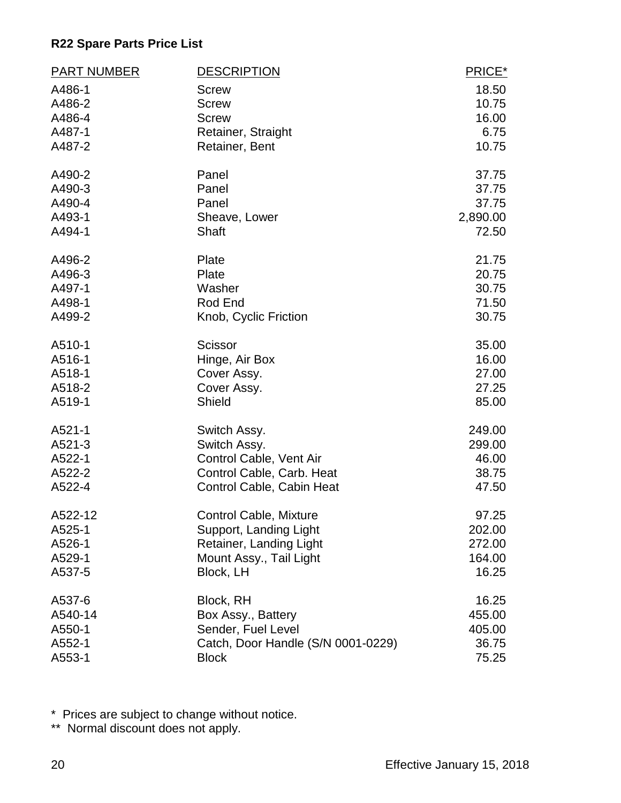| <b>PART NUMBER</b> | <b>DESCRIPTION</b>                 | PRICE*   |
|--------------------|------------------------------------|----------|
| A486-1             | <b>Screw</b>                       | 18.50    |
| A486-2             | <b>Screw</b>                       | 10.75    |
| A486-4             | <b>Screw</b>                       | 16.00    |
| A487-1             | Retainer, Straight                 | 6.75     |
| A487-2             | Retainer, Bent                     | 10.75    |
| A490-2             | Panel                              | 37.75    |
| A490-3             | Panel                              | 37.75    |
| A490-4             | Panel                              | 37.75    |
| A493-1             | Sheave, Lower                      | 2,890.00 |
| A494-1             | Shaft                              | 72.50    |
| A496-2             | Plate                              | 21.75    |
| A496-3             | Plate                              | 20.75    |
| A497-1             | Washer                             | 30.75    |
| A498-1             | Rod End                            | 71.50    |
| A499-2             | Knob, Cyclic Friction              | 30.75    |
| A510-1             | <b>Scissor</b>                     | 35.00    |
| A516-1             | Hinge, Air Box                     | 16.00    |
| A518-1             | Cover Assy.                        | 27.00    |
| A518-2             | Cover Assy.                        | 27.25    |
| A519-1             | Shield                             | 85.00    |
| A521-1             | Switch Assy.                       | 249.00   |
| A521-3             | Switch Assy.                       | 299.00   |
| A522-1             | Control Cable, Vent Air            | 46.00    |
| A522-2             | Control Cable, Carb. Heat          | 38.75    |
| A522-4             | Control Cable, Cabin Heat          | 47.50    |
| A522-12            | <b>Control Cable, Mixture</b>      | 97.25    |
| A525-1             | Support, Landing Light             | 202.00   |
| A526-1             | Retainer, Landing Light            | 272.00   |
| A529-1             | Mount Assy., Tail Light            | 164.00   |
| A537-5             | Block, LH                          | 16.25    |
| A537-6             | Block, RH                          | 16.25    |
| A540-14            | Box Assy., Battery                 | 455.00   |
| A550-1             | Sender, Fuel Level                 | 405.00   |
| A552-1             | Catch, Door Handle (S/N 0001-0229) | 36.75    |
| A553-1             | <b>Block</b>                       | 75.25    |

\* Prices are subject to change without notice.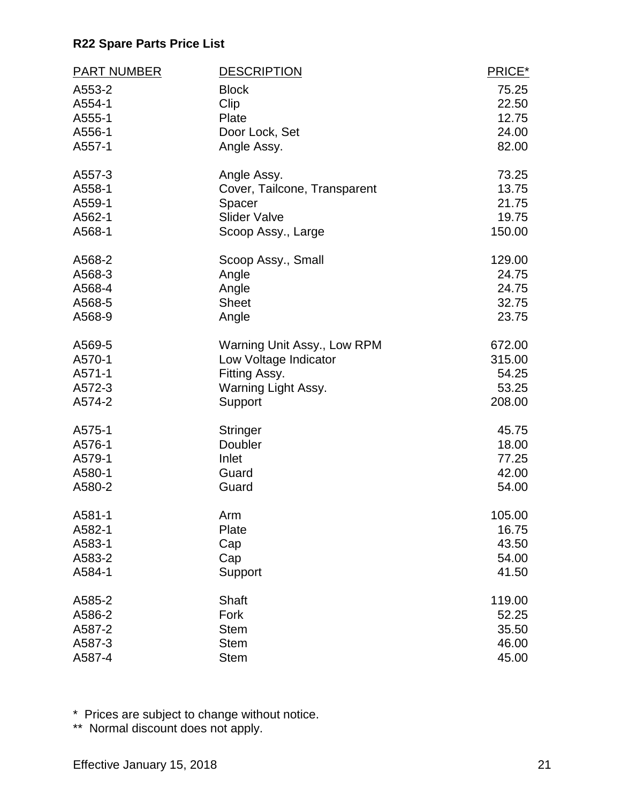| <b>PART NUMBER</b> | <b>DESCRIPTION</b>           | PRICE* |
|--------------------|------------------------------|--------|
| A553-2             | <b>Block</b>                 | 75.25  |
| A554-1             | Clip                         | 22.50  |
| A555-1             | Plate                        | 12.75  |
| A556-1             | Door Lock, Set               | 24.00  |
| A557-1             | Angle Assy.                  | 82.00  |
| A557-3             | Angle Assy.                  | 73.25  |
| A558-1             | Cover, Tailcone, Transparent | 13.75  |
| A559-1             | Spacer                       | 21.75  |
| A562-1             | <b>Slider Valve</b>          | 19.75  |
| A568-1             | Scoop Assy., Large           | 150.00 |
| A568-2             | Scoop Assy., Small           | 129.00 |
| A568-3             | Angle                        | 24.75  |
| A568-4             | Angle                        | 24.75  |
| A568-5             | <b>Sheet</b>                 | 32.75  |
| A568-9             | Angle                        | 23.75  |
| A569-5             | Warning Unit Assy., Low RPM  | 672.00 |
| A570-1             | Low Voltage Indicator        | 315.00 |
| A571-1             | Fitting Assy.                | 54.25  |
| A572-3             | Warning Light Assy.          | 53.25  |
| A574-2             | Support                      | 208.00 |
| A575-1             | Stringer                     | 45.75  |
| A576-1             | Doubler                      | 18.00  |
| A579-1             | Inlet                        | 77.25  |
| A580-1             | Guard                        | 42.00  |
| A580-2             | Guard                        | 54.00  |
| A581-1             | Arm                          | 105.00 |
| A582-1             | Plate                        | 16.75  |
| A583-1             | Cap                          | 43.50  |
| A583-2             | Cap                          | 54.00  |
| A584-1             | Support                      | 41.50  |
| A585-2             | <b>Shaft</b>                 | 119.00 |
| A586-2             | Fork                         | 52.25  |
| A587-2             | <b>Stem</b>                  | 35.50  |
| A587-3             | <b>Stem</b>                  | 46.00  |
| A587-4             | <b>Stem</b>                  | 45.00  |

\* Prices are subject to change without notice.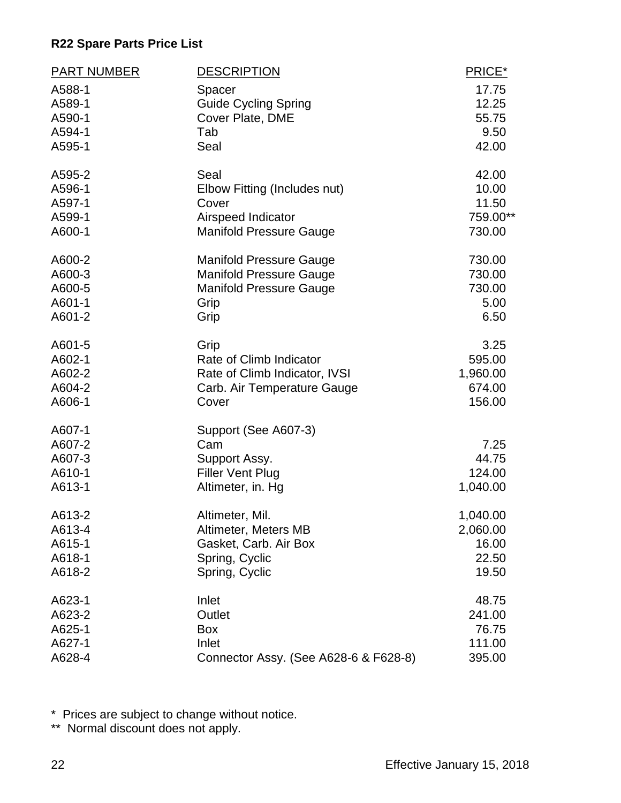| <b>PART NUMBER</b> | <b>DESCRIPTION</b>                    | PRICE*   |
|--------------------|---------------------------------------|----------|
| A588-1             | Spacer                                | 17.75    |
| A589-1             | <b>Guide Cycling Spring</b>           | 12.25    |
| A590-1             | Cover Plate, DME                      | 55.75    |
| A594-1             | Tab                                   | 9.50     |
| A595-1             | Seal                                  | 42.00    |
| A595-2             | Seal                                  | 42.00    |
| A596-1             | Elbow Fitting (Includes nut)          | 10.00    |
| A597-1             | Cover                                 | 11.50    |
| A599-1             | Airspeed Indicator                    | 759.00** |
| A600-1             | <b>Manifold Pressure Gauge</b>        | 730.00   |
| A600-2             | <b>Manifold Pressure Gauge</b>        | 730.00   |
| A600-3             | <b>Manifold Pressure Gauge</b>        | 730.00   |
| A600-5             | <b>Manifold Pressure Gauge</b>        | 730.00   |
| A601-1             | Grip                                  | 5.00     |
| A601-2             | Grip                                  | 6.50     |
| A601-5             | Grip                                  | 3.25     |
| A602-1             | Rate of Climb Indicator               | 595.00   |
| A602-2             | Rate of Climb Indicator, IVSI         | 1,960.00 |
| A604-2             | Carb. Air Temperature Gauge           | 674.00   |
| A606-1             | Cover                                 | 156.00   |
| A607-1             | Support (See A607-3)                  |          |
| A607-2             | Cam                                   | 7.25     |
| A607-3             | Support Assy.                         | 44.75    |
| A610-1             | <b>Filler Vent Plug</b>               | 124.00   |
| A613-1             | Altimeter, in. Hg                     | 1,040.00 |
| A613-2             | Altimeter, Mil.                       | 1,040.00 |
| A613-4             | Altimeter, Meters MB                  | 2,060.00 |
| A615-1             | Gasket, Carb. Air Box                 | 16.00    |
| A618-1             | Spring, Cyclic                        | 22.50    |
| A618-2             | Spring, Cyclic                        | 19.50    |
| A623-1             | Inlet                                 | 48.75    |
| A623-2             | Outlet                                | 241.00   |
| A625-1             | Box                                   | 76.75    |
| A627-1             | Inlet                                 | 111.00   |
| A628-4             | Connector Assy. (See A628-6 & F628-8) | 395.00   |

\* Prices are subject to change without notice.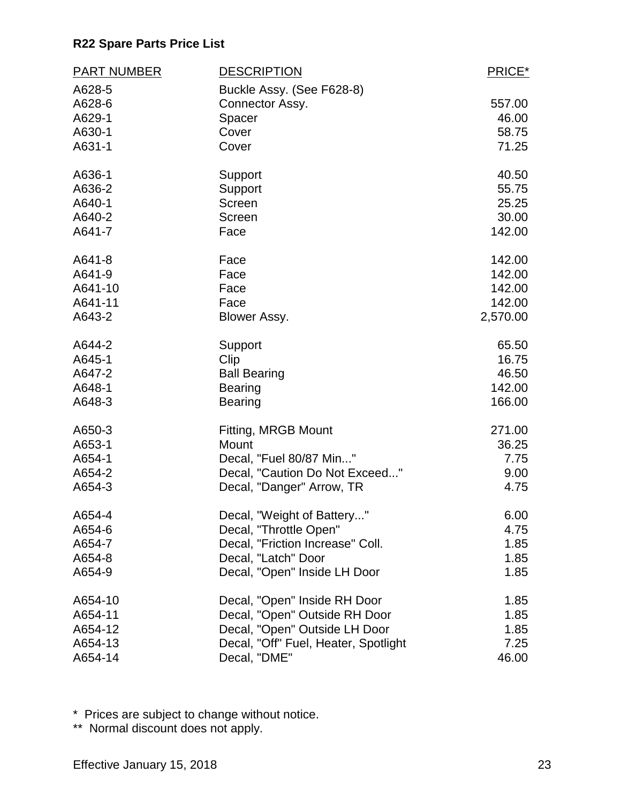| <b>PART NUMBER</b> | <b>DESCRIPTION</b>                   | PRICE*   |
|--------------------|--------------------------------------|----------|
| A628-5             | Buckle Assy. (See F628-8)            |          |
| A628-6             | Connector Assy.                      | 557.00   |
| A629-1             | Spacer                               | 46.00    |
| A630-1             | Cover                                | 58.75    |
| A631-1             | Cover                                | 71.25    |
| A636-1             | Support                              | 40.50    |
| A636-2             | Support                              | 55.75    |
| A640-1             | Screen                               | 25.25    |
| A640-2             | Screen                               | 30.00    |
| A641-7             | Face                                 | 142.00   |
| A641-8             | Face                                 | 142.00   |
| A641-9             | Face                                 | 142.00   |
| A641-10            | Face                                 | 142.00   |
| A641-11            | Face                                 | 142.00   |
| A643-2             | Blower Assy.                         | 2,570.00 |
| A644-2             | Support                              | 65.50    |
| A645-1             | Clip                                 | 16.75    |
| A647-2             | <b>Ball Bearing</b>                  | 46.50    |
| A648-1             | <b>Bearing</b>                       | 142.00   |
| A648-3             | <b>Bearing</b>                       | 166.00   |
| A650-3             | Fitting, MRGB Mount                  | 271.00   |
| A653-1             | Mount                                | 36.25    |
| A654-1             | Decal, "Fuel 80/87 Min"              | 7.75     |
| A654-2             | Decal, "Caution Do Not Exceed"       | 9.00     |
| A654-3             | Decal, "Danger" Arrow, TR            | 4.75     |
| A654-4             | Decal, "Weight of Battery"           | 6.00     |
| A654-6             | Decal, "Throttle Open"               | 4.75     |
| A654-7             | Decal, "Friction Increase" Coll.     | 1.85     |
| A654-8             | Decal, "Latch" Door                  | 1.85     |
| A654-9             | Decal, "Open" Inside LH Door         | 1.85     |
| A654-10            | Decal, "Open" Inside RH Door         | 1.85     |
| A654-11            | Decal, "Open" Outside RH Door        | 1.85     |
| A654-12            | Decal, "Open" Outside LH Door        | 1.85     |
| A654-13            | Decal, "Off" Fuel, Heater, Spotlight | 7.25     |
| A654-14            | Decal, "DME"                         | 46.00    |

\* Prices are subject to change without notice.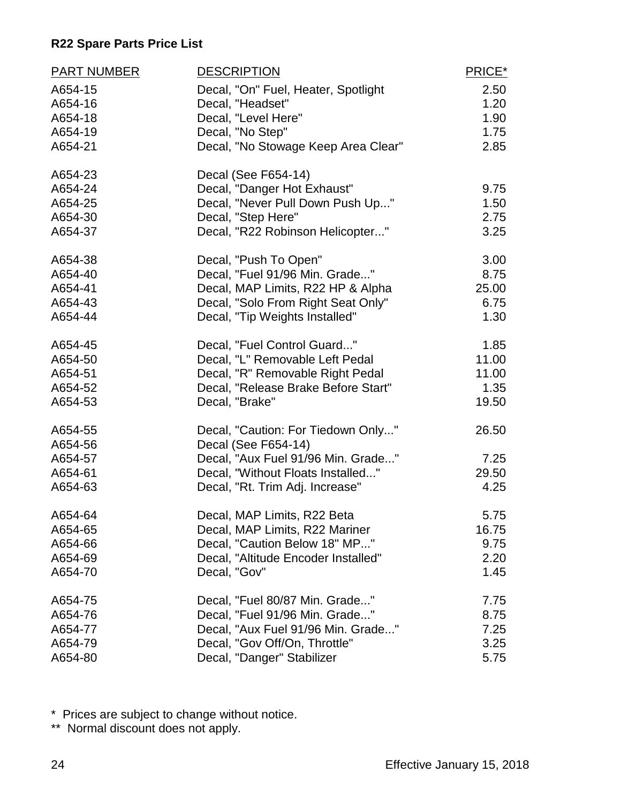| <b>PART NUMBER</b> | <b>DESCRIPTION</b>                  | PRICE* |
|--------------------|-------------------------------------|--------|
| A654-15            | Decal, "On" Fuel, Heater, Spotlight | 2.50   |
| A654-16            | Decal, "Headset"                    | 1.20   |
| A654-18            | Decal, "Level Here"                 | 1.90   |
| A654-19            | Decal, "No Step"                    | 1.75   |
| A654-21            | Decal, "No Stowage Keep Area Clear" | 2.85   |
| A654-23            | Decal (See F654-14)                 |        |
| A654-24            | Decal, "Danger Hot Exhaust"         | 9.75   |
| A654-25            | Decal, "Never Pull Down Push Up"    | 1.50   |
| A654-30            | Decal, "Step Here"                  | 2.75   |
| A654-37            | Decal, "R22 Robinson Helicopter"    | 3.25   |
| A654-38            | Decal, "Push To Open"               | 3.00   |
| A654-40            | Decal, "Fuel 91/96 Min. Grade"      | 8.75   |
| A654-41            | Decal, MAP Limits, R22 HP & Alpha   | 25.00  |
| A654-43            | Decal, "Solo From Right Seat Only"  | 6.75   |
| A654-44            | Decal, "Tip Weights Installed"      | 1.30   |
| A654-45            | Decal, "Fuel Control Guard"         | 1.85   |
| A654-50            | Decal, "L" Removable Left Pedal     | 11.00  |
| A654-51            | Decal, "R" Removable Right Pedal    | 11.00  |
| A654-52            | Decal, "Release Brake Before Start" | 1.35   |
| A654-53            | Decal, "Brake"                      | 19.50  |
| A654-55            | Decal, "Caution: For Tiedown Only"  | 26.50  |
| A654-56            | Decal (See F654-14)                 |        |
| A654-57            | Decal, "Aux Fuel 91/96 Min. Grade"  | 7.25   |
| A654-61            | Decal, "Without Floats Installed"   | 29.50  |
| A654-63            | Decal, "Rt. Trim Adj. Increase"     | 4.25   |
| A654-64            | Decal, MAP Limits, R22 Beta         | 5.75   |
| A654-65            | Decal, MAP Limits, R22 Mariner      | 16.75  |
| A654-66            | Decal, "Caution Below 18" MP"       | 9.75   |
| A654-69            | Decal, "Altitude Encoder Installed" | 2.20   |
| A654-70            | Decal, "Gov"                        | 1.45   |
| A654-75            | Decal, "Fuel 80/87 Min. Grade"      | 7.75   |
| A654-76            | Decal, "Fuel 91/96 Min. Grade"      | 8.75   |
| A654-77            | Decal, "Aux Fuel 91/96 Min. Grade"  | 7.25   |
| A654-79            | Decal, "Gov Off/On, Throttle"       | 3.25   |
| A654-80            | Decal, "Danger" Stabilizer          | 5.75   |

\* Prices are subject to change without notice.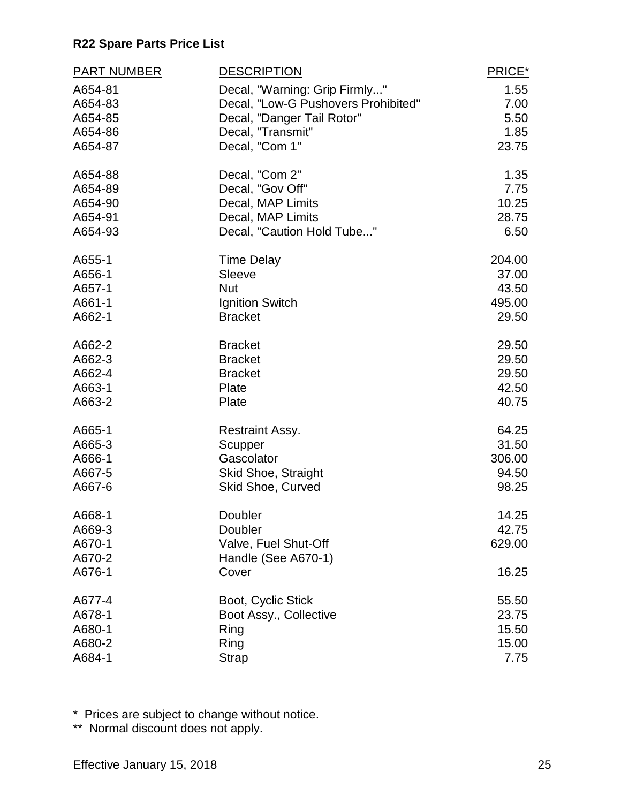| <b>PART NUMBER</b> | <b>DESCRIPTION</b>                       | PRICE*          |
|--------------------|------------------------------------------|-----------------|
| A654-81            | Decal, "Warning: Grip Firmly"            | 1.55            |
| A654-83            | Decal, "Low-G Pushovers Prohibited"      | 7.00            |
| A654-85            | Decal, "Danger Tail Rotor"               | 5.50            |
| A654-86            | Decal, "Transmit"                        | 1.85            |
| A654-87            | Decal, "Com 1"                           | 23.75           |
| A654-88            | Decal, "Com 2"                           | 1.35            |
| A654-89            | Decal, "Gov Off"                         | 7.75            |
| A654-90            | Decal, MAP Limits                        | 10.25           |
| A654-91<br>A654-93 | Decal, MAP Limits                        | 28.75<br>6.50   |
|                    | Decal, "Caution Hold Tube"               |                 |
| A655-1             | <b>Time Delay</b>                        | 204.00          |
| A656-1             | Sleeve                                   | 37.00           |
| A657-1<br>A661-1   | <b>Nut</b>                               | 43.50           |
| A662-1             | Ignition Switch<br><b>Bracket</b>        | 495.00<br>29.50 |
|                    |                                          |                 |
| A662-2             | <b>Bracket</b>                           | 29.50           |
| A662-3             | <b>Bracket</b>                           | 29.50           |
| A662-4             | <b>Bracket</b>                           | 29.50           |
| A663-1             | Plate                                    | 42.50           |
| A663-2             | Plate                                    | 40.75           |
| A665-1             | <b>Restraint Assy.</b>                   | 64.25           |
| A665-3             | Scupper                                  | 31.50           |
| A666-1             | Gascolator                               | 306.00          |
| A667-5<br>A667-6   | Skid Shoe, Straight<br>Skid Shoe, Curved | 94.50<br>98.25  |
|                    |                                          |                 |
| A668-1             | Doubler                                  | 14.25           |
| A669-3             | Doubler                                  | 42.75           |
| A670-1             | Valve, Fuel Shut-Off                     | 629.00          |
| A670-2<br>A676-1   | Handle (See A670-1)<br>Cover             | 16.25           |
|                    |                                          |                 |
| A677-4             | Boot, Cyclic Stick                       | 55.50           |
| A678-1             | Boot Assy., Collective                   | 23.75           |
| A680-1             | Ring                                     | 15.50           |
| A680-2             | Ring                                     | 15.00           |
| A684-1             | <b>Strap</b>                             | 7.75            |

\* Prices are subject to change without notice.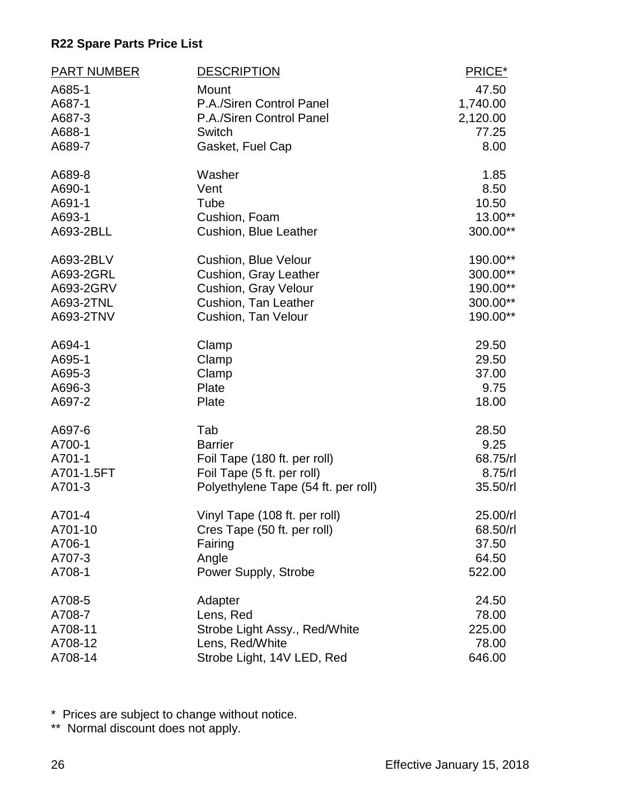| <b>PART NUMBER</b> | <b>DESCRIPTION</b>                  | PRICE*   |
|--------------------|-------------------------------------|----------|
| A685-1             | Mount                               | 47.50    |
| A687-1             | P.A./Siren Control Panel            | 1,740.00 |
| A687-3             | P.A./Siren Control Panel            | 2,120.00 |
| A688-1             | Switch                              | 77.25    |
| A689-7             | Gasket, Fuel Cap                    | 8.00     |
| A689-8             | Washer                              | 1.85     |
| A690-1             | Vent                                | 8.50     |
| A691-1             | Tube                                | 10.50    |
| A693-1             | Cushion, Foam                       | 13.00**  |
| A693-2BLL          | Cushion, Blue Leather               | 300.00** |
| A693-2BLV          | <b>Cushion, Blue Velour</b>         | 190.00** |
| A693-2GRL          | Cushion, Gray Leather               | 300.00** |
| A693-2GRV          | Cushion, Gray Velour                | 190.00** |
| A693-2TNL          | Cushion, Tan Leather                | 300.00** |
| A693-2TNV          | Cushion, Tan Velour                 | 190.00** |
| A694-1             | Clamp                               | 29.50    |
| A695-1             | Clamp                               | 29.50    |
| A695-3             | Clamp                               | 37.00    |
| A696-3             | Plate                               | 9.75     |
| A697-2             | Plate                               | 18.00    |
| A697-6             | Tab                                 | 28.50    |
| A700-1             | <b>Barrier</b>                      | 9.25     |
| A701-1             | Foil Tape (180 ft. per roll)        | 68.75/rl |
| A701-1.5FT         | Foil Tape (5 ft. per roll)          | 8.75/rl  |
| A701-3             | Polyethylene Tape (54 ft. per roll) | 35.50/rl |
| A701-4             | Vinyl Tape (108 ft. per roll)       | 25.00/rl |
| A701-10            | Cres Tape (50 ft. per roll)         | 68.50/rl |
| A706-1             | Fairing                             | 37.50    |
| A707-3             | Angle                               | 64.50    |
| A708-1             | Power Supply, Strobe                | 522.00   |
| A708-5             | Adapter                             | 24.50    |
| A708-7             | Lens, Red                           | 78.00    |
| A708-11            | Strobe Light Assy., Red/White       | 225.00   |
| A708-12            | Lens, Red/White                     | 78.00    |
| A708-14            | Strobe Light, 14V LED, Red          | 646.00   |

\* Prices are subject to change without notice.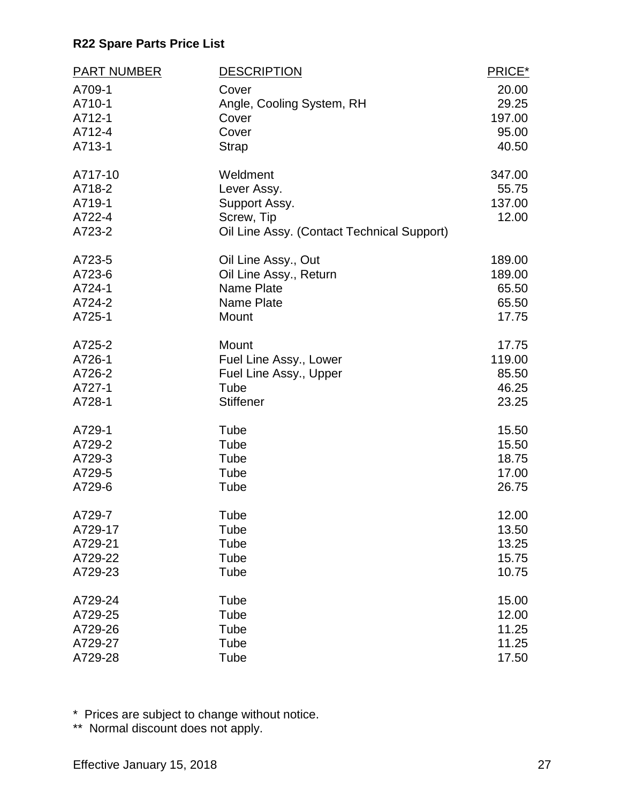| <b>PART NUMBER</b>                              | <b>DESCRIPTION</b>                                                                                   | PRICE*                             |
|-------------------------------------------------|------------------------------------------------------------------------------------------------------|------------------------------------|
| A709-1                                          | Cover                                                                                                | 20.00                              |
| A710-1                                          | Angle, Cooling System, RH                                                                            | 29.25                              |
| A712-1                                          | Cover                                                                                                | 197.00                             |
| A712-4                                          | Cover                                                                                                | 95.00                              |
| A713-1                                          | <b>Strap</b>                                                                                         | 40.50                              |
| A717-10<br>A718-2<br>A719-1<br>A722-4<br>A723-2 | Weldment<br>Lever Assy.<br>Support Assy.<br>Screw, Tip<br>Oil Line Assy. (Contact Technical Support) | 347.00<br>55.75<br>137.00<br>12.00 |
| A723-5                                          | Oil Line Assy., Out                                                                                  | 189.00                             |
| A723-6                                          | Oil Line Assy., Return                                                                               | 189.00                             |
| A724-1                                          | <b>Name Plate</b>                                                                                    | 65.50                              |
| A724-2                                          | Name Plate                                                                                           | 65.50                              |
| A725-1                                          | Mount                                                                                                | 17.75                              |
| A725-2                                          | Mount                                                                                                | 17.75                              |
| A726-1                                          | Fuel Line Assy., Lower                                                                               | 119.00                             |
| A726-2                                          | Fuel Line Assy., Upper                                                                               | 85.50                              |
| A727-1                                          | Tube                                                                                                 | 46.25                              |
| A728-1                                          | <b>Stiffener</b>                                                                                     | 23.25                              |
| A729-1                                          | Tube                                                                                                 | 15.50                              |
| A729-2                                          | Tube                                                                                                 | 15.50                              |
| A729-3                                          | Tube                                                                                                 | 18.75                              |
| A729-5                                          | Tube                                                                                                 | 17.00                              |
| A729-6                                          | Tube                                                                                                 | 26.75                              |
| A729-7                                          | Tube                                                                                                 | 12.00                              |
| A729-17                                         | Tube                                                                                                 | 13.50                              |
| A729-21                                         | Tube                                                                                                 | 13.25                              |
| A729-22                                         | Tube                                                                                                 | 15.75                              |
| A729-23                                         | Tube                                                                                                 | 10.75                              |
| A729-24                                         | Tube                                                                                                 | 15.00                              |
| A729-25                                         | Tube                                                                                                 | 12.00                              |
| A729-26                                         | Tube                                                                                                 | 11.25                              |
| A729-27                                         | Tube                                                                                                 | 11.25                              |
| A729-28                                         | Tube                                                                                                 | 17.50                              |

\* Prices are subject to change without notice.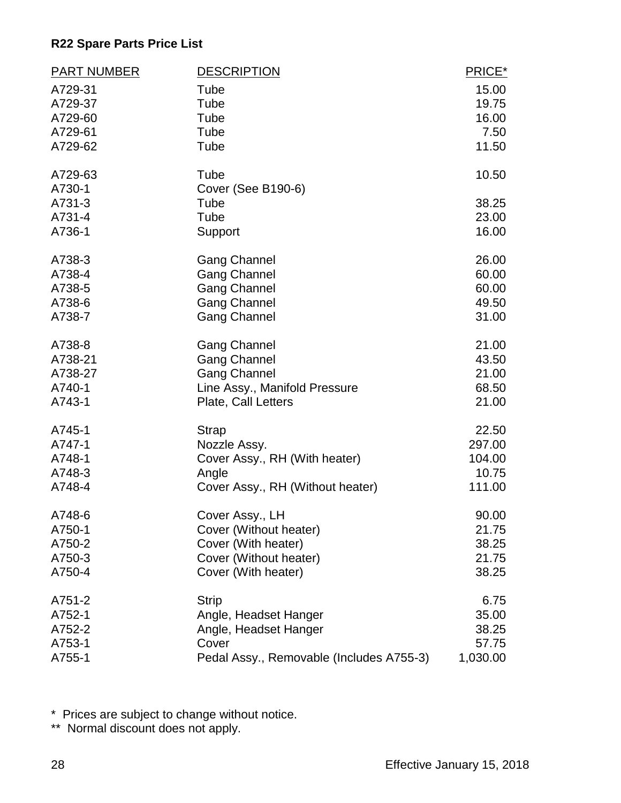| <b>PART NUMBER</b> | <b>DESCRIPTION</b>                       | PRICE*   |
|--------------------|------------------------------------------|----------|
| A729-31            | Tube                                     | 15.00    |
| A729-37            | Tube                                     | 19.75    |
| A729-60            | Tube                                     | 16.00    |
| A729-61            | Tube                                     | 7.50     |
| A729-62            | Tube                                     | 11.50    |
| A729-63            | Tube                                     | 10.50    |
| A730-1             | Cover (See B190-6)                       |          |
| A731-3             | Tube                                     | 38.25    |
| A731-4             | Tube                                     | 23.00    |
| A736-1             | Support                                  | 16.00    |
| A738-3             | <b>Gang Channel</b>                      | 26.00    |
| A738-4             | <b>Gang Channel</b>                      | 60.00    |
| A738-5             | <b>Gang Channel</b>                      | 60.00    |
| A738-6             | <b>Gang Channel</b>                      | 49.50    |
| A738-7             | <b>Gang Channel</b>                      | 31.00    |
| A738-8             | <b>Gang Channel</b>                      | 21.00    |
| A738-21            | <b>Gang Channel</b>                      | 43.50    |
| A738-27            | <b>Gang Channel</b>                      | 21.00    |
| A740-1             | Line Assy., Manifold Pressure            | 68.50    |
| A743-1             | Plate, Call Letters                      | 21.00    |
| A745-1             | <b>Strap</b>                             | 22.50    |
| A747-1             | Nozzle Assy.                             | 297.00   |
| A748-1             | Cover Assy., RH (With heater)            | 104.00   |
| A748-3             | Angle                                    | 10.75    |
| A748-4             | Cover Assy., RH (Without heater)         | 111.00   |
| A748-6             | Cover Assy., LH                          | 90.00    |
| A750-1             | Cover (Without heater)                   | 21.75    |
| A750-2             | Cover (With heater)                      | 38.25    |
| A750-3             | Cover (Without heater)                   | 21.75    |
| A750-4             | Cover (With heater)                      | 38.25    |
| A751-2             | <b>Strip</b>                             | 6.75     |
| A752-1             | Angle, Headset Hanger                    | 35.00    |
| A752-2             | Angle, Headset Hanger                    | 38.25    |
| A753-1             | Cover                                    | 57.75    |
| A755-1             | Pedal Assy., Removable (Includes A755-3) | 1,030.00 |

\* Prices are subject to change without notice.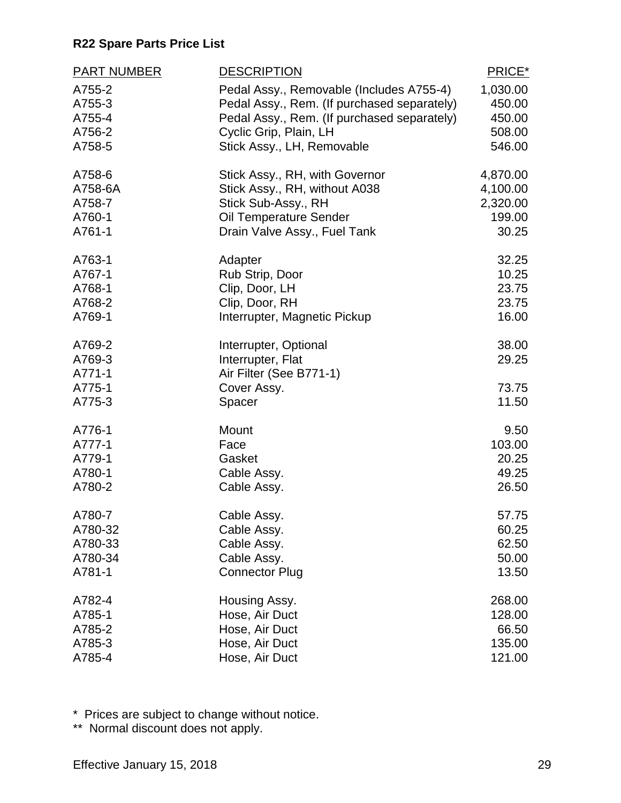| <b>PART NUMBER</b>                             | <b>DESCRIPTION</b>                                                                             | PRICE*                           |
|------------------------------------------------|------------------------------------------------------------------------------------------------|----------------------------------|
| A755-2                                         | Pedal Assy., Removable (Includes A755-4)                                                       | 1,030.00                         |
| A755-3                                         | Pedal Assy., Rem. (If purchased separately)                                                    | 450.00                           |
| A755-4                                         | Pedal Assy., Rem. (If purchased separately)                                                    | 450.00                           |
| A756-2                                         | Cyclic Grip, Plain, LH                                                                         | 508.00                           |
| A758-5                                         | Stick Assy., LH, Removable                                                                     | 546.00                           |
| A758-6                                         | Stick Assy., RH, with Governor                                                                 | 4,870.00                         |
| A758-6A                                        | Stick Assy., RH, without A038                                                                  | 4,100.00                         |
| A758-7                                         | Stick Sub-Assy., RH                                                                            | 2,320.00                         |
| A760-1                                         | Oil Temperature Sender                                                                         | 199.00                           |
| A761-1                                         | Drain Valve Assy., Fuel Tank                                                                   | 30.25                            |
| A763-1                                         | Adapter                                                                                        | 32.25                            |
| A767-1                                         | Rub Strip, Door                                                                                | 10.25                            |
| A768-1                                         | Clip, Door, LH                                                                                 | 23.75                            |
| A768-2                                         | Clip, Door, RH                                                                                 | 23.75                            |
| A769-1                                         | Interrupter, Magnetic Pickup                                                                   | 16.00                            |
| A769-2<br>A769-3<br>A771-1<br>A775-1<br>A775-3 | Interrupter, Optional<br>Interrupter, Flat<br>Air Filter (See B771-1)<br>Cover Assy.<br>Spacer | 38.00<br>29.25<br>73.75<br>11.50 |
| A776-1                                         | Mount                                                                                          | 9.50                             |
| A777-1                                         | Face                                                                                           | 103.00                           |
| A779-1                                         | Gasket                                                                                         | 20.25                            |
| A780-1                                         | Cable Assy.                                                                                    | 49.25                            |
| A780-2                                         | Cable Assy.                                                                                    | 26.50                            |
| A780-7                                         | Cable Assy.                                                                                    | 57.75                            |
| A780-32                                        | Cable Assy.                                                                                    | 60.25                            |
| A780-33                                        | Cable Assy.                                                                                    | 62.50                            |
| A780-34                                        | Cable Assy.                                                                                    | 50.00                            |
| A781-1                                         | <b>Connector Plug</b>                                                                          | 13.50                            |
| A782-4                                         | Housing Assy.                                                                                  | 268.00                           |
| A785-1                                         | Hose, Air Duct                                                                                 | 128.00                           |
| A785-2                                         | Hose, Air Duct                                                                                 | 66.50                            |
| A785-3                                         | Hose, Air Duct                                                                                 | 135.00                           |
| A785-4                                         | Hose, Air Duct                                                                                 | 121.00                           |

\* Prices are subject to change without notice.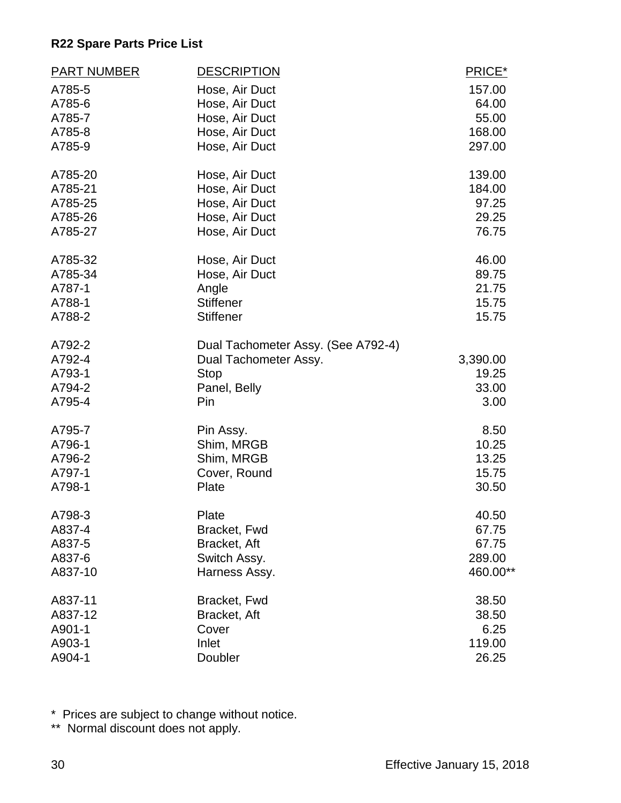| <b>PART NUMBER</b> | <b>DESCRIPTION</b>                 | PRICE*   |
|--------------------|------------------------------------|----------|
| A785-5             | Hose, Air Duct                     | 157.00   |
| A785-6             | Hose, Air Duct                     | 64.00    |
| A785-7             | Hose, Air Duct                     | 55.00    |
| A785-8             | Hose, Air Duct                     | 168.00   |
| A785-9             | Hose, Air Duct                     | 297.00   |
| A785-20            | Hose, Air Duct                     | 139.00   |
| A785-21            | Hose, Air Duct                     | 184.00   |
| A785-25            | Hose, Air Duct                     | 97.25    |
| A785-26            | Hose, Air Duct                     | 29.25    |
| A785-27            | Hose, Air Duct                     | 76.75    |
| A785-32            | Hose, Air Duct                     | 46.00    |
| A785-34            | Hose, Air Duct                     | 89.75    |
| A787-1             | Angle                              | 21.75    |
| A788-1             | <b>Stiffener</b>                   | 15.75    |
| A788-2             | <b>Stiffener</b>                   | 15.75    |
| A792-2             | Dual Tachometer Assy. (See A792-4) |          |
| A792-4             | Dual Tachometer Assy.              | 3,390.00 |
| A793-1             | <b>Stop</b>                        | 19.25    |
| A794-2             | Panel, Belly                       | 33.00    |
| A795-4             | Pin                                | 3.00     |
| A795-7             | Pin Assy.                          | 8.50     |
| A796-1             | Shim, MRGB                         | 10.25    |
| A796-2             | Shim, MRGB                         | 13.25    |
| A797-1             | Cover, Round                       | 15.75    |
| A798-1             | Plate                              | 30.50    |
| A798-3             | Plate                              | 40.50    |
| A837-4             | Bracket, Fwd                       | 67.75    |
| A837-5             | Bracket, Aft                       | 67.75    |
| A837-6             | Switch Assy.                       | 289.00   |
| A837-10            | Harness Assy.                      | 460.00** |
| A837-11            | Bracket, Fwd                       | 38.50    |
| A837-12            | Bracket, Aft                       | 38.50    |
| A901-1             | Cover                              | 6.25     |
| A903-1             | Inlet                              | 119.00   |
| A904-1             | Doubler                            | 26.25    |

\* Prices are subject to change without notice.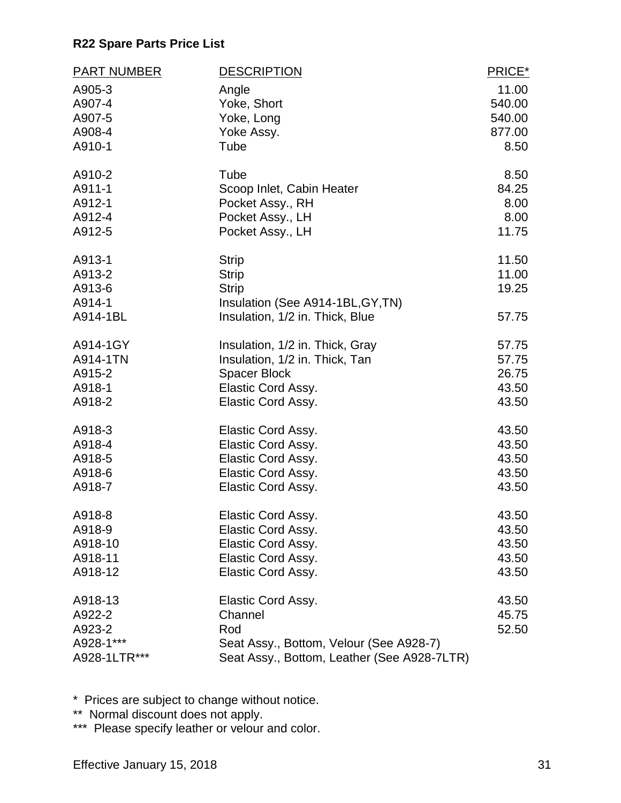| <b>PART NUMBER</b>                                       | <b>DESCRIPTION</b>                                                                                                             | PRICE*                           |
|----------------------------------------------------------|--------------------------------------------------------------------------------------------------------------------------------|----------------------------------|
| A905-3                                                   | Angle                                                                                                                          | 11.00                            |
| A907-4                                                   | Yoke, Short                                                                                                                    | 540.00                           |
| A907-5                                                   | Yoke, Long                                                                                                                     | 540.00                           |
| A908-4                                                   | Yoke Assy.                                                                                                                     | 877.00                           |
| A910-1                                                   | Tube                                                                                                                           | 8.50                             |
| A910-2                                                   | Tube                                                                                                                           | 8.50                             |
| A911-1                                                   | Scoop Inlet, Cabin Heater                                                                                                      | 84.25                            |
| A912-1                                                   | Pocket Assy., RH                                                                                                               | 8.00                             |
| A912-4                                                   | Pocket Assy., LH                                                                                                               | 8.00                             |
| A912-5                                                   | Pocket Assy., LH                                                                                                               | 11.75                            |
| A913-1<br>A913-2<br>A913-6<br>A914-1<br>A914-1BL         | <b>Strip</b><br><b>Strip</b><br><b>Strip</b><br>Insulation (See A914-1BL, GY, TN)<br>Insulation, 1/2 in. Thick, Blue           | 11.50<br>11.00<br>19.25<br>57.75 |
| A914-1GY                                                 | Insulation, 1/2 in. Thick, Gray                                                                                                | 57.75                            |
| A914-1TN                                                 | Insulation, 1/2 in. Thick, Tan                                                                                                 | 57.75                            |
| A915-2                                                   | <b>Spacer Block</b>                                                                                                            | 26.75                            |
| A918-1                                                   | Elastic Cord Assy.                                                                                                             | 43.50                            |
| A918-2                                                   | Elastic Cord Assy.                                                                                                             | 43.50                            |
| A918-3                                                   | Elastic Cord Assy.                                                                                                             | 43.50                            |
| A918-4                                                   | Elastic Cord Assy.                                                                                                             | 43.50                            |
| A918-5                                                   | Elastic Cord Assy.                                                                                                             | 43.50                            |
| A918-6                                                   | Elastic Cord Assy.                                                                                                             | 43.50                            |
| A918-7                                                   | Elastic Cord Assy.                                                                                                             | 43.50                            |
| A918-8                                                   | Elastic Cord Assy.                                                                                                             | 43.50                            |
| A918-9                                                   | Elastic Cord Assy.                                                                                                             | 43.50                            |
| A918-10                                                  | <b>Elastic Cord Assy.</b>                                                                                                      | 43.50                            |
| A918-11                                                  | Elastic Cord Assy.                                                                                                             | 43.50                            |
| A918-12                                                  | Elastic Cord Assy.                                                                                                             | 43.50                            |
| A918-13<br>A922-2<br>A923-2<br>A928-1***<br>A928-1LTR*** | Elastic Cord Assy.<br>Channel<br>Rod<br>Seat Assy., Bottom, Velour (See A928-7)<br>Seat Assy., Bottom, Leather (See A928-7LTR) | 43.50<br>45.75<br>52.50          |

\* Prices are subject to change without notice.

\*\* Normal discount does not apply.

\*\*\* Please specify leather or velour and color.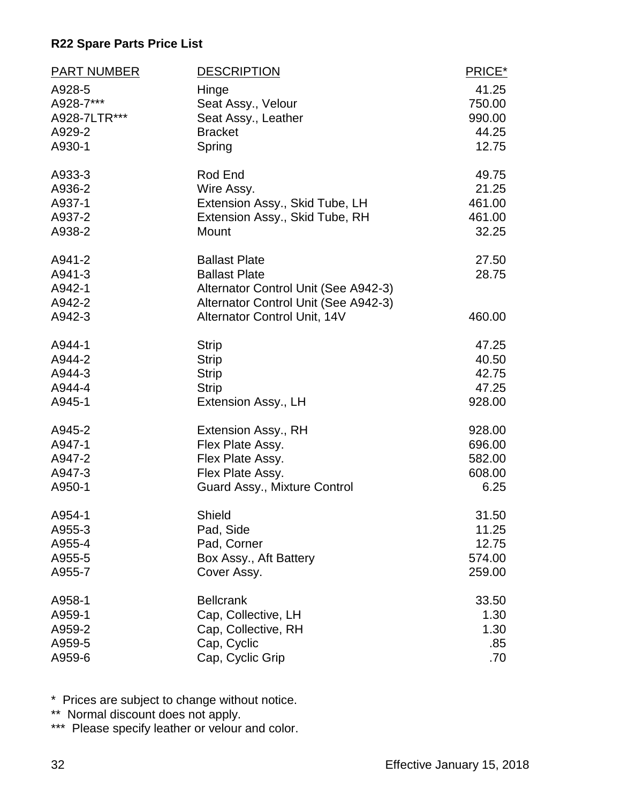| <b>PART NUMBER</b> | <b>DESCRIPTION</b>                   | PRICE* |
|--------------------|--------------------------------------|--------|
| A928-5             | Hinge                                | 41.25  |
| A928-7***          | Seat Assy., Velour                   | 750.00 |
| A928-7LTR***       | Seat Assy., Leather                  | 990.00 |
| A929-2             | <b>Bracket</b>                       | 44.25  |
| A930-1             | Spring                               | 12.75  |
| A933-3             | Rod End                              | 49.75  |
| A936-2             | Wire Assy.                           | 21.25  |
| A937-1             | Extension Assy., Skid Tube, LH       | 461.00 |
| A937-2             | Extension Assy., Skid Tube, RH       | 461.00 |
| A938-2             | Mount                                | 32.25  |
| A941-2             | <b>Ballast Plate</b>                 | 27.50  |
| A941-3             | <b>Ballast Plate</b>                 | 28.75  |
| A942-1             | Alternator Control Unit (See A942-3) |        |
| A942-2             | Alternator Control Unit (See A942-3) |        |
| A942-3             | Alternator Control Unit, 14V         | 460.00 |
| A944-1             | <b>Strip</b>                         | 47.25  |
| A944-2             | <b>Strip</b>                         | 40.50  |
| A944-3             | <b>Strip</b>                         | 42.75  |
| A944-4             | <b>Strip</b>                         | 47.25  |
| A945-1             | Extension Assy., LH                  | 928.00 |
| A945-2             | Extension Assy., RH                  | 928.00 |
| A947-1             | Flex Plate Assy.                     | 696.00 |
| A947-2             | Flex Plate Assy.                     | 582.00 |
| A947-3             | Flex Plate Assy.                     | 608.00 |
| A950-1             | Guard Assy., Mixture Control         | 6.25   |
| A954-1             | Shield                               | 31.50  |
| A955-3             | Pad, Side                            | 11.25  |
| A955-4             | Pad, Corner                          | 12.75  |
| A955-5             | Box Assy., Aft Battery               | 574.00 |
| A955-7             | Cover Assy.                          | 259.00 |
| A958-1             | <b>Bellcrank</b>                     | 33.50  |
| A959-1             | Cap, Collective, LH                  | 1.30   |
| A959-2             | Cap, Collective, RH                  | 1.30   |
| A959-5             | Cap, Cyclic                          | .85    |
| A959-6             | Cap, Cyclic Grip                     | .70    |

\* Prices are subject to change without notice.

\*\* Normal discount does not apply.

\*\*\* Please specify leather or velour and color.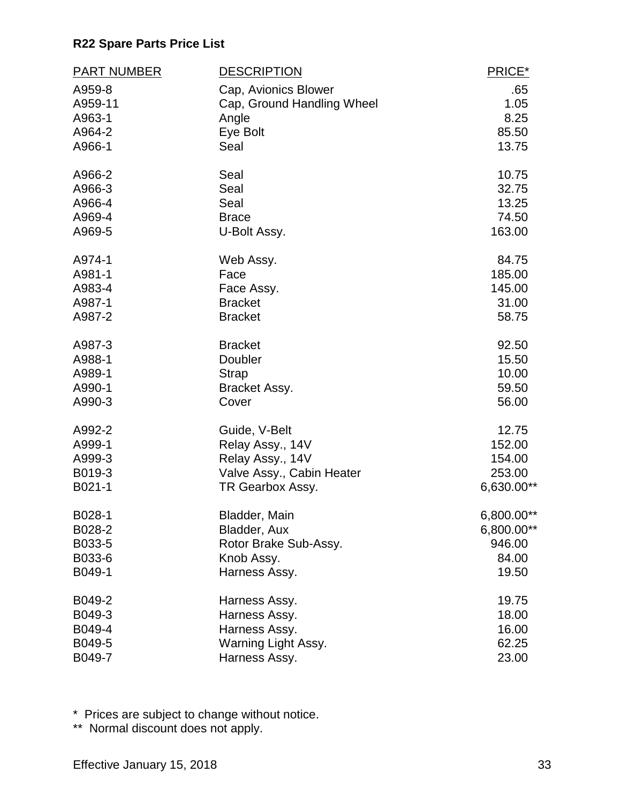| <b>PART NUMBER</b> | <b>DESCRIPTION</b>         | PRICE*     |
|--------------------|----------------------------|------------|
| A959-8             | Cap, Avionics Blower       | .65        |
| A959-11            | Cap, Ground Handling Wheel | 1.05       |
| A963-1             | Angle                      | 8.25       |
| A964-2             | Eye Bolt                   | 85.50      |
| A966-1             | Seal                       | 13.75      |
| A966-2             | Seal                       | 10.75      |
| A966-3             | Seal                       | 32.75      |
| A966-4             | Seal                       | 13.25      |
| A969-4             | <b>Brace</b>               | 74.50      |
| A969-5             | U-Bolt Assy.               | 163.00     |
| A974-1             | Web Assy.                  | 84.75      |
| A981-1             | Face                       | 185.00     |
| A983-4             | Face Assy.                 | 145.00     |
| A987-1             | <b>Bracket</b>             | 31.00      |
| A987-2             | <b>Bracket</b>             | 58.75      |
| A987-3             | <b>Bracket</b>             | 92.50      |
| A988-1             | Doubler                    | 15.50      |
| A989-1             | <b>Strap</b>               | 10.00      |
| A990-1             | Bracket Assy.              | 59.50      |
| A990-3             | Cover                      | 56.00      |
| A992-2             | Guide, V-Belt              | 12.75      |
| A999-1             | Relay Assy., 14V           | 152.00     |
| A999-3             | Relay Assy., 14V           | 154.00     |
| B019-3             | Valve Assy., Cabin Heater  | 253.00     |
| B021-1             | TR Gearbox Assy.           | 6,630.00** |
| B028-1             | Bladder, Main              | 6,800.00** |
| B028-2             | Bladder, Aux               | 6,800.00** |
| B033-5             | Rotor Brake Sub-Assy.      | 946.00     |
| B033-6             | Knob Assy.                 | 84.00      |
| B049-1             | Harness Assy.              | 19.50      |
| B049-2             | Harness Assy.              | 19.75      |
| B049-3             | Harness Assy.              | 18.00      |
| B049-4             | Harness Assy.              | 16.00      |
| B049-5             | Warning Light Assy.        | 62.25      |
| B049-7             | Harness Assy.              | 23.00      |

\* Prices are subject to change without notice.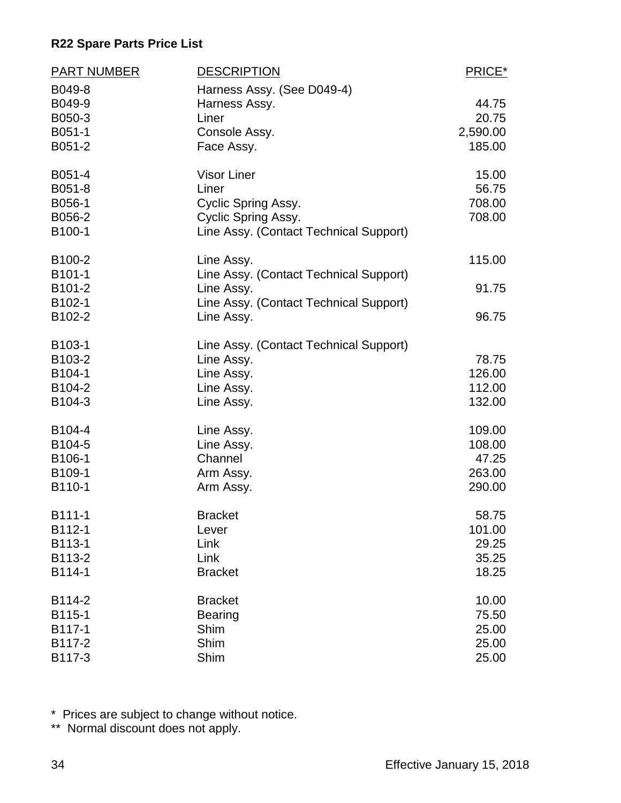| <b>PART NUMBER</b>                             | <b>DESCRIPTION</b>                                                                                                  | PRICE*                                        |
|------------------------------------------------|---------------------------------------------------------------------------------------------------------------------|-----------------------------------------------|
| B049-8<br>B049-9<br>B050-3<br>B051-1<br>B051-2 | Harness Assy. (See D049-4)<br>Harness Assy.<br>Liner<br>Console Assy.<br>Face Assy.                                 | 44.75<br>20.75<br>2,590.00<br>185.00          |
| B051-4<br>B051-8<br>B056-1<br>B056-2<br>B100-1 | <b>Visor Liner</b><br>Liner<br>Cyclic Spring Assy.<br>Cyclic Spring Assy.<br>Line Assy. (Contact Technical Support) | 15.00<br>56.75<br>708.00<br>708.00            |
| B100-2                                         | Line Assy.                                                                                                          | 115.00                                        |
| B101-1<br>B101-2                               | Line Assy. (Contact Technical Support)<br>Line Assy.                                                                | 91.75                                         |
| B102-1<br>B102-2                               | Line Assy. (Contact Technical Support)<br>Line Assy.                                                                | 96.75                                         |
| B103-1<br>B103-2<br>B104-1<br>B104-2<br>B104-3 | Line Assy. (Contact Technical Support)<br>Line Assy.<br>Line Assy.<br>Line Assy.<br>Line Assy.                      | 78.75<br>126.00<br>112.00<br>132.00           |
| B104-4<br>B104-5<br>B106-1<br>B109-1<br>B110-1 | Line Assy.<br>Line Assy.<br>Channel<br>Arm Assy.<br>Arm Assy.                                                       | 109.00<br>108.00<br>47.25<br>263.00<br>290.00 |
| B111-1<br>B112-1<br>B113-1<br>B113-2<br>B114-1 | <b>Bracket</b><br>Lever<br>Link<br>Link<br><b>Bracket</b>                                                           | 58.75<br>101.00<br>29.25<br>35.25<br>18.25    |
| B114-2<br>B115-1<br>B117-1<br>B117-2<br>B117-3 | <b>Bracket</b><br><b>Bearing</b><br>Shim<br>Shim<br>Shim                                                            | 10.00<br>75.50<br>25.00<br>25.00<br>25.00     |

\* Prices are subject to change without notice.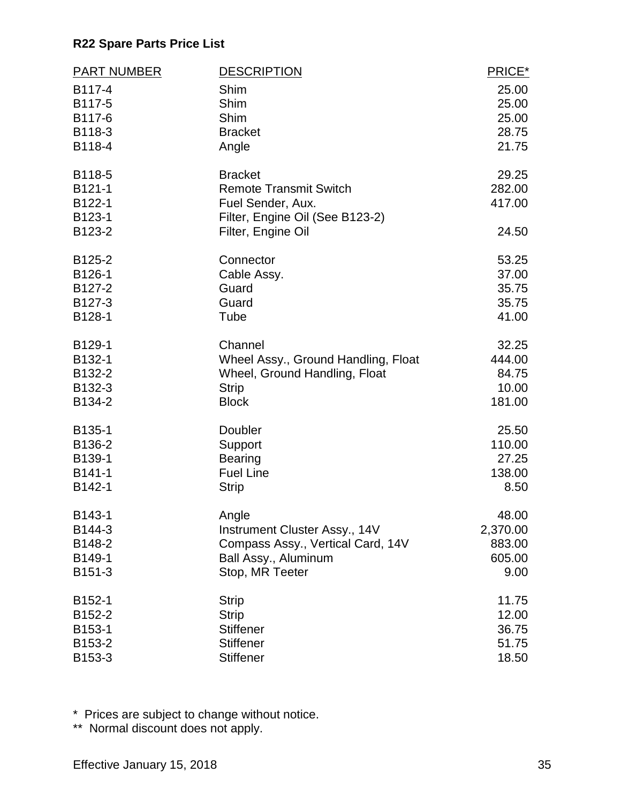| <b>PART NUMBER</b>  | <b>DESCRIPTION</b>                                   | PRICE*   |
|---------------------|------------------------------------------------------|----------|
| B117-4              | Shim                                                 | 25.00    |
| B117-5              | Shim                                                 | 25.00    |
| B117-6              | Shim                                                 | 25.00    |
| B118-3              | <b>Bracket</b>                                       | 28.75    |
| B118-4              | Angle                                                | 21.75    |
| B118-5              | <b>Bracket</b>                                       | 29.25    |
| B121-1              | <b>Remote Transmit Switch</b>                        | 282.00   |
| B122-1<br>B123-1    | Fuel Sender, Aux.<br>Filter, Engine Oil (See B123-2) | 417.00   |
| B123-2              | Filter, Engine Oil                                   | 24.50    |
| B125-2              | Connector                                            | 53.25    |
| B126-1              | Cable Assy.                                          | 37.00    |
| B127-2              | Guard                                                | 35.75    |
| B127-3              | Guard                                                | 35.75    |
| B128-1              | Tube                                                 | 41.00    |
| B129-1              | Channel                                              | 32.25    |
| B132-1              | Wheel Assy., Ground Handling, Float                  | 444.00   |
| B132-2              | Wheel, Ground Handling, Float                        | 84.75    |
| B132-3              | <b>Strip</b>                                         | 10.00    |
| B134-2              | <b>Block</b>                                         | 181.00   |
| B135-1              | Doubler                                              | 25.50    |
| B136-2              | Support                                              | 110.00   |
| B139-1              | <b>Bearing</b>                                       | 27.25    |
| B141-1              | <b>Fuel Line</b>                                     | 138.00   |
| B142-1              | <b>Strip</b>                                         | 8.50     |
| B143-1              | Angle                                                | 48.00    |
| B144-3              | Instrument Cluster Assy., 14V                        | 2,370.00 |
| B148-2              | Compass Assy., Vertical Card, 14V                    | 883.00   |
| B149-1              | Ball Assy., Aluminum                                 | 605.00   |
| B151-3              | Stop, MR Teeter                                      | 9.00     |
| B152-1              | <b>Strip</b>                                         | 11.75    |
| B <sub>152</sub> -2 | <b>Strip</b>                                         | 12.00    |
| B153-1              | <b>Stiffener</b>                                     | 36.75    |
| B153-2              | <b>Stiffener</b>                                     | 51.75    |
| B153-3              | <b>Stiffener</b>                                     | 18.50    |

\* Prices are subject to change without notice.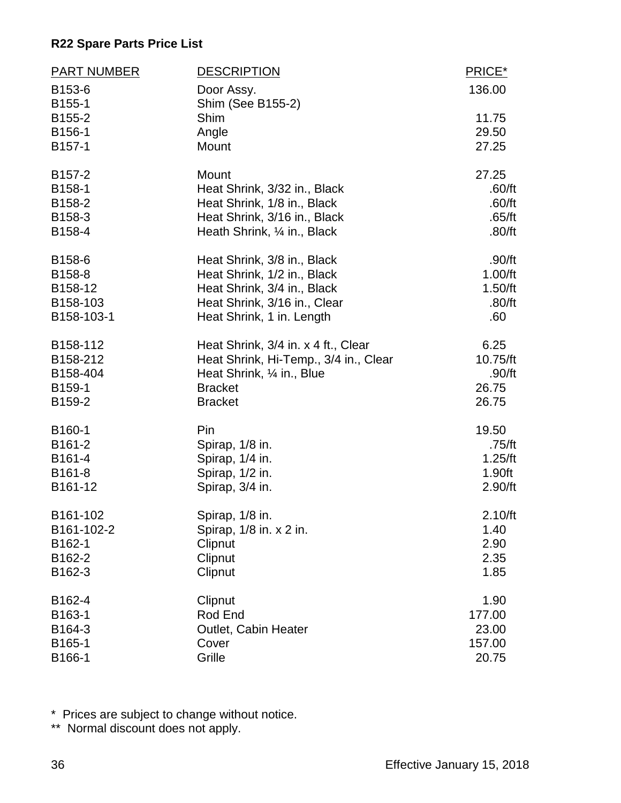| <b>PART NUMBER</b> | <b>DESCRIPTION</b>                    | PRICE*   |
|--------------------|---------------------------------------|----------|
| B153-6<br>B155-1   | Door Assy.<br>Shim (See B155-2)       | 136.00   |
| B155-2             | Shim                                  | 11.75    |
| B156-1             | Angle                                 | 29.50    |
| B157-1             | Mount                                 | 27.25    |
| B157-2             | Mount                                 | 27.25    |
| B158-1             | Heat Shrink, 3/32 in., Black          | .60/ft   |
| B158-2             | Heat Shrink, 1/8 in., Black           | .60/ft   |
| B158-3             | Heat Shrink, 3/16 in., Black          | .65/ft   |
| B158-4             | Heath Shrink, 1/4 in., Black          | .80/ft   |
| B158-6             | Heat Shrink, 3/8 in., Black           | .90/ft   |
| B158-8             | Heat Shrink, 1/2 in., Black           | 1.00/ft  |
| B158-12            | Heat Shrink, 3/4 in., Black           | 1.50/ft  |
| B158-103           | Heat Shrink, 3/16 in., Clear          | .80/ft   |
| B158-103-1         | Heat Shrink, 1 in. Length             | .60      |
| B158-112           | Heat Shrink, 3/4 in. x 4 ft., Clear   | 6.25     |
| B158-212           | Heat Shrink, Hi-Temp., 3/4 in., Clear | 10.75/ft |
| B158-404           | Heat Shrink, 1/4 in., Blue            | .90/ft   |
| B159-1             | <b>Bracket</b>                        | 26.75    |
| B159-2             | <b>Bracket</b>                        | 26.75    |
| B160-1             | Pin                                   | 19.50    |
| B161-2             | Spirap, 1/8 in.                       | .75/ft   |
| B161-4             | Spirap, 1/4 in.                       | 1.25/ft  |
| B161-8             | Spirap, 1/2 in.                       | 1.90ft   |
| B161-12            | Spirap, 3/4 in.                       | 2.90/ft  |
| B161-102           | Spirap, 1/8 in                        | 2.10/ft  |
| B161-102-2         | Spirap, 1/8 in. x 2 in.               | 1.40     |
| B162-1             | Clipnut                               | 2.90     |
| B162-2             | Clipnut                               | 2.35     |
| B162-3             | Clipnut                               | 1.85     |
| B162-4             | Clipnut                               | 1.90     |
| B163-1             | Rod End                               | 177.00   |
| B164-3             | Outlet, Cabin Heater                  | 23.00    |
| B165-1             | Cover                                 | 157.00   |
| B166-1             | Grille                                | 20.75    |

\* Prices are subject to change without notice.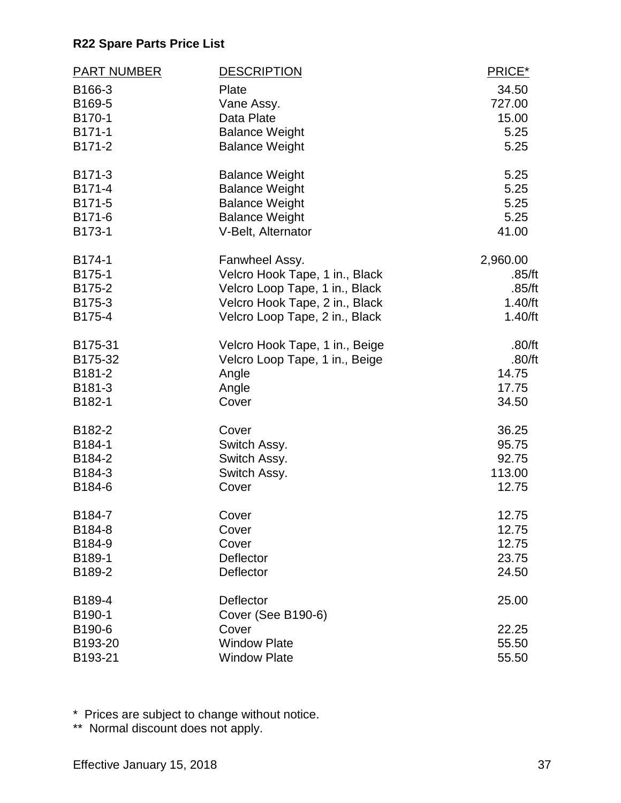| <b>PART NUMBER</b> | <b>DESCRIPTION</b>             | PRICE*   |
|--------------------|--------------------------------|----------|
| B166-3             | Plate                          | 34.50    |
| B169-5             | Vane Assy.                     | 727.00   |
| B170-1             | Data Plate                     | 15.00    |
| B171-1             | <b>Balance Weight</b>          | 5.25     |
| B171-2             | <b>Balance Weight</b>          | 5.25     |
| B171-3             | <b>Balance Weight</b>          | 5.25     |
| B171-4             | <b>Balance Weight</b>          | 5.25     |
| B171-5             | <b>Balance Weight</b>          | 5.25     |
| B171-6             | <b>Balance Weight</b>          | 5.25     |
| B173-1             | V-Belt, Alternator             | 41.00    |
| B174-1             | Fanwheel Assy.                 | 2,960.00 |
| B175-1             | Velcro Hook Tape, 1 in., Black | .85/ft   |
| B175-2             | Velcro Loop Tape, 1 in., Black | .85/ft   |
| B175-3             | Velcro Hook Tape, 2 in., Black | 1.40/ft  |
| B175-4             | Velcro Loop Tape, 2 in., Black | 1.40/ft  |
| B175-31            | Velcro Hook Tape, 1 in., Beige | .80/ft   |
| B175-32            | Velcro Loop Tape, 1 in., Beige | .80/ft   |
| B181-2             | Angle                          | 14.75    |
| B181-3             | Angle                          | 17.75    |
| B182-1             | Cover                          | 34.50    |
| B182-2             | Cover                          | 36.25    |
| B184-1             | Switch Assy.                   | 95.75    |
| B184-2             | Switch Assy.                   | 92.75    |
| B184-3             | Switch Assy.                   | 113.00   |
| B184-6             | Cover                          | 12.75    |
| B184-7             | Cover                          | 12.75    |
| B184-8             | Cover                          | 12.75    |
| B184-9             | Cover                          | 12.75    |
| B189-1             | Deflector                      | 23.75    |
| B189-2             | Deflector                      | 24.50    |
| B189-4             | Deflector                      | 25.00    |
| B190-1             | <b>Cover (See B190-6)</b>      |          |
| B190-6             | Cover                          | 22.25    |
| B193-20            | <b>Window Plate</b>            | 55.50    |
| B193-21            | <b>Window Plate</b>            | 55.50    |

\* Prices are subject to change without notice.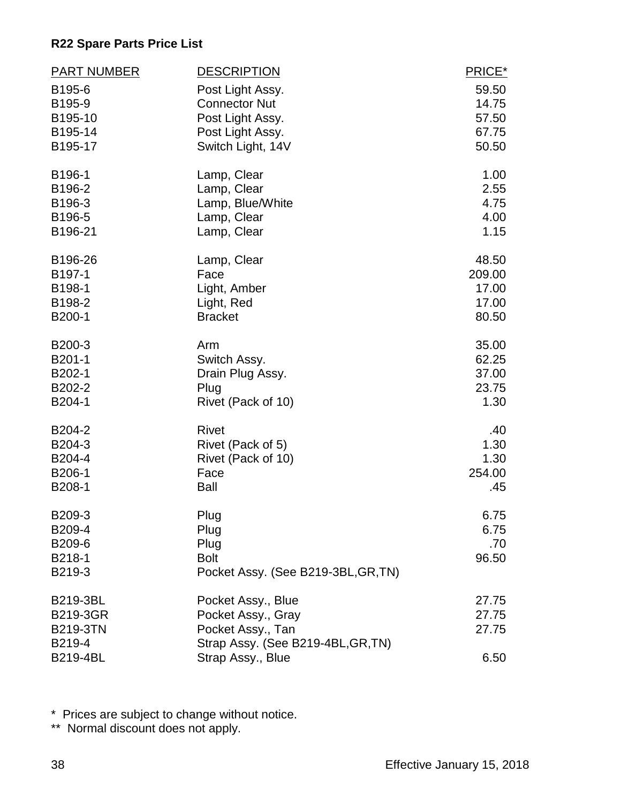| <b>PART NUMBER</b> | <b>DESCRIPTION</b>                  | PRICE*         |
|--------------------|-------------------------------------|----------------|
| B195-6             | Post Light Assy.                    | 59.50          |
| B195-9             | <b>Connector Nut</b>                | 14.75          |
| B195-10            | Post Light Assy.                    | 57.50          |
| B195-14            | Post Light Assy.                    | 67.75          |
| B195-17            | Switch Light, 14V                   | 50.50          |
| B196-1             | Lamp, Clear                         | 1.00           |
| B196-2             | Lamp, Clear                         | 2.55           |
| B196-3             | Lamp, Blue/White                    | 4.75           |
| B196-5<br>B196-21  | Lamp, Clear                         | 4.00<br>1.15   |
|                    | Lamp, Clear                         |                |
| B196-26            | Lamp, Clear                         | 48.50          |
| B197-1             | Face                                | 209.00         |
| B198-1<br>B198-2   | Light, Amber<br>Light, Red          | 17.00<br>17.00 |
| B200-1             | <b>Bracket</b>                      | 80.50          |
|                    |                                     |                |
| B200-3             | Arm                                 | 35.00          |
| B201-1             | Switch Assy.                        | 62.25          |
| B202-1             | Drain Plug Assy.                    | 37.00          |
| B202-2             | Plug                                | 23.75          |
| B204-1             | Rivet (Pack of 10)                  | 1.30           |
| B204-2             | <b>Rivet</b>                        | .40            |
| B204-3             | Rivet (Pack of 5)                   | 1.30           |
| B204-4             | Rivet (Pack of 10)                  | 1.30           |
| B206-1             | Face                                | 254.00         |
| B208-1             | <b>Ball</b>                         | .45            |
| B209-3             | Plug                                | 6.75           |
| B209-4             | Plug                                | 6.75           |
| B209-6             | Plug                                | .70            |
| B218-1             | <b>Bolt</b>                         | 96.50          |
| B219-3             | Pocket Assy. (See B219-3BL, GR, TN) |                |
| <b>B219-3BL</b>    | Pocket Assy., Blue                  | 27.75          |
| <b>B219-3GR</b>    | Pocket Assy., Gray                  | 27.75          |
| <b>B219-3TN</b>    | Pocket Assy., Tan                   | 27.75          |
| B219-4             | Strap Assy. (See B219-4BL, GR, TN)  |                |
| <b>B219-4BL</b>    | Strap Assy., Blue                   | 6.50           |

\* Prices are subject to change without notice.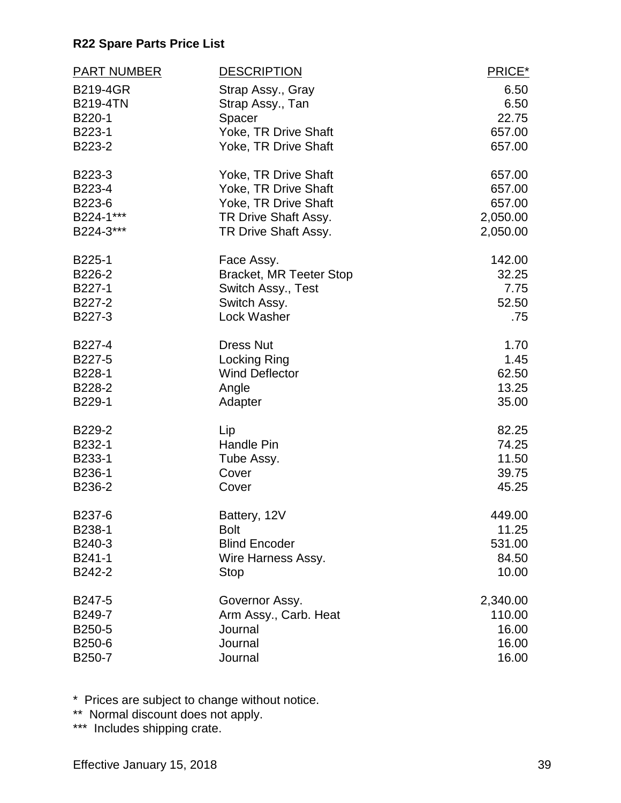| <b>PART NUMBER</b>     | <b>DESCRIPTION</b>                 | PRICE*        |
|------------------------|------------------------------------|---------------|
| <b>B219-4GR</b>        | Strap Assy., Gray                  | 6.50          |
| <b>B219-4TN</b>        | Strap Assy., Tan                   | 6.50          |
| B220-1                 | Spacer                             | 22.75         |
| B223-1                 | Yoke, TR Drive Shaft               | 657.00        |
| B223-2                 | Yoke, TR Drive Shaft               | 657.00        |
| B223-3                 | Yoke, TR Drive Shaft               | 657.00        |
| B223-4                 | Yoke, TR Drive Shaft               | 657.00        |
| B223-6                 | Yoke, TR Drive Shaft               | 657.00        |
| B224-1***<br>B224-3*** | TR Drive Shaft Assy.               | 2,050.00      |
|                        | TR Drive Shaft Assy.               | 2,050.00      |
| B225-1                 | Face Assy.                         | 142.00        |
| B226-2                 | <b>Bracket, MR Teeter Stop</b>     | 32.25         |
| B227-1<br>B227-2       | Switch Assy., Test<br>Switch Assy. | 7.75<br>52.50 |
| B227-3                 | Lock Washer                        | .75           |
|                        |                                    |               |
| B227-4                 | <b>Dress Nut</b>                   | 1.70          |
| B227-5                 | <b>Locking Ring</b>                | 1.45          |
| B228-1                 | <b>Wind Deflector</b>              | 62.50         |
| B228-2                 | Angle                              | 13.25         |
| B229-1                 | Adapter                            | 35.00         |
| B229-2                 | Lip                                | 82.25         |
| B232-1                 | Handle Pin                         | 74.25         |
| B233-1                 | Tube Assy.                         | 11.50         |
| B236-1                 | Cover                              | 39.75         |
| B236-2                 | Cover                              | 45.25         |
| B237-6                 | Battery, 12V                       | 449.00        |
| B238-1                 | <b>Bolt</b>                        | 11.25         |
| B240-3                 | <b>Blind Encoder</b>               | 531.00        |
| B241-1                 | Wire Harness Assy.                 | 84.50         |
| B242-2                 | <b>Stop</b>                        | 10.00         |
| B247-5                 | Governor Assy.                     | 2,340.00      |
| B249-7                 | Arm Assy., Carb. Heat              | 110.00        |
| B250-5                 | Journal                            | 16.00         |
| B250-6                 | Journal                            | 16.00         |
| B250-7                 | Journal                            | 16.00         |

\* Prices are subject to change without notice.

\*\* Normal discount does not apply.

\*\*\* Includes shipping crate.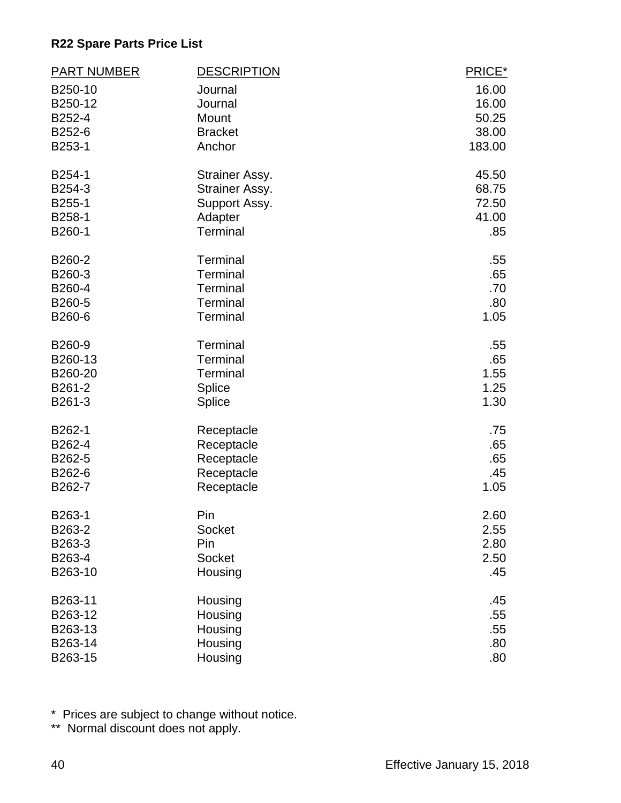| <b>PART NUMBER</b> | <b>DESCRIPTION</b> | PRICE* |
|--------------------|--------------------|--------|
| B250-10            | Journal            | 16.00  |
| B250-12            | Journal            | 16.00  |
| B252-4             | Mount              | 50.25  |
| B252-6             | <b>Bracket</b>     | 38.00  |
| B253-1             | Anchor             | 183.00 |
| B254-1             | Strainer Assy.     | 45.50  |
| B254-3             | Strainer Assy.     | 68.75  |
| B255-1             | Support Assy.      | 72.50  |
| B258-1             | Adapter            | 41.00  |
| B260-1             | <b>Terminal</b>    | .85    |
| B260-2             | Terminal           | .55    |
| B260-3             | <b>Terminal</b>    | .65    |
| B260-4             | Terminal           | .70    |
| B260-5             | Terminal           | .80    |
| B260-6             | <b>Terminal</b>    | 1.05   |
| B260-9             | Terminal           | .55    |
| B260-13            | <b>Terminal</b>    | .65    |
| B260-20            | Terminal           | 1.55   |
| B261-2             | Splice             | 1.25   |
| B261-3             | <b>Splice</b>      | 1.30   |
| B262-1             | Receptacle         | .75    |
| B262-4             | Receptacle         | .65    |
| B262-5             | Receptacle         | .65    |
| B262-6             | Receptacle         | .45    |
| B262-7             | Receptacle         | 1.05   |
| B263-1             | Pin                | 2.60   |
| B263-2             | Socket             | 2.55   |
| B263-3             | Pin                | 2.80   |
| B263-4             | Socket             | 2.50   |
| B263-10            | Housing            | .45    |
| B263-11            | Housing            | .45    |
| B263-12            | Housing            | .55    |
| B263-13            | Housing            | .55    |
| B263-14            | Housing            | .80    |
| B263-15            | Housing            | .80    |

\* Prices are subject to change without notice.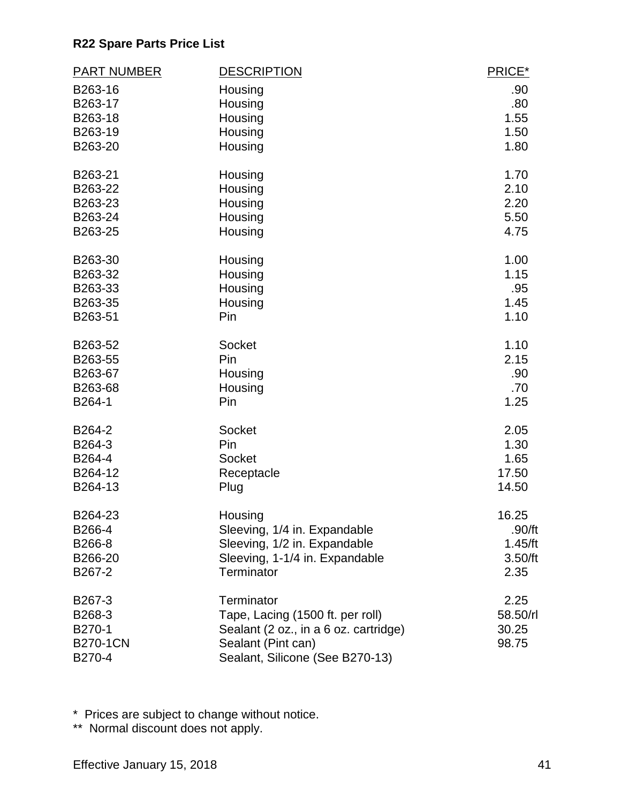| <b>PART NUMBER</b> | <b>DESCRIPTION</b>                    | PRICE*   |
|--------------------|---------------------------------------|----------|
| B263-16            | Housing                               | .90      |
| B263-17            | Housing                               | .80      |
| B263-18            | Housing                               | 1.55     |
| B263-19            | Housing                               | 1.50     |
| B263-20            | Housing                               | 1.80     |
| B263-21            | Housing                               | 1.70     |
| B263-22            | Housing                               | 2.10     |
| B263-23            | Housing                               | 2.20     |
| B263-24            | Housing                               | 5.50     |
| B263-25            | Housing                               | 4.75     |
| B263-30            | Housing                               | 1.00     |
| B263-32            | Housing                               | 1.15     |
| B263-33            | Housing                               | .95      |
| B263-35            | Housing                               | 1.45     |
| B263-51            | Pin                                   | 1.10     |
| B263-52            | Socket                                | 1.10     |
| B263-55            | Pin                                   | 2.15     |
| B263-67            | Housing                               | .90      |
| B263-68            | Housing                               | .70      |
| B264-1             | Pin                                   | 1.25     |
| B264-2             | Socket                                | 2.05     |
| B264-3             | Pin                                   | 1.30     |
| B264-4             | <b>Socket</b>                         | 1.65     |
| B264-12            | Receptacle                            | 17.50    |
| B264-13            | Plug                                  | 14.50    |
| B264-23            | Housing                               | 16.25    |
| B266-4             | Sleeving, 1/4 in. Expandable          | .90/ft   |
| B266-8             | Sleeving, 1/2 in. Expandable          | 1.45/ft  |
| B266-20            | Sleeving, 1-1/4 in. Expandable        | 3.50/ft  |
| B267-2             | Terminator                            | 2.35     |
| B267-3             | Terminator                            | 2.25     |
| B268-3             | Tape, Lacing (1500 ft. per roll)      | 58.50/rl |
| B270-1             | Sealant (2 oz., in a 6 oz. cartridge) | 30.25    |
| <b>B270-1CN</b>    | Sealant (Pint can)                    | 98.75    |
| B270-4             | Sealant, Silicone (See B270-13)       |          |

\* Prices are subject to change without notice.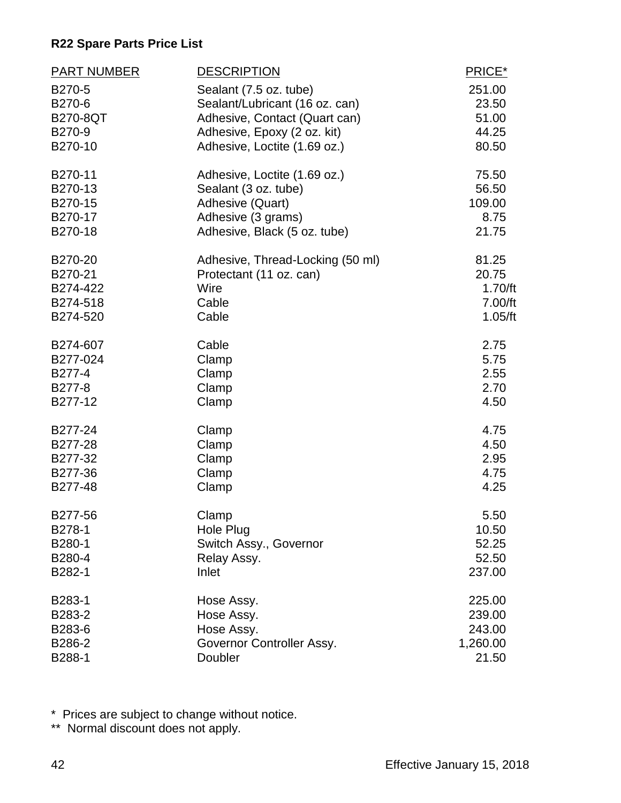| <b>PART NUMBER</b> | <b>DESCRIPTION</b>               | PRICE*   |
|--------------------|----------------------------------|----------|
| B270-5             | Sealant (7.5 oz. tube)           | 251.00   |
| B270-6             | Sealant/Lubricant (16 oz. can)   | 23.50    |
| <b>B270-8QT</b>    | Adhesive, Contact (Quart can)    | 51.00    |
| B270-9             | Adhesive, Epoxy (2 oz. kit)      | 44.25    |
| B270-10            | Adhesive, Loctite (1.69 oz.)     | 80.50    |
| B270-11            | Adhesive, Loctite (1.69 oz.)     | 75.50    |
| B270-13            | Sealant (3 oz. tube)             | 56.50    |
| B270-15            | Adhesive (Quart)                 | 109.00   |
| B270-17            | Adhesive (3 grams)               | 8.75     |
| B270-18            | Adhesive, Black (5 oz. tube)     | 21.75    |
| B270-20            | Adhesive, Thread-Locking (50 ml) | 81.25    |
| B270-21            | Protectant (11 oz. can)          | 20.75    |
| B274-422           | Wire                             | 1.70/ft  |
| B274-518           | Cable                            | 7.00/ft  |
| B274-520           | Cable                            | 1.05/ft  |
| B274-607           | Cable                            | 2.75     |
| B277-024           | Clamp                            | 5.75     |
| B277-4             | Clamp                            | 2.55     |
| B277-8             | Clamp                            | 2.70     |
| B277-12            | Clamp                            | 4.50     |
| B277-24            | Clamp                            | 4.75     |
| B277-28            | Clamp                            | 4.50     |
| B277-32            | Clamp                            | 2.95     |
| B277-36            | Clamp                            | 4.75     |
| B277-48            | Clamp                            | 4.25     |
| B277-56            | Clamp                            | 5.50     |
| B278-1             | Hole Plug                        | 10.50    |
| B280-1             | Switch Assy., Governor           | 52.25    |
| B280-4             | Relay Assy.                      | 52.50    |
| B282-1             | Inlet                            | 237.00   |
| B283-1             | Hose Assy.                       | 225.00   |
| B283-2             | Hose Assy.                       | 239.00   |
| B283-6             | Hose Assy.                       | 243.00   |
| B286-2             | Governor Controller Assy.        | 1,260.00 |
| B288-1             | Doubler                          | 21.50    |

\* Prices are subject to change without notice.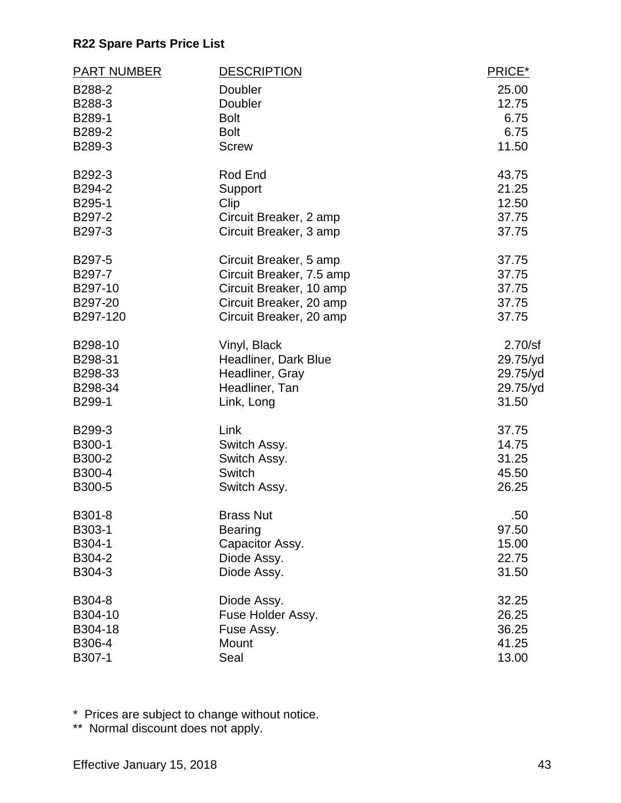| <b>PART NUMBER</b> | <b>DESCRIPTION</b>       | PRICE*   |
|--------------------|--------------------------|----------|
| B288-2             | Doubler                  | 25.00    |
| B288-3             | Doubler                  | 12.75    |
| B289-1             | <b>Bolt</b>              | 6.75     |
| B289-2             | <b>Bolt</b>              | 6.75     |
| B289-3             | <b>Screw</b>             | 11.50    |
| B292-3             | Rod End                  | 43.75    |
| B294-2             | Support                  | 21.25    |
| B295-1             | Clip                     | 12.50    |
| B297-2             | Circuit Breaker, 2 amp   | 37.75    |
| B297-3             | Circuit Breaker, 3 amp   | 37.75    |
| B297-5             | Circuit Breaker, 5 amp   | 37.75    |
| B297-7             | Circuit Breaker, 7.5 amp | 37.75    |
| B297-10            | Circuit Breaker, 10 amp  | 37.75    |
| B297-20            | Circuit Breaker, 20 amp  | 37.75    |
| B297-120           | Circuit Breaker, 20 amp  | 37.75    |
| B298-10            | Vinyl, Black             | 2.70/sf  |
| B298-31            | Headliner, Dark Blue     | 29.75/yd |
| B298-33            | Headliner, Gray          | 29.75/yd |
| B298-34            | Headliner, Tan           | 29.75/yd |
| B299-1             | Link, Long               | 31.50    |
| B299-3             | Link                     | 37.75    |
| B300-1             | Switch Assy.             | 14.75    |
| B300-2             | Switch Assy.             | 31.25    |
| B300-4             | Switch                   | 45.50    |
| B300-5             | Switch Assy.             | 26.25    |
| B301-8             | <b>Brass Nut</b>         | .50      |
| B303-1             | <b>Bearing</b>           | 97.50    |
| B304-1             | Capacitor Assy.          | 15.00    |
| B304-2             | Diode Assy.              | 22.75    |
| B304-3             | Diode Assy.              | 31.50    |
| B304-8             | Diode Assy.              | 32.25    |
| B304-10            | Fuse Holder Assy.        | 26.25    |
| B304-18            | Fuse Assy.               | 36.25    |
| B306-4             | Mount                    | 41.25    |
| B307-1             | Seal                     | 13.00    |

\* Prices are subject to change without notice.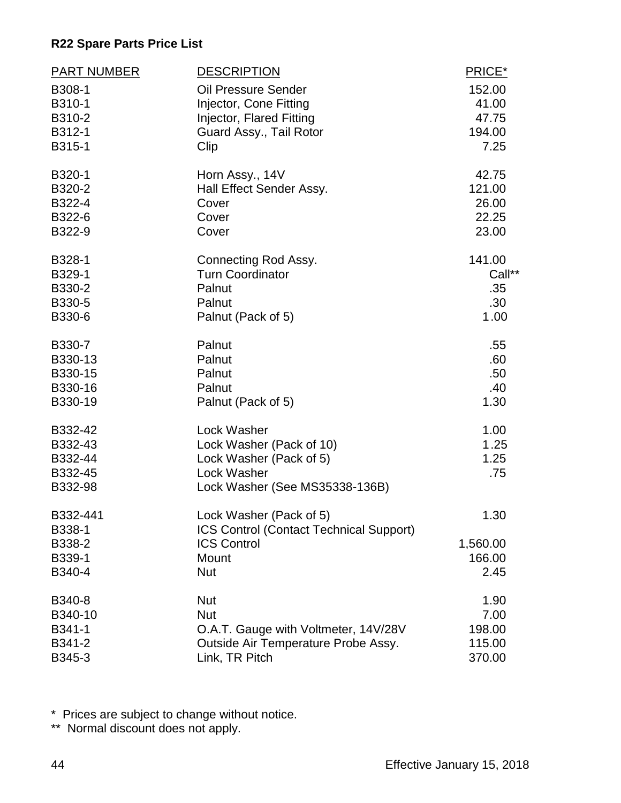| <b>PART NUMBER</b>                                  | <b>DESCRIPTION</b>                                                                                                     | PRICE*                             |
|-----------------------------------------------------|------------------------------------------------------------------------------------------------------------------------|------------------------------------|
| B308-1                                              | <b>Oil Pressure Sender</b>                                                                                             | 152.00                             |
| B310-1                                              | Injector, Cone Fitting                                                                                                 | 41.00                              |
| B310-2                                              | Injector, Flared Fitting                                                                                               | 47.75                              |
| B312-1                                              | Guard Assy., Tail Rotor                                                                                                | 194.00                             |
| B315-1                                              | Clip                                                                                                                   | 7.25                               |
| B320-1                                              | Horn Assy., 14V                                                                                                        | 42.75                              |
| B320-2                                              | Hall Effect Sender Assy.                                                                                               | 121.00                             |
| B322-4                                              | Cover                                                                                                                  | 26.00                              |
| B322-6                                              | Cover                                                                                                                  | 22.25                              |
| B322-9                                              | Cover                                                                                                                  | 23.00                              |
| B328-1                                              | Connecting Rod Assy.                                                                                                   | 141.00                             |
| B329-1                                              | <b>Turn Coordinator</b>                                                                                                | Call**                             |
| B330-2                                              | Palnut                                                                                                                 | .35                                |
| B330-5                                              | Palnut                                                                                                                 | .30                                |
| B330-6                                              | Palnut (Pack of 5)                                                                                                     | 1.00                               |
| B330-7                                              | Palnut                                                                                                                 | .55                                |
| B330-13                                             | Palnut                                                                                                                 | .60                                |
| B330-15                                             | Palnut                                                                                                                 | .50                                |
| B330-16                                             | Palnut                                                                                                                 | .40                                |
| B330-19                                             | Palnut (Pack of 5)                                                                                                     | 1.30                               |
| B332-42<br>B332-43<br>B332-44<br>B332-45<br>B332-98 | Lock Washer<br>Lock Washer (Pack of 10)<br>Lock Washer (Pack of 5)<br>Lock Washer<br>Lock Washer (See MS35338-136B)    | 1.00<br>1.25<br>1.25<br>.75        |
| B332-441<br>B338-1<br>B338-2<br>B339-1<br>B340-4    | Lock Washer (Pack of 5)<br><b>ICS Control (Contact Technical Support)</b><br><b>ICS Control</b><br>Mount<br><b>Nut</b> | 1.30<br>1,560.00<br>166.00<br>2.45 |
| B340-8                                              | <b>Nut</b>                                                                                                             | 1.90                               |
| B340-10                                             | <b>Nut</b>                                                                                                             | 7.00                               |
| B341-1                                              | O.A.T. Gauge with Voltmeter, 14V/28V                                                                                   | 198.00                             |
| B341-2                                              | Outside Air Temperature Probe Assy.                                                                                    | 115.00                             |
| B345-3                                              | Link, TR Pitch                                                                                                         | 370.00                             |

\* Prices are subject to change without notice.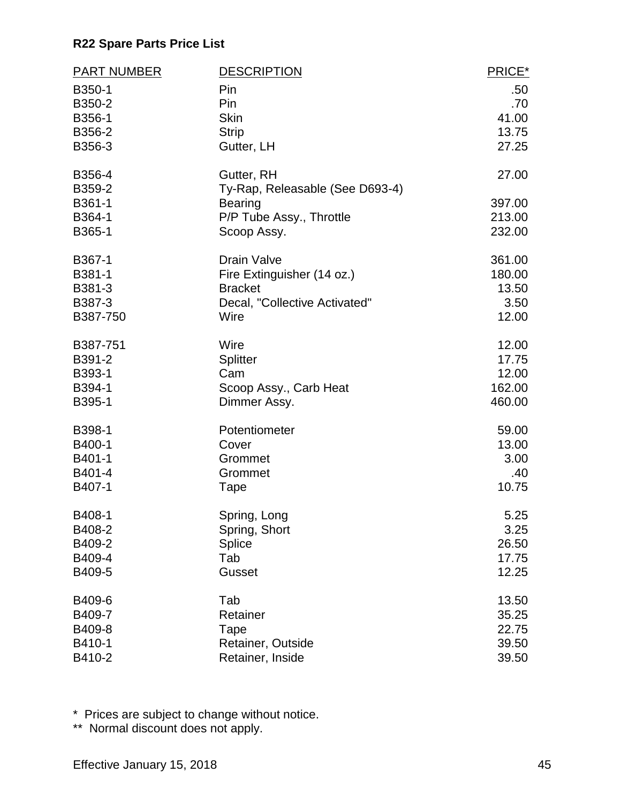| <b>PART NUMBER</b> | <b>DESCRIPTION</b>              | PRICE* |
|--------------------|---------------------------------|--------|
| B350-1             | Pin                             | .50    |
| B350-2             | Pin                             | .70    |
| B356-1             | <b>Skin</b>                     | 41.00  |
| B356-2             | <b>Strip</b>                    | 13.75  |
| B356-3             | Gutter, LH                      | 27.25  |
| B356-4             | Gutter, RH                      | 27.00  |
| B359-2             | Ty-Rap, Releasable (See D693-4) |        |
| B361-1             | <b>Bearing</b>                  | 397.00 |
| B364-1             | P/P Tube Assy., Throttle        | 213.00 |
| B365-1             | Scoop Assy.                     | 232.00 |
| B367-1             | <b>Drain Valve</b>              | 361.00 |
| B381-1             | Fire Extinguisher (14 oz.)      | 180.00 |
| B381-3             | <b>Bracket</b>                  | 13.50  |
| B387-3             | Decal, "Collective Activated"   | 3.50   |
| B387-750           | Wire                            | 12.00  |
| B387-751           | Wire                            | 12.00  |
| B391-2             | <b>Splitter</b>                 | 17.75  |
| B393-1             | Cam                             | 12.00  |
| B394-1             | Scoop Assy., Carb Heat          | 162.00 |
| B395-1             | Dimmer Assy.                    | 460.00 |
| B398-1             | Potentiometer                   | 59.00  |
| B400-1             | Cover                           | 13.00  |
| B401-1             | Grommet                         | 3.00   |
| B401-4             | Grommet                         | .40    |
| B407-1             | Tape                            | 10.75  |
| B408-1             | Spring, Long                    | 5.25   |
| B408-2             | Spring, Short                   | 3.25   |
| B409-2             | Splice                          | 26.50  |
| B409-4             | Tab                             | 17.75  |
| B409-5             | Gusset                          | 12.25  |
| B409-6             | Tab                             | 13.50  |
| B409-7             | Retainer                        | 35.25  |
| B409-8             | Tape                            | 22.75  |
| B410-1             | Retainer, Outside               | 39.50  |
| B410-2             | Retainer, Inside                | 39.50  |

\* Prices are subject to change without notice.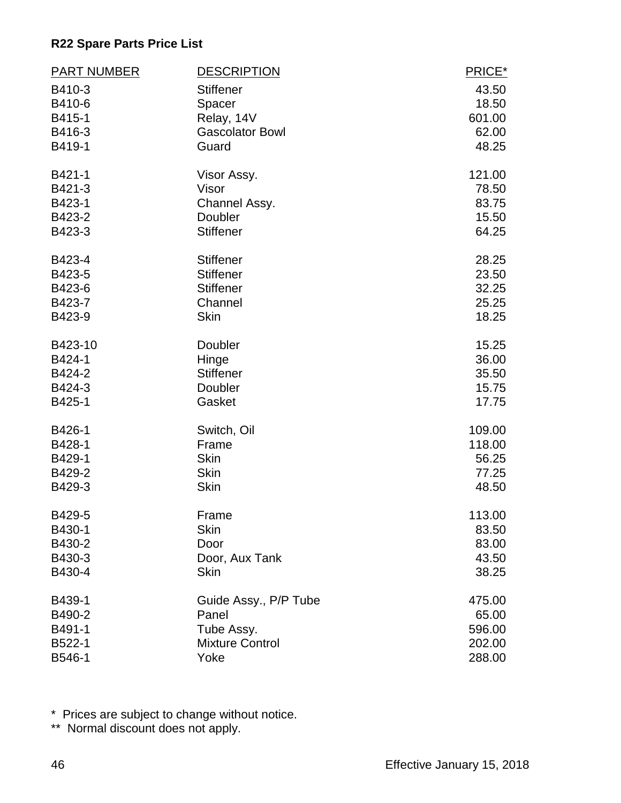| <b>PART NUMBER</b> | <b>DESCRIPTION</b>     | PRICE* |
|--------------------|------------------------|--------|
| B410-3             | <b>Stiffener</b>       | 43.50  |
| B410-6             | Spacer                 | 18.50  |
| B415-1             | Relay, 14V             | 601.00 |
| B416-3             | <b>Gascolator Bowl</b> | 62.00  |
| B419-1             | Guard                  | 48.25  |
| B421-1             | Visor Assy.            | 121.00 |
| B421-3             | Visor                  | 78.50  |
| B423-1             | Channel Assy.          | 83.75  |
| B423-2             | Doubler                | 15.50  |
| B423-3             | <b>Stiffener</b>       | 64.25  |
| B423-4             | <b>Stiffener</b>       | 28.25  |
| B423-5             | <b>Stiffener</b>       | 23.50  |
| B423-6             | <b>Stiffener</b>       | 32.25  |
| B423-7             | Channel                | 25.25  |
| B423-9             | <b>Skin</b>            | 18.25  |
| B423-10            | Doubler                | 15.25  |
| B424-1             | Hinge                  | 36.00  |
| B424-2             | <b>Stiffener</b>       | 35.50  |
| B424-3             | Doubler                | 15.75  |
| B425-1             | Gasket                 | 17.75  |
| B426-1             | Switch, Oil            | 109.00 |
| B428-1             | Frame                  | 118.00 |
| B429-1             | <b>Skin</b>            | 56.25  |
| B429-2             | <b>Skin</b>            | 77.25  |
| B429-3             | <b>Skin</b>            | 48.50  |
| B429-5             | Frame                  | 113.00 |
| B430-1             | Skin                   | 83.50  |
| B430-2             | Door                   | 83.00  |
| B430-3             | Door, Aux Tank         | 43.50  |
| B430-4             | <b>Skin</b>            | 38.25  |
| B439-1             | Guide Assy., P/P Tube  | 475.00 |
| B490-2             | Panel                  | 65.00  |
| B491-1             | Tube Assy.             | 596.00 |
| B522-1             | <b>Mixture Control</b> | 202.00 |
| B546-1             | Yoke                   | 288.00 |

\* Prices are subject to change without notice.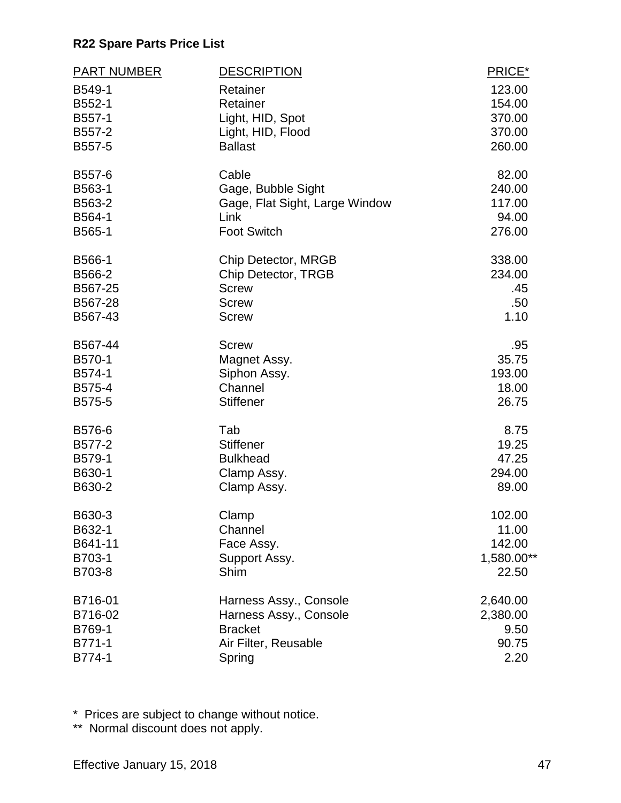| <b>PART NUMBER</b> | <b>DESCRIPTION</b>             | PRICE*     |
|--------------------|--------------------------------|------------|
| B549-1             | Retainer                       | 123.00     |
| B552-1             | Retainer                       | 154.00     |
| B557-1             | Light, HID, Spot               | 370.00     |
| B557-2             | Light, HID, Flood              | 370.00     |
| B557-5             | <b>Ballast</b>                 | 260.00     |
| B557-6             | Cable                          | 82.00      |
| B563-1             | Gage, Bubble Sight             | 240.00     |
| B563-2             | Gage, Flat Sight, Large Window | 117.00     |
| B564-1             | Link                           | 94.00      |
| B565-1             | <b>Foot Switch</b>             | 276.00     |
| B566-1             | Chip Detector, MRGB            | 338.00     |
| B566-2             | Chip Detector, TRGB            | 234.00     |
| B567-25            | <b>Screw</b>                   | .45        |
| B567-28            | <b>Screw</b>                   | .50        |
| B567-43            | <b>Screw</b>                   | 1.10       |
| B567-44            | <b>Screw</b>                   | .95        |
| B570-1             | Magnet Assy.                   | 35.75      |
| B574-1             | Siphon Assy.                   | 193.00     |
| B575-4             | Channel                        | 18.00      |
| B575-5             | <b>Stiffener</b>               | 26.75      |
| B576-6             | Tab                            | 8.75       |
| B577-2             | <b>Stiffener</b>               | 19.25      |
| B579-1             | <b>Bulkhead</b>                | 47.25      |
| B630-1             | Clamp Assy.                    | 294.00     |
| B630-2             | Clamp Assy.                    | 89.00      |
| B630-3             | Clamp                          | 102.00     |
| B632-1             | Channel                        | 11.00      |
| B641-11            | Face Assy.                     | 142.00     |
| B703-1             | Support Assy.                  | 1,580.00** |
| B703-8             | Shim                           | 22.50      |
| B716-01            | Harness Assy., Console         | 2,640.00   |
| B716-02            | Harness Assy., Console         | 2,380.00   |
| B769-1             | <b>Bracket</b>                 | 9.50       |
| B771-1             | Air Filter, Reusable           | 90.75      |
| B774-1             | Spring                         | 2.20       |

\* Prices are subject to change without notice.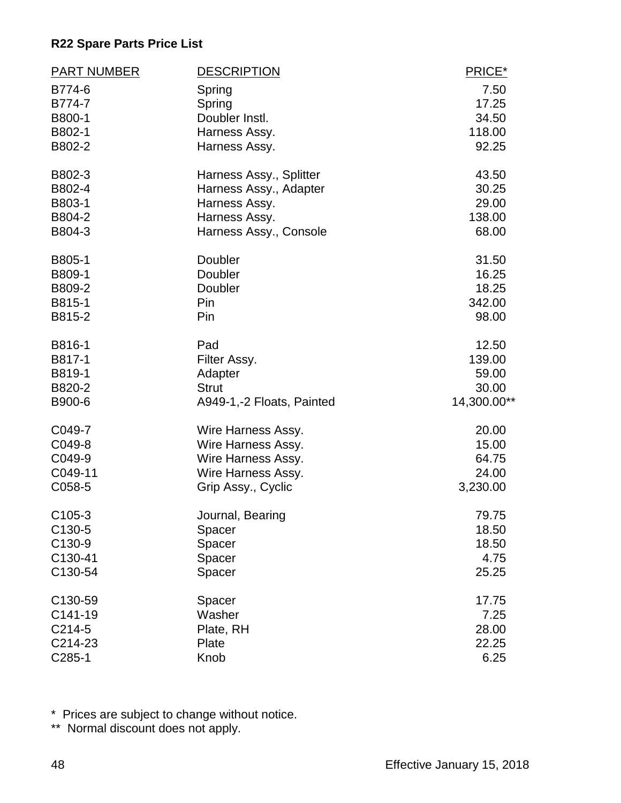| <b>PART NUMBER</b> | <b>DESCRIPTION</b>        | PRICE*      |
|--------------------|---------------------------|-------------|
| B774-6             | Spring                    | 7.50        |
| B774-7             | Spring                    | 17.25       |
| B800-1             | Doubler Instl.            | 34.50       |
| B802-1             | Harness Assy.             | 118.00      |
| B802-2             | Harness Assy.             | 92.25       |
| B802-3             | Harness Assy., Splitter   | 43.50       |
| B802-4             | Harness Assy., Adapter    | 30.25       |
| B803-1             | Harness Assy.             | 29.00       |
| B804-2             | Harness Assy.             | 138.00      |
| B804-3             | Harness Assy., Console    | 68.00       |
| B805-1             | Doubler                   | 31.50       |
| B809-1             | Doubler                   | 16.25       |
| B809-2             | Doubler                   | 18.25       |
| B815-1             | Pin                       | 342.00      |
| B815-2             | Pin                       | 98.00       |
| B816-1             | Pad                       | 12.50       |
| B817-1             | Filter Assy.              | 139.00      |
| B819-1             | Adapter                   | 59.00       |
| B820-2             | <b>Strut</b>              | 30.00       |
| B900-6             | A949-1,-2 Floats, Painted | 14,300.00** |
| C049-7             | Wire Harness Assy.        | 20.00       |
| C049-8             | Wire Harness Assy.        | 15.00       |
| C049-9             | Wire Harness Assy.        | 64.75       |
| C049-11            | Wire Harness Assy.        | 24.00       |
| C058-5             | Grip Assy., Cyclic        | 3,230.00    |
| C105-3             | Journal, Bearing          | 79.75       |
| C130-5             | Spacer                    | 18.50       |
| C130-9             | Spacer                    | 18.50       |
| C130-41            | Spacer                    | 4.75        |
| C130-54            | Spacer                    | 25.25       |
| C130-59            | Spacer                    | 17.75       |
| C141-19            | Washer                    | 7.25        |
| C214-5             | Plate, RH                 | 28.00       |
| C214-23            | Plate                     | 22.25       |
| C285-1             | Knob                      | 6.25        |

\* Prices are subject to change without notice.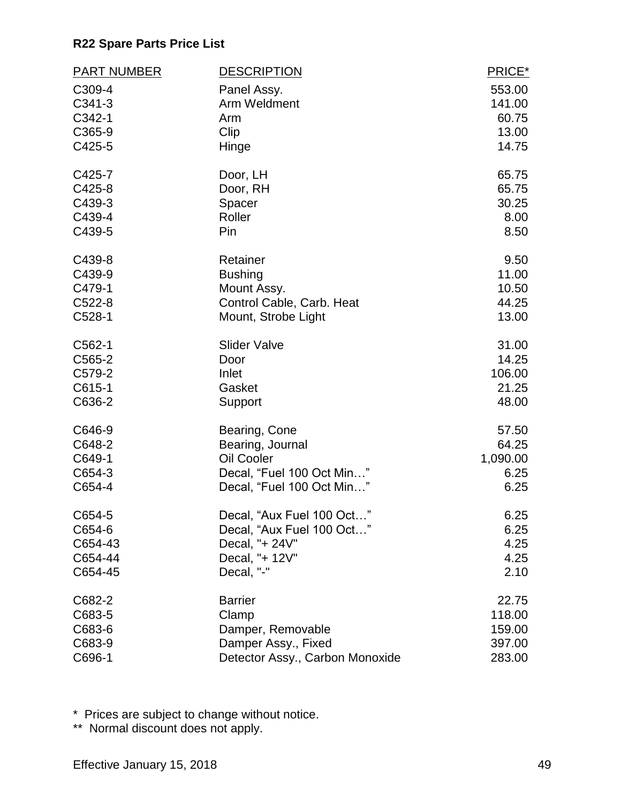| <b>PART NUMBER</b> | <b>DESCRIPTION</b>              | PRICE*   |
|--------------------|---------------------------------|----------|
| C309-4             | Panel Assy.                     | 553.00   |
| C341-3             | Arm Weldment                    | 141.00   |
| C342-1             | Arm                             | 60.75    |
| C365-9             | Clip                            | 13.00    |
| C425-5             | Hinge                           | 14.75    |
| C425-7             | Door, LH                        | 65.75    |
| C425-8             | Door, RH                        | 65.75    |
| C439-3             | Spacer                          | 30.25    |
| C439-4             | Roller                          | 8.00     |
| C439-5             | Pin                             | 8.50     |
| C439-8             | Retainer                        | 9.50     |
| C439-9             | <b>Bushing</b>                  | 11.00    |
| C479-1             | Mount Assy.                     | 10.50    |
| C522-8             | Control Cable, Carb. Heat       | 44.25    |
| C528-1             | Mount, Strobe Light             | 13.00    |
| C562-1             | <b>Slider Valve</b>             | 31.00    |
| C565-2             | Door                            | 14.25    |
| C579-2             | Inlet                           | 106.00   |
| C615-1             | Gasket                          | 21.25    |
| C636-2             | Support                         | 48.00    |
| C646-9             | Bearing, Cone                   | 57.50    |
| C648-2             | Bearing, Journal                | 64.25    |
| C649-1             | Oil Cooler                      | 1,090.00 |
| C654-3             | Decal, "Fuel 100 Oct Min"       | 6.25     |
| C654-4             | Decal, "Fuel 100 Oct Min"       | 6.25     |
| C654-5             | Decal, "Aux Fuel 100 Oct        | 6.25     |
| C654-6             | Decal, "Aux Fuel 100 Oct"       | 6.25     |
| C654-43            | Decal, "+ 24V"                  | 4.25     |
| C654-44            | Decal, "+ 12V"                  | 4.25     |
| C654-45            | Decal, "-"                      | 2.10     |
| C682-2             | <b>Barrier</b>                  | 22.75    |
| C683-5             | Clamp                           | 118.00   |
| C683-6             | Damper, Removable               | 159.00   |
| C683-9             | Damper Assy., Fixed             | 397.00   |
| C696-1             | Detector Assy., Carbon Monoxide | 283.00   |

\* Prices are subject to change without notice.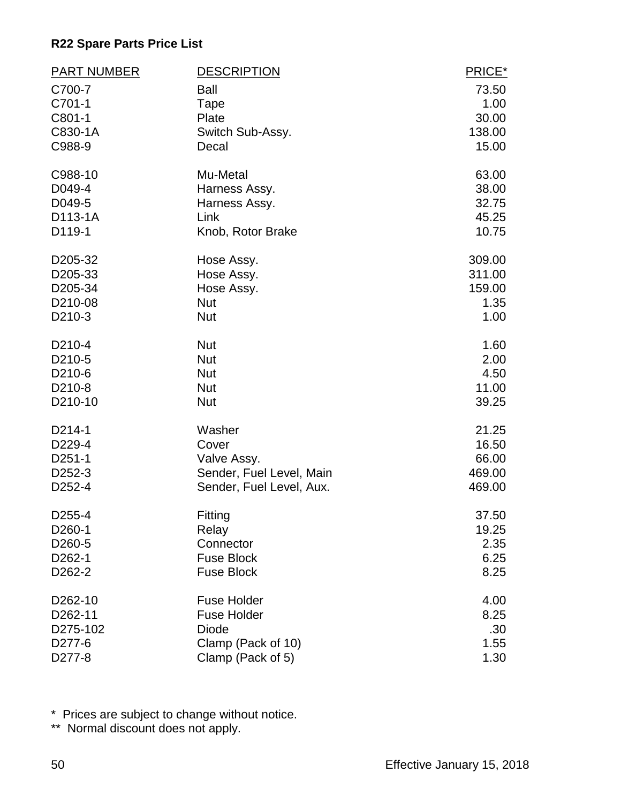| <b>PART NUMBER</b>  | <b>DESCRIPTION</b>       | PRICE* |
|---------------------|--------------------------|--------|
| C700-7              | Ball                     | 73.50  |
| C701-1              | Tape                     | 1.00   |
| C801-1              | Plate                    | 30.00  |
| C830-1A             | Switch Sub-Assy.         | 138.00 |
| C988-9              | Decal                    | 15.00  |
| C988-10             | Mu-Metal                 | 63.00  |
| D049-4              | Harness Assy.            | 38.00  |
| D049-5              | Harness Assy.            | 32.75  |
| D113-1A             | Link                     | 45.25  |
| D119-1              | Knob, Rotor Brake        | 10.75  |
| D205-32             | Hose Assy.               | 309.00 |
| D205-33             | Hose Assy.               | 311.00 |
| D205-34             | Hose Assy.               | 159.00 |
| D210-08             | <b>Nut</b>               | 1.35   |
| D <sub>210</sub> -3 | <b>Nut</b>               | 1.00   |
| D <sub>210</sub> -4 | <b>Nut</b>               | 1.60   |
| D210-5              | <b>Nut</b>               | 2.00   |
| D210-6              | <b>Nut</b>               | 4.50   |
| D <sub>210</sub> -8 | <b>Nut</b>               | 11.00  |
| D210-10             | <b>Nut</b>               | 39.25  |
| D214-1              | Washer                   | 21.25  |
| D229-4              | Cover                    | 16.50  |
| D251-1              | Valve Assy.              | 66.00  |
| D <sub>252</sub> -3 | Sender, Fuel Level, Main | 469.00 |
| D252-4              | Sender, Fuel Level, Aux. | 469.00 |
| D255-4              | Fitting                  | 37.50  |
| D <sub>260</sub> -1 | Relay                    | 19.25  |
| D260-5              | Connector                | 2.35   |
| D262-1              | <b>Fuse Block</b>        | 6.25   |
| D <sub>262</sub> -2 | <b>Fuse Block</b>        | 8.25   |
| D262-10             | <b>Fuse Holder</b>       | 4.00   |
| D262-11             | <b>Fuse Holder</b>       | 8.25   |
| D275-102            | <b>Diode</b>             | .30    |
| D277-6              | Clamp (Pack of 10)       | 1.55   |
| D277-8              | Clamp (Pack of 5)        | 1.30   |

\* Prices are subject to change without notice.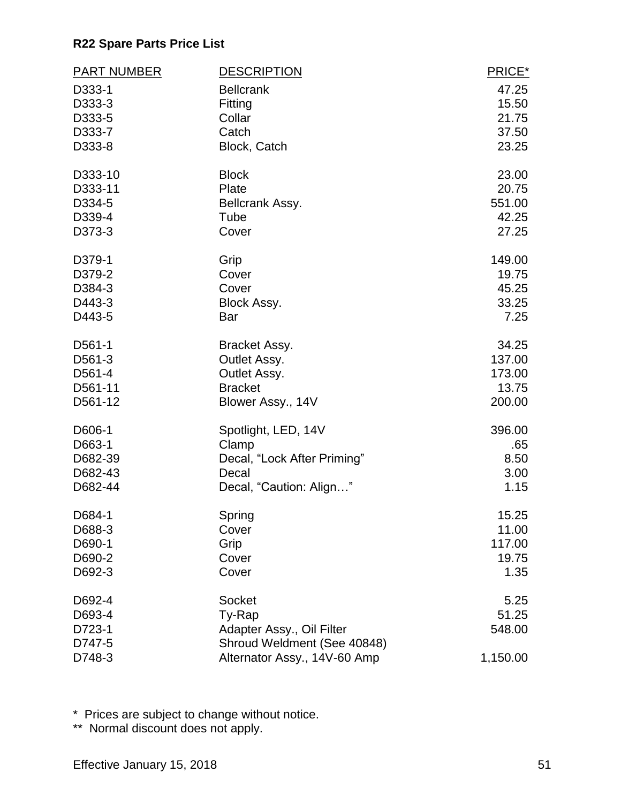| <b>PART NUMBER</b> | <b>DESCRIPTION</b>           | PRICE*        |
|--------------------|------------------------------|---------------|
| D333-1             | <b>Bellcrank</b>             | 47.25         |
| D333-3             | Fitting                      | 15.50         |
| D333-5             | Collar                       | 21.75         |
| D333-7             | Catch                        | 37.50         |
| D333-8             | Block, Catch                 | 23.25         |
| D333-10            | <b>Block</b>                 | 23.00         |
| D333-11            | Plate                        | 20.75         |
| D334-5             | Bellcrank Assy.              | 551.00        |
| D339-4             | Tube                         | 42.25         |
| D373-3             | Cover                        | 27.25         |
| D379-1             | Grip                         | 149.00        |
| D379-2             | Cover                        | 19.75         |
| D384-3             | Cover                        | 45.25         |
| D443-3<br>D443-5   | Block Assy.<br>Bar           | 33.25<br>7.25 |
|                    |                              |               |
| D561-1             | Bracket Assy.                | 34.25         |
| D561-3             | Outlet Assy.                 | 137.00        |
| D561-4             | Outlet Assy.                 | 173.00        |
| D561-11            | <b>Bracket</b>               | 13.75         |
| D561-12            | Blower Assy., 14V            | 200.00        |
| D606-1             | Spotlight, LED, 14V          | 396.00        |
| D663-1             | Clamp                        | .65           |
| D682-39            | Decal, "Lock After Priming"  | 8.50          |
| D682-43            | Decal                        | 3.00          |
| D682-44            | Decal, "Caution: Align"      | 1.15          |
| D684-1             | Spring                       | 15.25         |
| D688-3             | Cover                        | 11.00         |
| D690-1             | Grip                         | 117.00        |
| D690-2             | Cover                        | 19.75         |
| D692-3             | Cover                        | 1.35          |
| D692-4             | Socket                       | 5.25          |
| D693-4             | Ty-Rap                       | 51.25         |
| D723-1             | Adapter Assy., Oil Filter    | 548.00        |
| D747-5             | Shroud Weldment (See 40848)  |               |
| D748-3             | Alternator Assy., 14V-60 Amp | 1,150.00      |

\* Prices are subject to change without notice.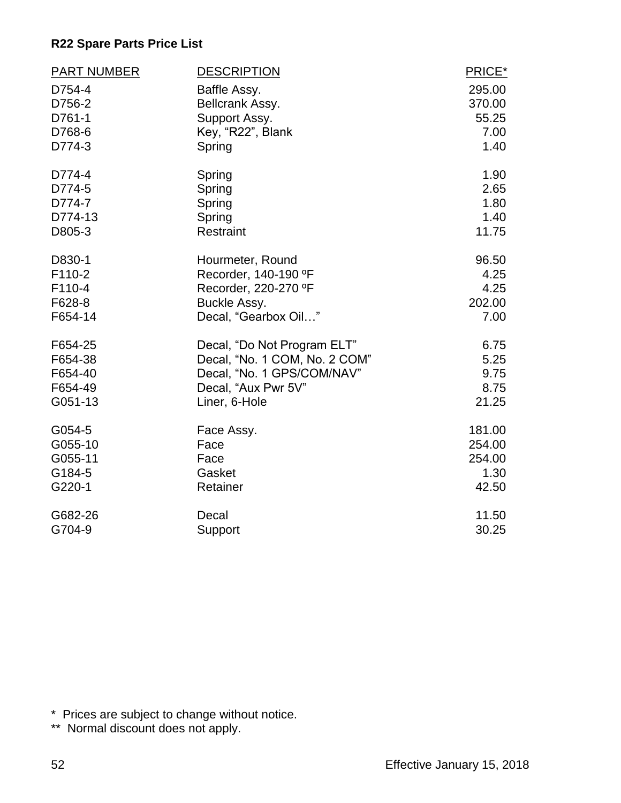| <b>PART NUMBER</b> | <b>DESCRIPTION</b>            | PRICE* |
|--------------------|-------------------------------|--------|
| D754-4             | Baffle Assy.                  | 295.00 |
| D756-2             | Bellcrank Assy.               | 370.00 |
| D761-1             | Support Assy.                 | 55.25  |
| D768-6             | Key, "R22", Blank             | 7.00   |
| D774-3             | Spring                        | 1.40   |
| D774-4             | Spring                        | 1.90   |
| D774-5             | Spring                        | 2.65   |
| D774-7             | Spring                        | 1.80   |
| D774-13            | Spring                        | 1.40   |
| D805-3             | <b>Restraint</b>              | 11.75  |
| D830-1             | Hourmeter, Round              | 96.50  |
| F110-2             | Recorder, 140-190 °F          | 4.25   |
| F110-4             | Recorder, 220-270 °F          | 4.25   |
| F628-8             | Buckle Assy.                  | 202.00 |
| F654-14            | Decal, "Gearbox Oil"          | 7.00   |
| F654-25            | Decal, "Do Not Program ELT"   | 6.75   |
| F654-38            | Decal, "No. 1 COM, No. 2 COM" | 5.25   |
| F654-40            | Decal, "No. 1 GPS/COM/NAV"    | 9.75   |
| F654-49            | Decal, "Aux Pwr 5V"           | 8.75   |
| G051-13            | Liner, 6-Hole                 | 21.25  |
| G054-5             | Face Assy.                    | 181.00 |
| G055-10            | Face                          | 254.00 |
| G055-11            | Face                          | 254.00 |
| G184-5             | Gasket                        | 1.30   |
| G220-1             | Retainer                      | 42.50  |
| G682-26            | Decal                         | 11.50  |
| G704-9             | Support                       | 30.25  |

\* Prices are subject to change without notice.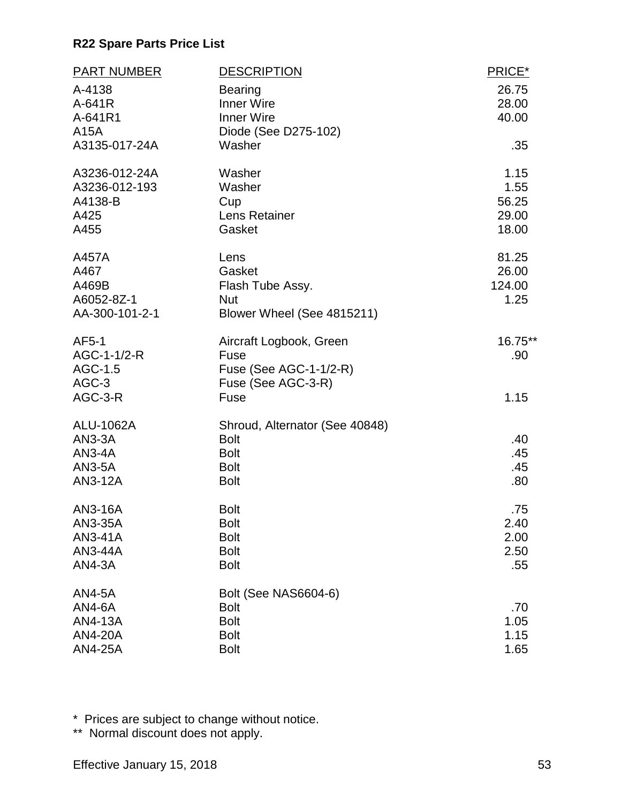| <b>PART NUMBER</b> | <b>DESCRIPTION</b>             | PRICE*  |
|--------------------|--------------------------------|---------|
| A-4138             | <b>Bearing</b>                 | 26.75   |
| A-641R             | <b>Inner Wire</b>              | 28.00   |
| A-641R1            | <b>Inner Wire</b>              | 40.00   |
| A15A               | Diode (See D275-102)           |         |
| A3135-017-24A      | Washer                         | .35     |
| A3236-012-24A      | Washer                         | 1.15    |
| A3236-012-193      | Washer                         | 1.55    |
| A4138-B            | Cup                            | 56.25   |
| A425               | Lens Retainer                  | 29.00   |
| A455               | Gasket                         | 18.00   |
| A457A              | Lens                           | 81.25   |
| A467               | Gasket                         | 26.00   |
| A469B              | Flash Tube Assy.               | 124.00  |
| A6052-8Z-1         | <b>Nut</b>                     | 1.25    |
| AA-300-101-2-1     | Blower Wheel (See 4815211)     |         |
| AF5-1              | Aircraft Logbook, Green        | 16.75** |
| AGC-1-1/2-R        | Fuse                           | .90     |
| AGC-1.5            | Fuse (See AGC-1-1/2-R)         |         |
| AGC-3              | Fuse (See AGC-3-R)             |         |
| AGC-3-R            | Fuse                           | 1.15    |
| ALU-1062A          | Shroud, Alternator (See 40848) |         |
| <b>AN3-3A</b>      | <b>Bolt</b>                    | .40     |
| $AN3-4A$           | <b>Bolt</b>                    | .45     |
| <b>AN3-5A</b>      | <b>Bolt</b>                    | .45     |
| AN3-12A            | <b>Bolt</b>                    | .80     |
| AN3-16A            | <b>Bolt</b>                    | .75     |
| AN3-35A            | <b>Bolt</b>                    | 2.40    |
| AN3-41A            | <b>Bolt</b>                    | 2.00    |
| AN3-44A            | <b>Bolt</b>                    | 2.50    |
| <b>AN4-3A</b>      | <b>Bolt</b>                    | .55     |
| <b>AN4-5A</b>      | Bolt (See NAS6604-6)           |         |
| <b>AN4-6A</b>      | <b>Bolt</b>                    | .70     |
| AN4-13A            | <b>Bolt</b>                    | 1.05    |
| <b>AN4-20A</b>     | <b>Bolt</b>                    | 1.15    |
| <b>AN4-25A</b>     | <b>Bolt</b>                    | 1.65    |

\* Prices are subject to change without notice.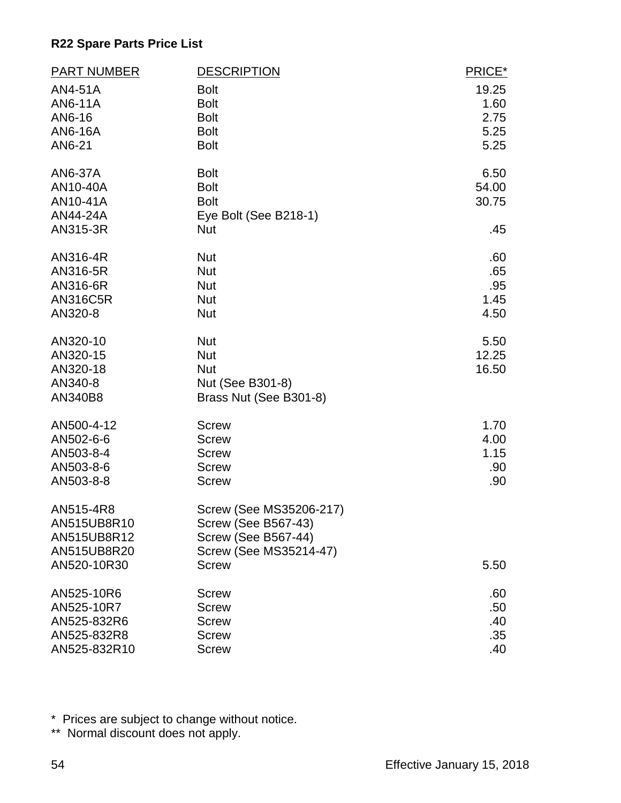| <b>PART NUMBER</b> | <b>DESCRIPTION</b>            | PRICE* |
|--------------------|-------------------------------|--------|
| AN4-51A            | <b>Bolt</b>                   | 19.25  |
| AN6-11A            | <b>Bolt</b>                   | 1.60   |
| AN6-16             | <b>Bolt</b>                   | 2.75   |
| AN6-16A            | <b>Bolt</b>                   | 5.25   |
| AN6-21             | <b>Bolt</b>                   | 5.25   |
| AN6-37A            | <b>Bolt</b>                   | 6.50   |
| AN10-40A           | <b>Bolt</b>                   | 54.00  |
| AN10-41A           | <b>Bolt</b>                   | 30.75  |
| AN44-24A           | Eye Bolt (See B218-1)         |        |
| AN315-3R           | <b>Nut</b>                    | .45    |
| AN316-4R           | <b>Nut</b>                    | .60    |
| AN316-5R           | <b>Nut</b>                    | .65    |
| AN316-6R           | <b>Nut</b>                    | .95    |
| <b>AN316C5R</b>    | <b>Nut</b>                    | 1.45   |
| AN320-8            | <b>Nut</b>                    | 4.50   |
| AN320-10           | <b>Nut</b>                    | 5.50   |
| AN320-15           | <b>Nut</b>                    | 12.25  |
| AN320-18           | <b>Nut</b>                    | 16.50  |
| AN340-8            | Nut (See B301-8)              |        |
| AN340B8            | Brass Nut (See B301-8)        |        |
| AN500-4-12         | <b>Screw</b>                  | 1.70   |
| AN502-6-6          | <b>Screw</b>                  | 4.00   |
| AN503-8-4          | <b>Screw</b>                  | 1.15   |
| AN503-8-6          | <b>Screw</b>                  | .90    |
| AN503-8-8          | <b>Screw</b>                  | .90    |
| AN515-4R8          | Screw (See MS35206-217)       |        |
| AN515UB8R10        | <b>Screw (See B567-43)</b>    |        |
| AN515UB8R12        | <b>Screw (See B567-44)</b>    |        |
| AN515UB8R20        | <b>Screw (See MS35214-47)</b> |        |
| AN520-10R30        | <b>Screw</b>                  | 5.50   |
| AN525-10R6         | <b>Screw</b>                  | .60    |
| AN525-10R7         | <b>Screw</b>                  | .50    |
| AN525-832R6        | <b>Screw</b>                  | .40    |
| AN525-832R8        | <b>Screw</b>                  | .35    |
| AN525-832R10       | <b>Screw</b>                  | .40    |

\* Prices are subject to change without notice.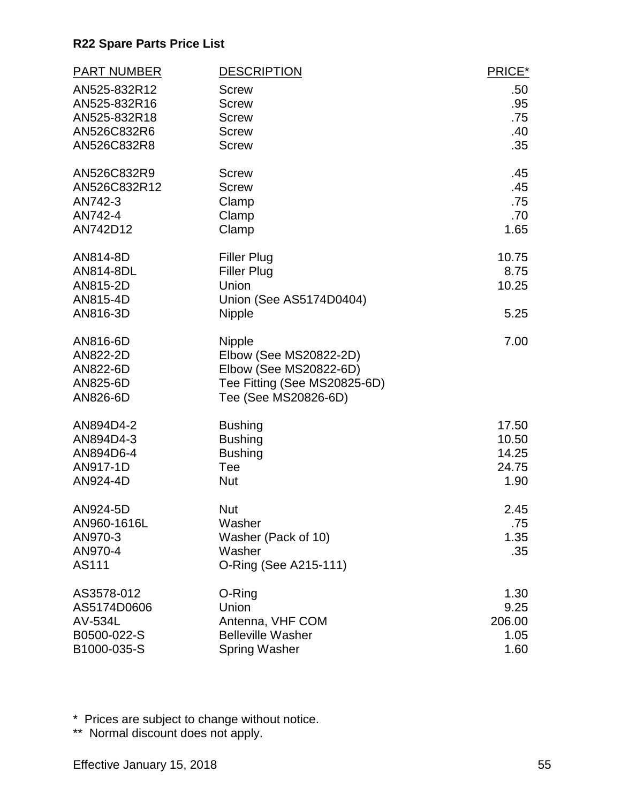| <b>PART NUMBER</b>   | <b>DESCRIPTION</b>                       | PRICE*      |
|----------------------|------------------------------------------|-------------|
| AN525-832R12         | <b>Screw</b>                             | .50         |
| AN525-832R16         | <b>Screw</b>                             | .95         |
| AN525-832R18         | <b>Screw</b>                             | .75         |
| AN526C832R6          | <b>Screw</b>                             | .40         |
| AN526C832R8          | <b>Screw</b>                             | .35         |
| AN526C832R9          | <b>Screw</b>                             | .45         |
| AN526C832R12         | <b>Screw</b>                             | .45         |
| AN742-3              | Clamp                                    | .75         |
| AN742-4<br>AN742D12  | Clamp                                    | .70<br>1.65 |
|                      | Clamp                                    |             |
| AN814-8D             | <b>Filler Plug</b>                       | 10.75       |
| AN814-8DL            | <b>Filler Plug</b>                       | 8.75        |
| AN815-2D             | Union                                    | 10.25       |
| AN815-4D<br>AN816-3D | Union (See AS5174D0404)<br><b>Nipple</b> | 5.25        |
|                      |                                          |             |
| AN816-6D             | Nipple                                   | 7.00        |
| AN822-2D             | Elbow (See MS20822-2D)                   |             |
| AN822-6D             | Elbow (See MS20822-6D)                   |             |
| AN825-6D             | Tee Fitting (See MS20825-6D)             |             |
| AN826-6D             | Tee (See MS20826-6D)                     |             |
| AN894D4-2            | <b>Bushing</b>                           | 17.50       |
| AN894D4-3            | <b>Bushing</b>                           | 10.50       |
| AN894D6-4            | <b>Bushing</b>                           | 14.25       |
| AN917-1D             | Tee                                      | 24.75       |
| AN924-4D             | <b>Nut</b>                               | 1.90        |
| AN924-5D             | <b>Nut</b>                               | 2.45        |
| AN960-1616L          | Washer                                   | .75         |
| AN970-3              | Washer (Pack of 10)                      | 1.35        |
| AN970-4              | Washer                                   | .35         |
| AS111                | O-Ring (See A215-111)                    |             |
| AS3578-012           | O-Ring                                   | 1.30        |
| AS5174D0606          | Union                                    | 9.25        |
| AV-534L              | Antenna, VHF COM                         | 206.00      |
| B0500-022-S          | <b>Belleville Washer</b>                 | 1.05        |
| B1000-035-S          | <b>Spring Washer</b>                     | 1.60        |

\* Prices are subject to change without notice.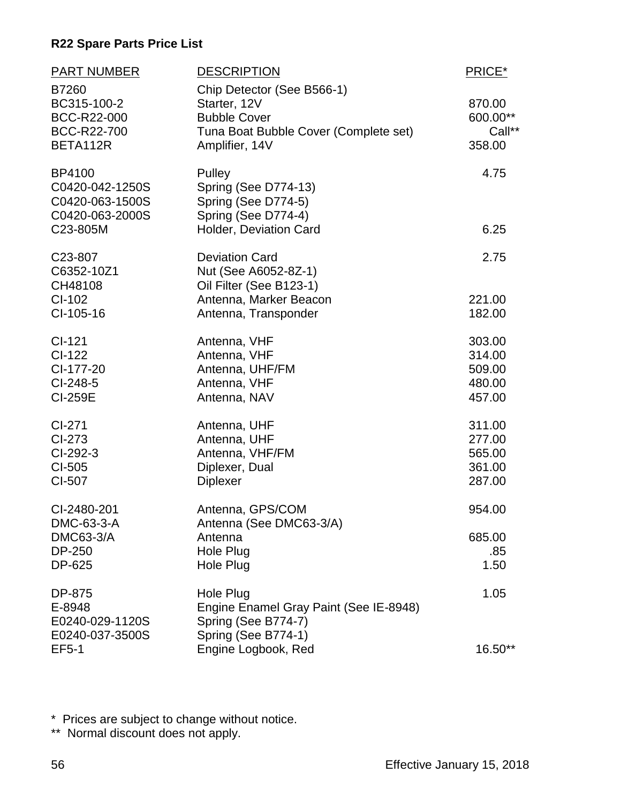| <b>PART NUMBER</b><br>B7260                                                        | <b>DESCRIPTION</b><br>Chip Detector (See B566-1)                                                       | PRICE*       |
|------------------------------------------------------------------------------------|--------------------------------------------------------------------------------------------------------|--------------|
| BC315-100-2                                                                        | Starter, 12V                                                                                           | 870.00       |
| BCC-R22-000                                                                        | <b>Bubble Cover</b>                                                                                    | 600.00**     |
| BCC-R22-700                                                                        | Tuna Boat Bubble Cover (Complete set)                                                                  | Call**       |
| BETA112R                                                                           | Amplifier, 14V                                                                                         | 358.00       |
| <b>BP4100</b><br>C0420-042-1250S<br>C0420-063-1500S<br>C0420-063-2000S<br>C23-805M | Pulley<br>Spring (See D774-13)<br>Spring (See D774-5)<br>Spring (See D774-4)<br>Holder, Deviation Card | 4.75<br>6.25 |
|                                                                                    |                                                                                                        |              |
| C <sub>23</sub> -807<br>C6352-10Z1<br>CH48108                                      | <b>Deviation Card</b><br>Nut (See A6052-8Z-1)<br>Oil Filter (See B123-1)                               | 2.75         |
| CI-102                                                                             | Antenna, Marker Beacon                                                                                 | 221.00       |
| CI-105-16                                                                          | Antenna, Transponder                                                                                   | 182.00       |
| $Cl-121$                                                                           | Antenna, VHF                                                                                           | 303.00       |
| CI-122                                                                             | Antenna, VHF                                                                                           | 314.00       |
| CI-177-20                                                                          | Antenna, UHF/FM                                                                                        | 509.00       |
| $Cl-248-5$                                                                         | Antenna, VHF                                                                                           | 480.00       |
| <b>CI-259E</b>                                                                     | Antenna, NAV                                                                                           | 457.00       |
| CI-271                                                                             | Antenna, UHF                                                                                           | 311.00       |
| CI-273                                                                             | Antenna, UHF                                                                                           | 277.00       |
| CI-292-3                                                                           | Antenna, VHF/FM                                                                                        | 565.00       |
| CI-505                                                                             | Diplexer, Dual                                                                                         | 361.00       |
| CI-507                                                                             | <b>Diplexer</b>                                                                                        | 287.00       |
| CI-2480-201<br>DMC-63-3-A                                                          | Antenna, GPS/COM<br>Antenna (See DMC63-3/A)                                                            | 954.00       |
| <b>DMC63-3/A</b>                                                                   | Antenna                                                                                                | 685.00       |
| DP-250                                                                             | Hole Plug                                                                                              | .85          |
| DP-625                                                                             | Hole Plug                                                                                              | 1.50         |
| DP-875<br>E-8948<br>E0240-029-1120S<br>E0240-037-3500S                             | Hole Plug<br>Engine Enamel Gray Paint (See IE-8948)<br>Spring (See B774-7)<br>Spring (See B774-1)      | 1.05         |
| <b>EF5-1</b>                                                                       | Engine Logbook, Red                                                                                    | 16.50**      |

\* Prices are subject to change without notice.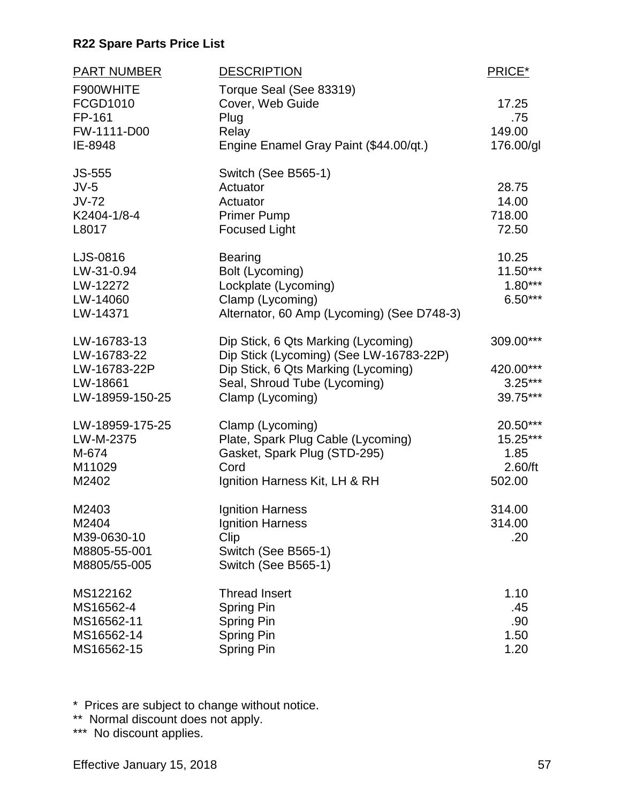| PART NUMBER                                                               | <b>DESCRIPTION</b>                                                                                                                                                        | PRICE*                                            |
|---------------------------------------------------------------------------|---------------------------------------------------------------------------------------------------------------------------------------------------------------------------|---------------------------------------------------|
| F900WHITE<br>FCGD1010<br>FP-161<br>FW-1111-D00                            | Torque Seal (See 83319)<br>Cover, Web Guide<br>Plug<br>Relay                                                                                                              | 17.25<br>.75<br>149.00                            |
| IE-8948                                                                   | Engine Enamel Gray Paint (\$44.00/qt.)                                                                                                                                    | 176.00/gl                                         |
| <b>JS-555</b><br>$JV-5$<br>$JV-72$<br>K2404-1/8-4<br>L8017                | Switch (See B565-1)<br>Actuator<br>Actuator<br><b>Primer Pump</b><br><b>Focused Light</b>                                                                                 | 28.75<br>14.00<br>718.00<br>72.50                 |
| LJS-0816<br>LW-31-0.94<br>LW-12272<br>LW-14060<br>LW-14371                | <b>Bearing</b><br>Bolt (Lycoming)<br>Lockplate (Lycoming)<br>Clamp (Lycoming)<br>Alternator, 60 Amp (Lycoming) (See D748-3)                                               | 10.25<br>$11.50***$<br>$1.80***$<br>$6.50***$     |
| LW-16783-13<br>LW-16783-22<br>LW-16783-22P<br>LW-18661<br>LW-18959-150-25 | Dip Stick, 6 Qts Marking (Lycoming)<br>Dip Stick (Lycoming) (See LW-16783-22P)<br>Dip Stick, 6 Qts Marking (Lycoming)<br>Seal, Shroud Tube (Lycoming)<br>Clamp (Lycoming) | 309.00***<br>420.00***<br>$3.25***$<br>39.75***   |
| LW-18959-175-25<br>LW-M-2375<br>M-674<br>M11029<br>M2402                  | Clamp (Lycoming)<br>Plate, Spark Plug Cable (Lycoming)<br>Gasket, Spark Plug (STD-295)<br>Cord<br>Ignition Harness Kit, LH & RH                                           | 20.50***<br>15.25***<br>1.85<br>2.60/ft<br>502.00 |
| M2403<br>M2404<br>M39-0630-10<br>M8805-55-001<br>M8805/55-005             | Ignition Harness<br><b>Ignition Harness</b><br>Clip<br>Switch (See B565-1)<br>Switch (See B565-1)                                                                         | 314.00<br>314.00<br>.20                           |
| MS122162<br>MS16562-4<br>MS16562-11<br>MS16562-14<br>MS16562-15           | <b>Thread Insert</b><br><b>Spring Pin</b><br>Spring Pin<br>Spring Pin<br>Spring Pin                                                                                       | 1.10<br>.45<br>.90<br>1.50<br>1.20                |

\* Prices are subject to change without notice.

\*\* Normal discount does not apply.

\*\*\* No discount applies.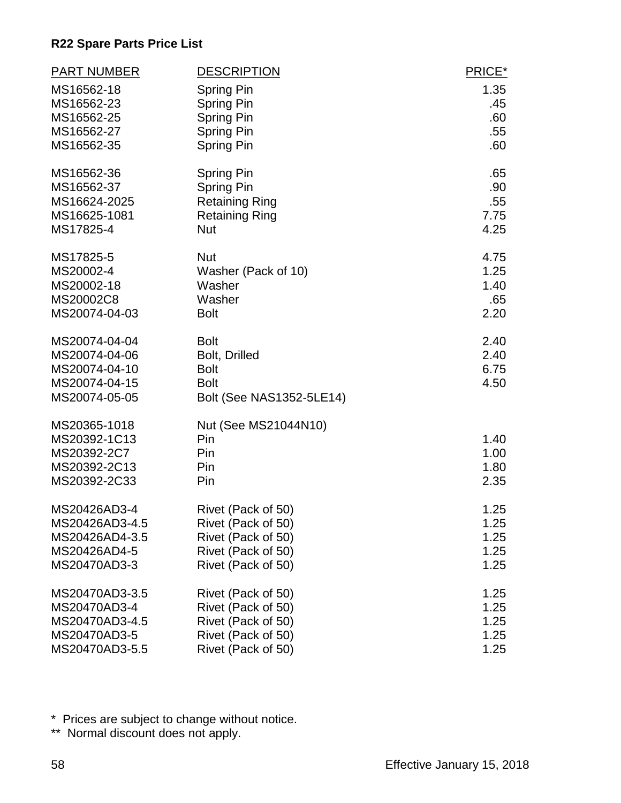| <b>PART NUMBER</b>                                                                | <b>DESCRIPTION</b>                                                                            | PRICE*                       |
|-----------------------------------------------------------------------------------|-----------------------------------------------------------------------------------------------|------------------------------|
| MS16562-18                                                                        | Spring Pin                                                                                    | 1.35                         |
| MS16562-23                                                                        | <b>Spring Pin</b>                                                                             | .45                          |
| MS16562-25                                                                        | Spring Pin                                                                                    | .60                          |
| MS16562-27                                                                        | Spring Pin                                                                                    | .55                          |
| MS16562-35                                                                        | <b>Spring Pin</b>                                                                             | .60                          |
| MS16562-36                                                                        | <b>Spring Pin</b>                                                                             | .65                          |
| MS16562-37                                                                        | <b>Spring Pin</b>                                                                             | .90                          |
| MS16624-2025                                                                      | <b>Retaining Ring</b>                                                                         | .55                          |
| MS16625-1081                                                                      | <b>Retaining Ring</b>                                                                         | 7.75                         |
| MS17825-4                                                                         | <b>Nut</b>                                                                                    | 4.25                         |
| MS17825-5                                                                         | <b>Nut</b>                                                                                    | 4.75                         |
| MS20002-4                                                                         | Washer (Pack of 10)                                                                           | 1.25                         |
| MS20002-18                                                                        | Washer                                                                                        | 1.40                         |
| MS20002C8                                                                         | Washer                                                                                        | .65                          |
| MS20074-04-03                                                                     | <b>Bolt</b>                                                                                   | 2.20                         |
| MS20074-04-04<br>MS20074-04-06<br>MS20074-04-10<br>MS20074-04-15<br>MS20074-05-05 | <b>Bolt</b><br>Bolt, Drilled<br><b>Bolt</b><br><b>Bolt</b><br><b>Bolt (See NAS1352-5LE14)</b> | 2.40<br>2.40<br>6.75<br>4.50 |
| MS20365-1018<br>MS20392-1C13<br>MS20392-2C7<br>MS20392-2C13<br>MS20392-2C33       | Nut (See MS21044N10)<br>Pin<br>Pin<br>Pin<br>Pin                                              | 1.40<br>1.00<br>1.80<br>2.35 |
| MS20426AD3-4                                                                      | Rivet (Pack of 50)                                                                            | 1.25                         |
| MS20426AD3-4.5                                                                    | Rivet (Pack of 50)                                                                            | 1.25                         |
| MS20426AD4-3.5                                                                    | Rivet (Pack of 50)                                                                            | 1.25                         |
| MS20426AD4-5                                                                      | Rivet (Pack of 50)                                                                            | 1.25                         |
| MS20470AD3-3                                                                      | Rivet (Pack of 50)                                                                            | 1.25                         |
| MS20470AD3-3.5                                                                    | Rivet (Pack of 50)                                                                            | 1.25                         |
| MS20470AD3-4                                                                      | Rivet (Pack of 50)                                                                            | 1.25                         |
| MS20470AD3-4.5                                                                    | Rivet (Pack of 50)                                                                            | 1.25                         |
| MS20470AD3-5                                                                      | Rivet (Pack of 50)                                                                            | 1.25                         |
| MS20470AD3-5.5                                                                    | Rivet (Pack of 50)                                                                            | 1.25                         |

\* Prices are subject to change without notice.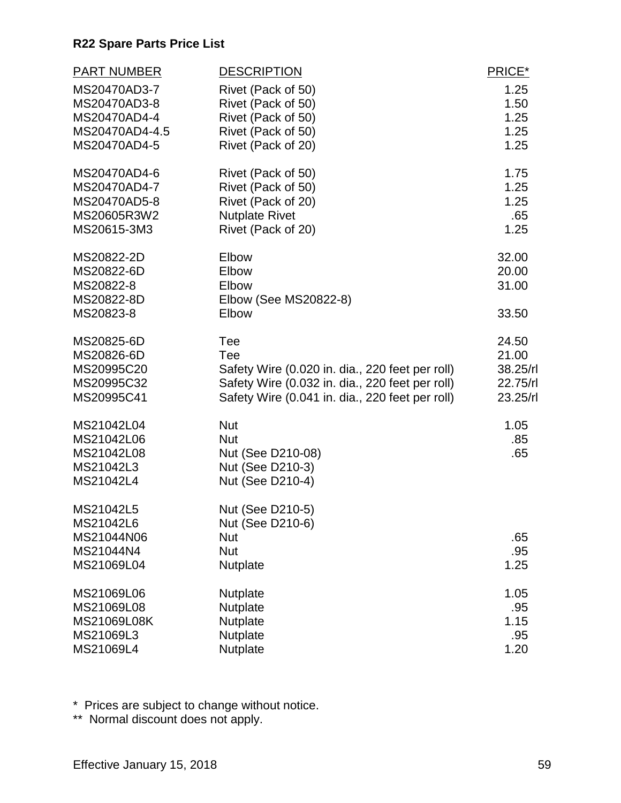| <b>PART NUMBER</b>      | <b>DESCRIPTION</b>                              | PRICE*   |
|-------------------------|-------------------------------------------------|----------|
| MS20470AD3-7            | Rivet (Pack of 50)                              | 1.25     |
| MS20470AD3-8            | Rivet (Pack of 50)                              | 1.50     |
| MS20470AD4-4            | Rivet (Pack of 50)                              | 1.25     |
| MS20470AD4-4.5          | Rivet (Pack of 50)                              | 1.25     |
| MS20470AD4-5            | Rivet (Pack of 20)                              | 1.25     |
| MS20470AD4-6            | Rivet (Pack of 50)                              | 1.75     |
| MS20470AD4-7            | Rivet (Pack of 50)                              | 1.25     |
| MS20470AD5-8            | Rivet (Pack of 20)                              | 1.25     |
| MS20605R3W2             | <b>Nutplate Rivet</b>                           | .65      |
| MS20615-3M3             | Rivet (Pack of 20)                              | 1.25     |
| MS20822-2D              | Elbow                                           | 32.00    |
| MS20822-6D              | Elbow                                           | 20.00    |
| MS20822-8<br>MS20822-8D | Elbow                                           | 31.00    |
| MS20823-8               | Elbow (See MS20822-8)<br>Elbow                  | 33.50    |
| MS20825-6D              | Tee                                             | 24.50    |
| MS20826-6D              | Tee                                             | 21.00    |
| MS20995C20              | Safety Wire (0.020 in. dia., 220 feet per roll) | 38.25/rl |
| MS20995C32              | Safety Wire (0.032 in. dia., 220 feet per roll) | 22.75/rl |
| MS20995C41              | Safety Wire (0.041 in. dia., 220 feet per roll) | 23.25/rl |
| MS21042L04              | <b>Nut</b>                                      | 1.05     |
| MS21042L06              | <b>Nut</b>                                      | .85      |
| MS21042L08              | Nut (See D210-08)                               | .65      |
| MS21042L3               | Nut (See D210-3)                                |          |
| MS21042L4               | Nut (See D210-4)                                |          |
| MS21042L5               | Nut (See D210-5)                                |          |
| MS21042L6               | Nut (See D210-6)                                |          |
| MS21044N06              | <b>Nut</b>                                      | .65      |
| MS21044N4               | <b>Nut</b>                                      | .95      |
| MS21069L04              | Nutplate                                        | 1.25     |
| MS21069L06              | Nutplate                                        | 1.05     |
| MS21069L08              | <b>Nutplate</b>                                 | .95      |
| MS21069L08K             | Nutplate                                        | 1.15     |
| MS21069L3               | Nutplate                                        | .95      |
| MS21069L4               | Nutplate                                        | 1.20     |

\* Prices are subject to change without notice.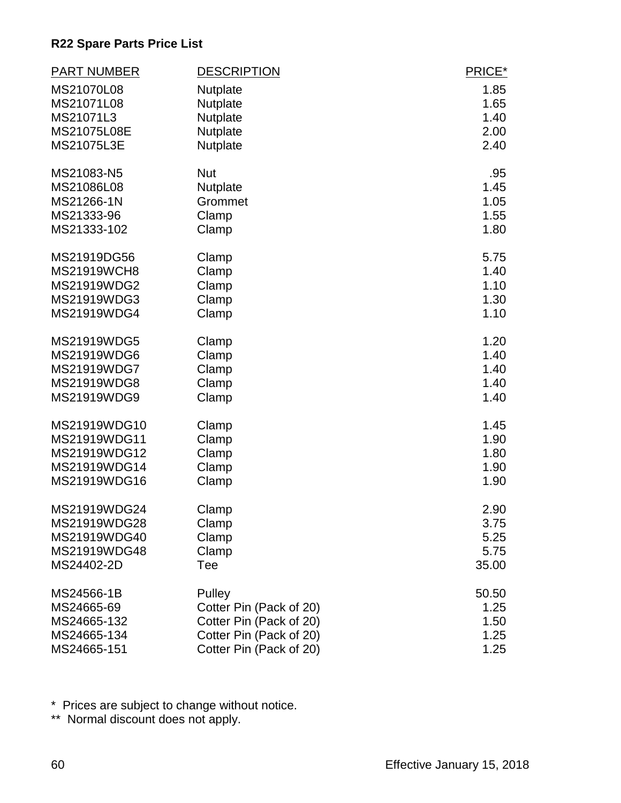| <b>PART NUMBER</b> | <b>DESCRIPTION</b>      | PRICE* |
|--------------------|-------------------------|--------|
| MS21070L08         | Nutplate                | 1.85   |
| MS21071L08         | <b>Nutplate</b>         | 1.65   |
| MS21071L3          | <b>Nutplate</b>         | 1.40   |
| MS21075L08E        | Nutplate                | 2.00   |
| MS21075L3E         | Nutplate                | 2.40   |
| MS21083-N5         | <b>Nut</b>              | .95    |
| MS21086L08         | Nutplate                | 1.45   |
| MS21266-1N         | Grommet                 | 1.05   |
| MS21333-96         | Clamp                   | 1.55   |
| MS21333-102        | Clamp                   | 1.80   |
| MS21919DG56        | Clamp                   | 5.75   |
| <b>MS21919WCH8</b> | Clamp                   | 1.40   |
| MS21919WDG2        | Clamp                   | 1.10   |
| MS21919WDG3        | Clamp                   | 1.30   |
| MS21919WDG4        | Clamp                   | 1.10   |
| MS21919WDG5        | Clamp                   | 1.20   |
| MS21919WDG6        | Clamp                   | 1.40   |
| MS21919WDG7        | Clamp                   | 1.40   |
| <b>MS21919WDG8</b> | Clamp                   | 1.40   |
| MS21919WDG9        | Clamp                   | 1.40   |
| MS21919WDG10       | Clamp                   | 1.45   |
| MS21919WDG11       | Clamp                   | 1.90   |
| MS21919WDG12       | Clamp                   | 1.80   |
| MS21919WDG14       | Clamp                   | 1.90   |
| MS21919WDG16       | Clamp                   | 1.90   |
| MS21919WDG24       | Clamp                   | 2.90   |
| MS21919WDG28       | Clamp                   | 3.75   |
| MS21919WDG40       | Clamp                   | 5.25   |
| MS21919WDG48       | Clamp                   | 5.75   |
| MS24402-2D         | Tee                     | 35.00  |
| MS24566-1B         | Pulley                  | 50.50  |
| MS24665-69         | Cotter Pin (Pack of 20) | 1.25   |
| MS24665-132        | Cotter Pin (Pack of 20) | 1.50   |
| MS24665-134        | Cotter Pin (Pack of 20) | 1.25   |
| MS24665-151        | Cotter Pin (Pack of 20) | 1.25   |

\* Prices are subject to change without notice.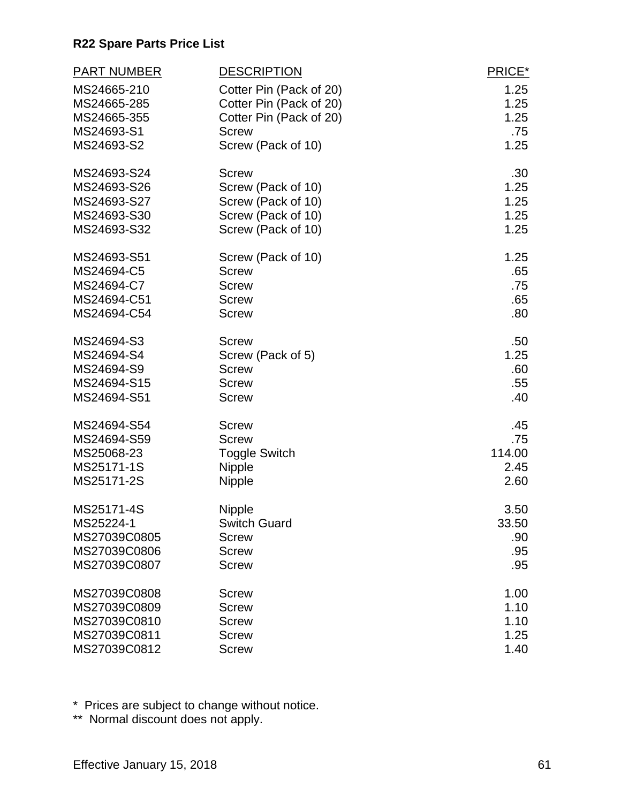| <b>PART NUMBER</b> | <b>DESCRIPTION</b>      | PRICE* |
|--------------------|-------------------------|--------|
| MS24665-210        | Cotter Pin (Pack of 20) | 1.25   |
| MS24665-285        | Cotter Pin (Pack of 20) | 1.25   |
| MS24665-355        | Cotter Pin (Pack of 20) | 1.25   |
| MS24693-S1         | <b>Screw</b>            | .75    |
| MS24693-S2         | Screw (Pack of 10)      | 1.25   |
| MS24693-S24        | <b>Screw</b>            | .30    |
| MS24693-S26        | Screw (Pack of 10)      | 1.25   |
| MS24693-S27        | Screw (Pack of 10)      | 1.25   |
| MS24693-S30        | Screw (Pack of 10)      | 1.25   |
| MS24693-S32        | Screw (Pack of 10)      | 1.25   |
| MS24693-S51        | Screw (Pack of 10)      | 1.25   |
| MS24694-C5         | <b>Screw</b>            | .65    |
| MS24694-C7         | <b>Screw</b>            | .75    |
| MS24694-C51        | <b>Screw</b>            | .65    |
| MS24694-C54        | <b>Screw</b>            | .80    |
| MS24694-S3         | <b>Screw</b>            | .50    |
| MS24694-S4         | Screw (Pack of 5)       | 1.25   |
| MS24694-S9         | <b>Screw</b>            | .60    |
| MS24694-S15        | <b>Screw</b>            | .55    |
| MS24694-S51        | <b>Screw</b>            | .40    |
| MS24694-S54        | <b>Screw</b>            | .45    |
| MS24694-S59        | <b>Screw</b>            | .75    |
| MS25068-23         | <b>Toggle Switch</b>    | 114.00 |
| MS25171-1S         | Nipple                  | 2.45   |
| MS25171-2S         | Nipple                  | 2.60   |
| MS25171-4S         | <b>Nipple</b>           | 3.50   |
| MS25224-1          | <b>Switch Guard</b>     | 33.50  |
| MS27039C0805       | <b>Screw</b>            | .90    |
| MS27039C0806       | <b>Screw</b>            | .95    |
| MS27039C0807       | <b>Screw</b>            | .95    |
| MS27039C0808       | <b>Screw</b>            | 1.00   |
| MS27039C0809       | <b>Screw</b>            | 1.10   |
| MS27039C0810       | <b>Screw</b>            | 1.10   |
| MS27039C0811       | <b>Screw</b>            | 1.25   |
| MS27039C0812       | <b>Screw</b>            | 1.40   |

\* Prices are subject to change without notice.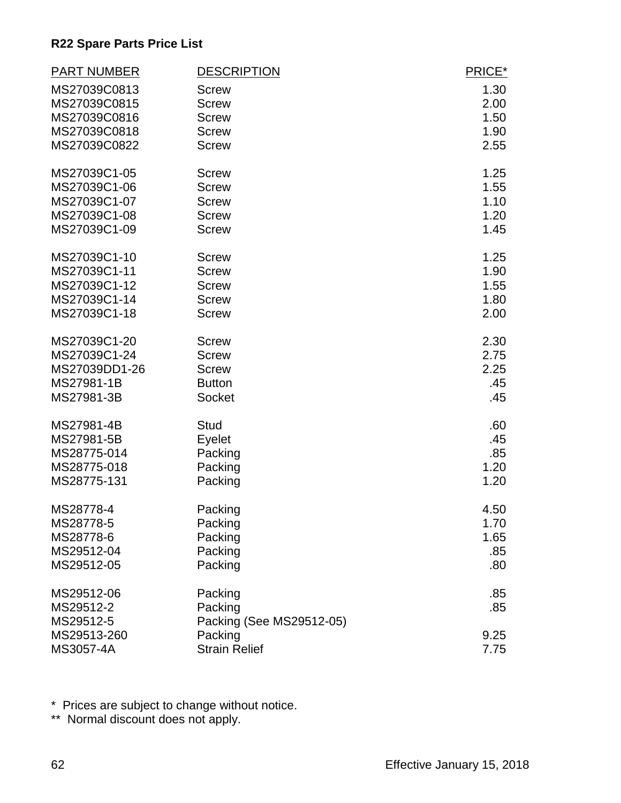| <b>PART NUMBER</b> | <b>DESCRIPTION</b>       | PRICE* |
|--------------------|--------------------------|--------|
| MS27039C0813       | <b>Screw</b>             | 1.30   |
| MS27039C0815       | <b>Screw</b>             | 2.00   |
| MS27039C0816       | <b>Screw</b>             | 1.50   |
| MS27039C0818       | <b>Screw</b>             | 1.90   |
| MS27039C0822       | <b>Screw</b>             | 2.55   |
| MS27039C1-05       | <b>Screw</b>             | 1.25   |
| MS27039C1-06       | <b>Screw</b>             | 1.55   |
| MS27039C1-07       | <b>Screw</b>             | 1.10   |
| MS27039C1-08       | <b>Screw</b>             | 1.20   |
| MS27039C1-09       | <b>Screw</b>             | 1.45   |
| MS27039C1-10       | <b>Screw</b>             | 1.25   |
| MS27039C1-11       | <b>Screw</b>             | 1.90   |
| MS27039C1-12       | <b>Screw</b>             | 1.55   |
| MS27039C1-14       | <b>Screw</b>             | 1.80   |
| MS27039C1-18       | <b>Screw</b>             | 2.00   |
| MS27039C1-20       | <b>Screw</b>             | 2.30   |
| MS27039C1-24       | <b>Screw</b>             | 2.75   |
| MS27039DD1-26      | <b>Screw</b>             | 2.25   |
| MS27981-1B         | <b>Button</b>            | .45    |
| MS27981-3B         | Socket                   | .45    |
| MS27981-4B         | <b>Stud</b>              | .60    |
| MS27981-5B         | Eyelet                   | .45    |
| MS28775-014        | Packing                  | .85    |
| MS28775-018        | Packing                  | 1.20   |
| MS28775-131        | Packing                  | 1.20   |
| MS28778-4          | Packing                  | 4.50   |
| MS28778-5          | Packing                  | 1.70   |
| MS28778-6          | Packing                  | 1.65   |
| MS29512-04         | Packing                  | .85    |
| MS29512-05         | Packing                  | .80    |
| MS29512-06         | Packing                  | .85    |
| MS29512-2          | Packing                  | .85    |
| MS29512-5          | Packing (See MS29512-05) |        |
| MS29513-260        | Packing                  | 9.25   |
| MS3057-4A          | <b>Strain Relief</b>     | 7.75   |

\* Prices are subject to change without notice.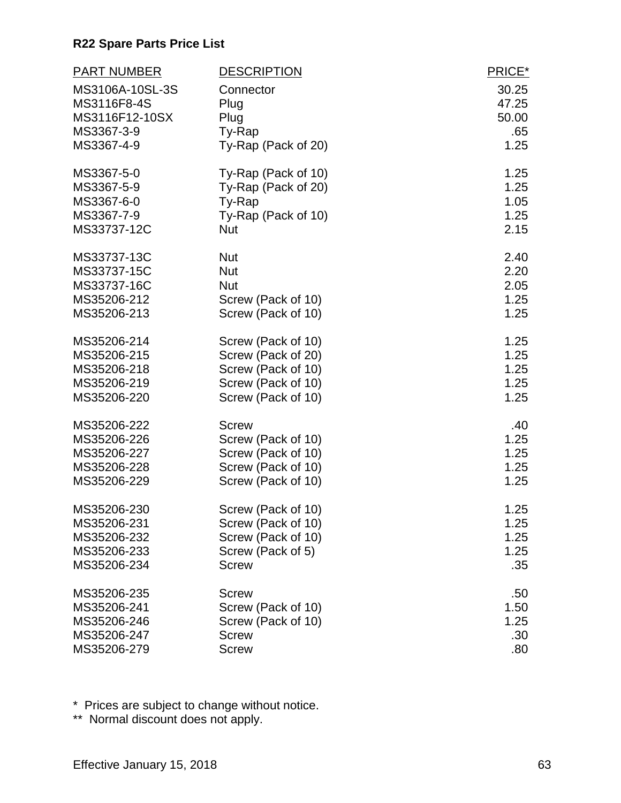| <b>PART NUMBER</b> | <b>DESCRIPTION</b>  | PRICE* |
|--------------------|---------------------|--------|
| MS3106A-10SL-3S    | Connector           | 30.25  |
| MS3116F8-4S        | Plug                | 47.25  |
| MS3116F12-10SX     | Plug                | 50.00  |
| MS3367-3-9         | Ty-Rap              | .65    |
| MS3367-4-9         | Ty-Rap (Pack of 20) | 1.25   |
| MS3367-5-0         | Ty-Rap (Pack of 10) | 1.25   |
| MS3367-5-9         | Ty-Rap (Pack of 20) | 1.25   |
| MS3367-6-0         | Ty-Rap              | 1.05   |
| MS3367-7-9         | Ty-Rap (Pack of 10) | 1.25   |
| MS33737-12C        | <b>Nut</b>          | 2.15   |
| MS33737-13C        | <b>Nut</b>          | 2.40   |
| MS33737-15C        | <b>Nut</b>          | 2.20   |
| MS33737-16C        | <b>Nut</b>          | 2.05   |
| MS35206-212        | Screw (Pack of 10)  | 1.25   |
| MS35206-213        | Screw (Pack of 10)  | 1.25   |
| MS35206-214        | Screw (Pack of 10)  | 1.25   |
| MS35206-215        | Screw (Pack of 20)  | 1.25   |
| MS35206-218        | Screw (Pack of 10)  | 1.25   |
| MS35206-219        | Screw (Pack of 10)  | 1.25   |
| MS35206-220        | Screw (Pack of 10)  | 1.25   |
| MS35206-222        | <b>Screw</b>        | .40    |
| MS35206-226        | Screw (Pack of 10)  | 1.25   |
| MS35206-227        | Screw (Pack of 10)  | 1.25   |
| MS35206-228        | Screw (Pack of 10)  | 1.25   |
| MS35206-229        | Screw (Pack of 10)  | 1.25   |
| MS35206-230        | Screw (Pack of 10)  | 1.25   |
| MS35206-231        | Screw (Pack of 10)  | 1.25   |
| MS35206-232        | Screw (Pack of 10)  | 1.25   |
| MS35206-233        | Screw (Pack of 5)   | 1.25   |
| MS35206-234        | <b>Screw</b>        | .35    |
| MS35206-235        | <b>Screw</b>        | .50    |
| MS35206-241        | Screw (Pack of 10)  | 1.50   |
| MS35206-246        | Screw (Pack of 10)  | 1.25   |
| MS35206-247        | <b>Screw</b>        | .30    |
| MS35206-279        | <b>Screw</b>        | .80    |

\* Prices are subject to change without notice.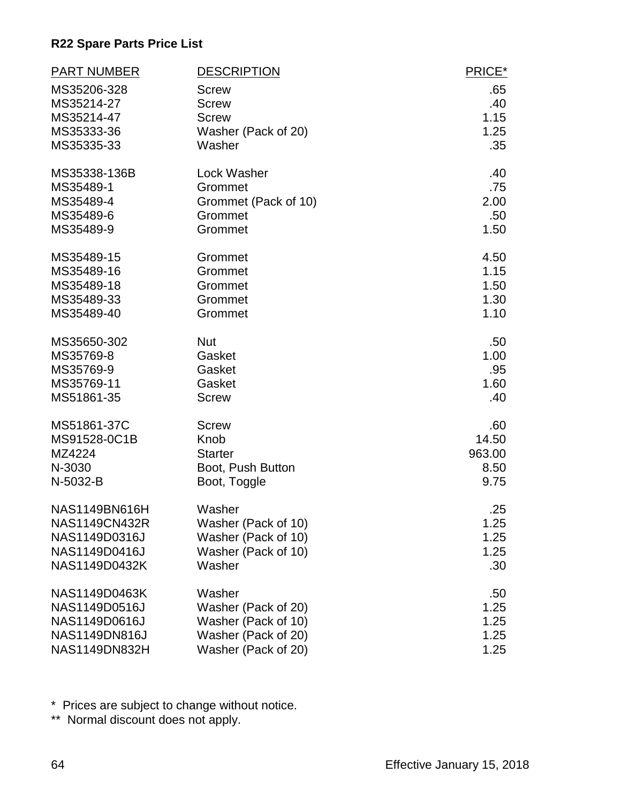| <b>PART NUMBER</b>   | <b>DESCRIPTION</b>   | PRICE*           |
|----------------------|----------------------|------------------|
| MS35206-328          | <b>Screw</b>         | .65              |
| MS35214-27           | <b>Screw</b>         | .40              |
| MS35214-47           | <b>Screw</b>         | 1.15             |
| MS35333-36           | Washer (Pack of 20)  | 1.25             |
| MS35335-33           | Washer               | .35              |
| MS35338-136B         | <b>Lock Washer</b>   | .40              |
| MS35489-1            | Grommet              | .75              |
| MS35489-4            | Grommet (Pack of 10) | 2.00             |
| MS35489-6            | Grommet              | .50 <sub>1</sub> |
| MS35489-9            | Grommet              | 1.50             |
| MS35489-15           | Grommet              | 4.50             |
| MS35489-16           | Grommet              | 1.15             |
| MS35489-18           | Grommet              | 1.50             |
| MS35489-33           | Grommet              | 1.30             |
| MS35489-40           | Grommet              | 1.10             |
| MS35650-302          | <b>Nut</b>           | .50              |
| MS35769-8            | Gasket               | 1.00             |
| MS35769-9            | Gasket               | .95              |
| MS35769-11           | Gasket               | 1.60             |
| MS51861-35           | <b>Screw</b>         | .40              |
| MS51861-37C          | <b>Screw</b>         | .60              |
| MS91528-0C1B         | Knob                 | 14.50            |
| MZ4224               | <b>Starter</b>       | 963.00           |
| N-3030               | Boot, Push Button    | 8.50             |
| N-5032-B             | Boot, Toggle         | 9.75             |
| <b>NAS1149BN616H</b> | Washer               | .25              |
| NAS1149CN432R        | Washer (Pack of 10)  | 1.25             |
| NAS1149D0316J        | Washer (Pack of 10)  | 1.25             |
| NAS1149D0416J        | Washer (Pack of 10)  | 1.25             |
| NAS1149D0432K        | Washer               | .30 <sub>1</sub> |
| NAS1149D0463K        | Washer               | .50              |
| NAS1149D0516J        | Washer (Pack of 20)  | 1.25             |
| NAS1149D0616J        | Washer (Pack of 10)  | 1.25             |
| NAS1149DN816J        | Washer (Pack of 20)  | 1.25             |
| NAS1149DN832H        | Washer (Pack of 20)  | 1.25             |

\* Prices are subject to change without notice.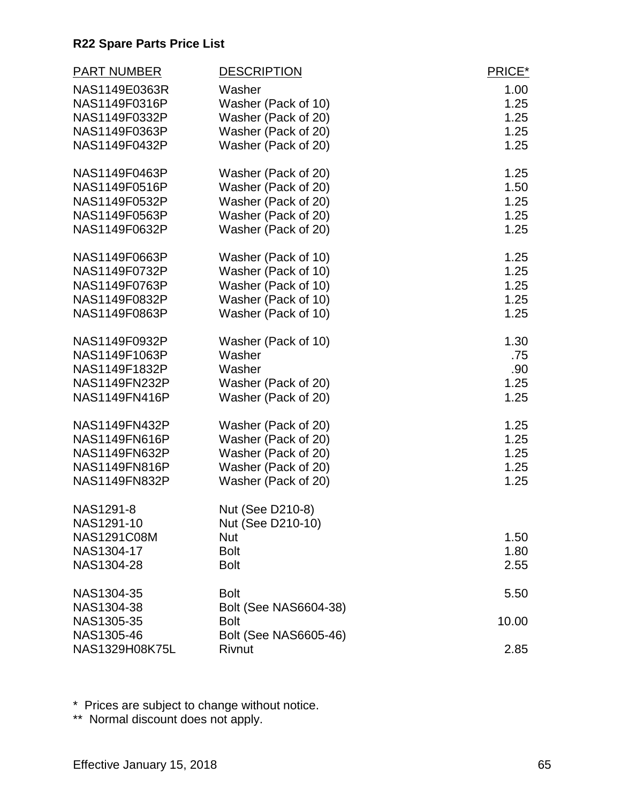| <b>PART NUMBER</b>   | <b>DESCRIPTION</b>           | PRICE* |
|----------------------|------------------------------|--------|
| NAS1149E0363R        | Washer                       | 1.00   |
| NAS1149F0316P        | Washer (Pack of 10)          | 1.25   |
| NAS1149F0332P        | Washer (Pack of 20)          | 1.25   |
| NAS1149F0363P        | Washer (Pack of 20)          | 1.25   |
| NAS1149F0432P        | Washer (Pack of 20)          | 1.25   |
| NAS1149F0463P        | Washer (Pack of 20)          | 1.25   |
| NAS1149F0516P        | Washer (Pack of 20)          | 1.50   |
| NAS1149F0532P        | Washer (Pack of 20)          | 1.25   |
| NAS1149F0563P        | Washer (Pack of 20)          | 1.25   |
| NAS1149F0632P        | Washer (Pack of 20)          | 1.25   |
| NAS1149F0663P        | Washer (Pack of 10)          | 1.25   |
| NAS1149F0732P        | Washer (Pack of 10)          | 1.25   |
| NAS1149F0763P        | Washer (Pack of 10)          | 1.25   |
| NAS1149F0832P        | Washer (Pack of 10)          | 1.25   |
| NAS1149F0863P        | Washer (Pack of 10)          | 1.25   |
| NAS1149F0932P        | Washer (Pack of 10)          | 1.30   |
| NAS1149F1063P        | Washer                       | .75    |
| NAS1149F1832P        | Washer                       | .90    |
| <b>NAS1149FN232P</b> | Washer (Pack of 20)          | 1.25   |
| <b>NAS1149FN416P</b> | Washer (Pack of 20)          | 1.25   |
| NAS1149FN432P        | Washer (Pack of 20)          | 1.25   |
| NAS1149FN616P        | Washer (Pack of 20)          | 1.25   |
| NAS1149FN632P        | Washer (Pack of 20)          | 1.25   |
| NAS1149FN816P        | Washer (Pack of 20)          | 1.25   |
| <b>NAS1149FN832P</b> | Washer (Pack of 20)          | 1.25   |
| NAS1291-8            | Nut (See D210-8)             |        |
| NAS1291-10           | Nut (See D210-10)            |        |
| <b>NAS1291C08M</b>   | <b>Nut</b>                   | 1.50   |
| NAS1304-17           | <b>Bolt</b>                  | 1.80   |
| NAS1304-28           | <b>Bolt</b>                  | 2.55   |
| NAS1304-35           | <b>Bolt</b>                  | 5.50   |
| NAS1304-38           | <b>Bolt (See NAS6604-38)</b> |        |
| NAS1305-35           | <b>Bolt</b>                  | 10.00  |
| NAS1305-46           | Bolt (See NAS6605-46)        |        |
| NAS1329H08K75L       | Rivnut                       | 2.85   |

\* Prices are subject to change without notice.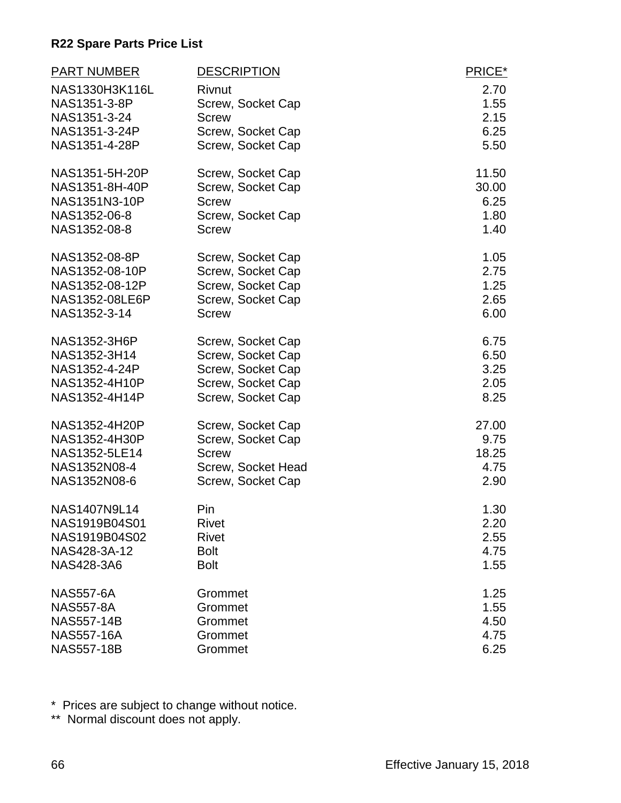| <b>PART NUMBER</b> | <b>DESCRIPTION</b> | PRICE* |
|--------------------|--------------------|--------|
| NAS1330H3K116L     | <b>Rivnut</b>      | 2.70   |
| NAS1351-3-8P       | Screw, Socket Cap  | 1.55   |
| NAS1351-3-24       | <b>Screw</b>       | 2.15   |
| NAS1351-3-24P      | Screw, Socket Cap  | 6.25   |
| NAS1351-4-28P      | Screw, Socket Cap  | 5.50   |
| NAS1351-5H-20P     | Screw, Socket Cap  | 11.50  |
| NAS1351-8H-40P     | Screw, Socket Cap  | 30.00  |
| NAS1351N3-10P      | <b>Screw</b>       | 6.25   |
| NAS1352-06-8       | Screw, Socket Cap  | 1.80   |
| NAS1352-08-8       | <b>Screw</b>       | 1.40   |
| NAS1352-08-8P      | Screw, Socket Cap  | 1.05   |
| NAS1352-08-10P     | Screw, Socket Cap  | 2.75   |
| NAS1352-08-12P     | Screw, Socket Cap  | 1.25   |
| NAS1352-08LE6P     | Screw, Socket Cap  | 2.65   |
| NAS1352-3-14       | <b>Screw</b>       | 6.00   |
| NAS1352-3H6P       | Screw, Socket Cap  | 6.75   |
| NAS1352-3H14       | Screw, Socket Cap  | 6.50   |
| NAS1352-4-24P      | Screw, Socket Cap  | 3.25   |
| NAS1352-4H10P      | Screw, Socket Cap  | 2.05   |
| NAS1352-4H14P      | Screw, Socket Cap  | 8.25   |
| NAS1352-4H20P      | Screw, Socket Cap  | 27.00  |
| NAS1352-4H30P      | Screw, Socket Cap  | 9.75   |
| NAS1352-5LE14      | <b>Screw</b>       | 18.25  |
| NAS1352N08-4       | Screw, Socket Head | 4.75   |
| NAS1352N08-6       | Screw, Socket Cap  | 2.90   |
| NAS1407N9L14       | Pin                | 1.30   |
| NAS1919B04S01      | <b>Rivet</b>       | 2.20   |
| NAS1919B04S02      | <b>Rivet</b>       | 2.55   |
| NAS428-3A-12       | <b>Bolt</b>        | 4.75   |
| <b>NAS428-3A6</b>  | <b>Bolt</b>        | 1.55   |
| <b>NAS557-6A</b>   | Grommet            | 1.25   |
| <b>NAS557-8A</b>   | Grommet            | 1.55   |
| <b>NAS557-14B</b>  | Grommet            | 4.50   |
| <b>NAS557-16A</b>  | Grommet            | 4.75   |
| <b>NAS557-18B</b>  | Grommet            | 6.25   |

\* Prices are subject to change without notice.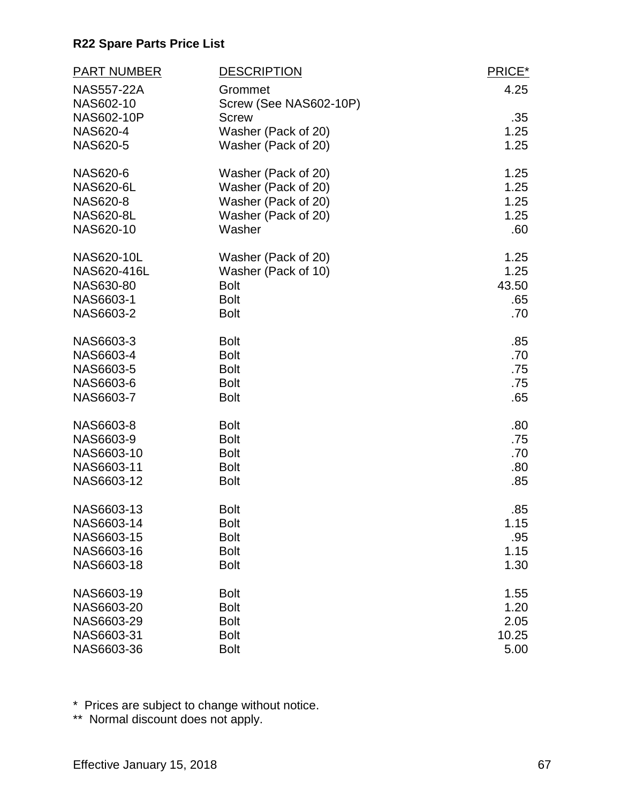| <b>PART NUMBER</b>                   | <b>DESCRIPTION</b>                  | PRICE*      |
|--------------------------------------|-------------------------------------|-------------|
| <b>NAS557-22A</b>                    | Grommet                             | 4.25        |
| NAS602-10                            | Screw (See NAS602-10P)              |             |
| <b>NAS602-10P</b><br><b>NAS620-4</b> | <b>Screw</b><br>Washer (Pack of 20) | .35<br>1.25 |
| <b>NAS620-5</b>                      | Washer (Pack of 20)                 | 1.25        |
|                                      |                                     |             |
| NAS620-6                             | Washer (Pack of 20)                 | 1.25        |
| <b>NAS620-6L</b>                     | Washer (Pack of 20)                 | 1.25        |
| <b>NAS620-8</b>                      | Washer (Pack of 20)                 | 1.25        |
| <b>NAS620-8L</b>                     | Washer (Pack of 20)                 | 1.25        |
| NAS620-10                            | Washer                              | .60         |
| NAS620-10L                           | Washer (Pack of 20)                 | 1.25        |
| NAS620-416L                          | Washer (Pack of 10)                 | 1.25        |
| NAS630-80                            | <b>Bolt</b>                         | 43.50       |
| NAS6603-1                            | <b>Bolt</b>                         | .65         |
| NAS6603-2                            | <b>Bolt</b>                         | .70         |
| NAS6603-3                            | <b>Bolt</b>                         | .85         |
| NAS6603-4                            | <b>Bolt</b>                         | .70         |
| NAS6603-5                            | <b>Bolt</b>                         | .75         |
| NAS6603-6                            | <b>Bolt</b>                         | .75         |
| NAS6603-7                            | <b>Bolt</b>                         | .65         |
| NAS6603-8                            | <b>Bolt</b>                         | .80         |
| NAS6603-9                            | <b>Bolt</b>                         | .75         |
| NAS6603-10                           | <b>Bolt</b>                         | .70         |
| NAS6603-11                           | <b>Bolt</b>                         | .80         |
| NAS6603-12                           | <b>Bolt</b>                         | .85         |
| NAS6603-13                           | <b>Bolt</b>                         | .85         |
| NAS6603-14                           | <b>Bolt</b>                         | 1.15        |
| NAS6603-15                           | <b>Bolt</b>                         | .95         |
| NAS6603-16                           | <b>Bolt</b>                         | 1.15        |
| NAS6603-18                           | <b>Bolt</b>                         | 1.30        |
| NAS6603-19                           | <b>Bolt</b>                         | 1.55        |
| NAS6603-20                           | <b>Bolt</b>                         | 1.20        |
| NAS6603-29                           | <b>Bolt</b>                         | 2.05        |
| NAS6603-31                           | <b>Bolt</b>                         | 10.25       |
| NAS6603-36                           | <b>Bolt</b>                         | 5.00        |

\* Prices are subject to change without notice.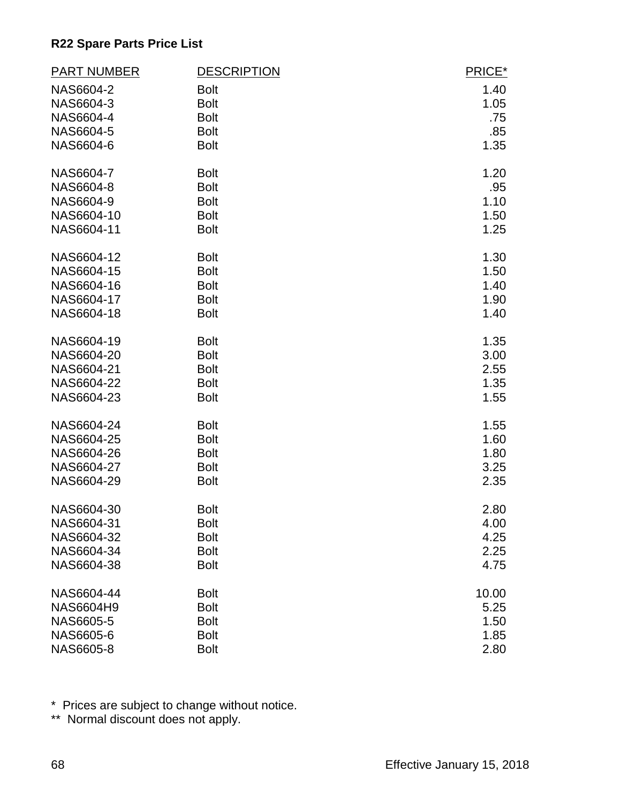| <b>PART NUMBER</b> | <b>DESCRIPTION</b> | PRICE* |
|--------------------|--------------------|--------|
| NAS6604-2          | <b>Bolt</b>        | 1.40   |
| NAS6604-3          | <b>Bolt</b>        | 1.05   |
| NAS6604-4          | <b>Bolt</b>        | .75    |
| NAS6604-5          | <b>Bolt</b>        | .85    |
| NAS6604-6          | <b>Bolt</b>        | 1.35   |
| NAS6604-7          | <b>Bolt</b>        | 1.20   |
| NAS6604-8          | <b>Bolt</b>        | .95    |
| NAS6604-9          | <b>Bolt</b>        | 1.10   |
| NAS6604-10         | <b>Bolt</b>        | 1.50   |
| NAS6604-11         | <b>Bolt</b>        | 1.25   |
| NAS6604-12         | <b>Bolt</b>        | 1.30   |
| NAS6604-15         | <b>Bolt</b>        | 1.50   |
| NAS6604-16         | <b>Bolt</b>        | 1.40   |
| NAS6604-17         | <b>Bolt</b>        | 1.90   |
| NAS6604-18         | <b>Bolt</b>        | 1.40   |
| NAS6604-19         | <b>Bolt</b>        | 1.35   |
| NAS6604-20         | <b>Bolt</b>        | 3.00   |
| NAS6604-21         | <b>Bolt</b>        | 2.55   |
| NAS6604-22         | <b>Bolt</b>        | 1.35   |
| NAS6604-23         | <b>Bolt</b>        | 1.55   |
| NAS6604-24         | <b>Bolt</b>        | 1.55   |
| NAS6604-25         | <b>Bolt</b>        | 1.60   |
| NAS6604-26         | <b>Bolt</b>        | 1.80   |
| NAS6604-27         | <b>Bolt</b>        | 3.25   |
| NAS6604-29         | <b>Bolt</b>        | 2.35   |
| NAS6604-30         | <b>Bolt</b>        | 2.80   |
| NAS6604-31         | <b>Bolt</b>        | 4.00   |
| NAS6604-32         | <b>Bolt</b>        | 4.25   |
| NAS6604-34         | <b>Bolt</b>        | 2.25   |
| NAS6604-38         | <b>Bolt</b>        | 4.75   |
| NAS6604-44         | <b>Bolt</b>        | 10.00  |
| <b>NAS6604H9</b>   | <b>Bolt</b>        | 5.25   |
| NAS6605-5          | <b>Bolt</b>        | 1.50   |
| NAS6605-6          | <b>Bolt</b>        | 1.85   |
| NAS6605-8          | <b>Bolt</b>        | 2.80   |

\* Prices are subject to change without notice.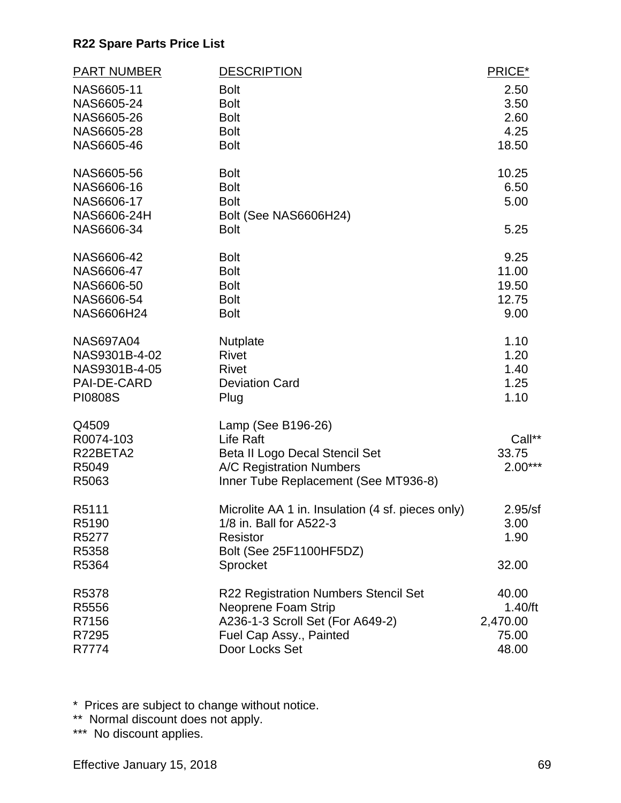| <b>PART NUMBER</b>        | <b>DESCRIPTION</b>                                               | PRICE*             |
|---------------------------|------------------------------------------------------------------|--------------------|
| NAS6605-11                | <b>Bolt</b>                                                      | 2.50               |
| NAS6605-24                | <b>Bolt</b>                                                      | 3.50               |
| NAS6605-26                | <b>Bolt</b>                                                      | 2.60               |
| NAS6605-28                | <b>Bolt</b>                                                      | 4.25               |
| NAS6605-46                | <b>Bolt</b>                                                      | 18.50              |
| NAS6605-56                | <b>Bolt</b>                                                      | 10.25              |
| NAS6606-16                | <b>Bolt</b>                                                      | 6.50               |
| NAS6606-17<br>NAS6606-24H | <b>Bolt</b>                                                      | 5.00               |
| NAS6606-34                | Bolt (See NAS6606H24)<br><b>Bolt</b>                             | 5.25               |
| NAS6606-42                | <b>Bolt</b>                                                      | 9.25               |
| NAS6606-47                | <b>Bolt</b>                                                      | 11.00              |
| NAS6606-50                | <b>Bolt</b>                                                      | 19.50              |
| NAS6606-54                | <b>Bolt</b>                                                      | 12.75              |
| NAS6606H24                | <b>Bolt</b>                                                      | 9.00               |
| <b>NAS697A04</b>          | <b>Nutplate</b>                                                  | 1.10               |
| NAS9301B-4-02             | <b>Rivet</b>                                                     | 1.20               |
| NAS9301B-4-05             | <b>Rivet</b>                                                     | 1.40               |
| PAI-DE-CARD               | <b>Deviation Card</b>                                            | 1.25               |
| <b>PI0808S</b>            | Plug                                                             | 1.10               |
| Q4509                     | Lamp (See B196-26)                                               |                    |
| R0074-103                 | Life Raft                                                        | Call**             |
| R22BETA2                  | Beta II Logo Decal Stencil Set                                   | 33.75<br>$2.00***$ |
| R5049<br>R5063            | A/C Registration Numbers<br>Inner Tube Replacement (See MT936-8) |                    |
|                           |                                                                  |                    |
| R5111                     | Microlite AA 1 in. Insulation (4 sf. pieces only)                | 2.95/sf            |
| R5190                     | 1/8 in. Ball for A522-3                                          | 3.00               |
| R5277                     | <b>Resistor</b>                                                  | 1.90               |
| R5358                     | Bolt (See 25F1100HF5DZ)                                          |                    |
| R5364                     | Sprocket                                                         | 32.00              |
| R5378                     | R22 Registration Numbers Stencil Set                             | 40.00              |
| R5556                     | Neoprene Foam Strip                                              | 1.40/ft            |
| R7156                     | A236-1-3 Scroll Set (For A649-2)                                 | 2,470.00           |
| R7295                     | Fuel Cap Assy., Painted                                          | 75.00              |
| R7774                     | Door Locks Set                                                   | 48.00              |

\* Prices are subject to change without notice.

\*\* Normal discount does not apply.

\*\*\* No discount applies.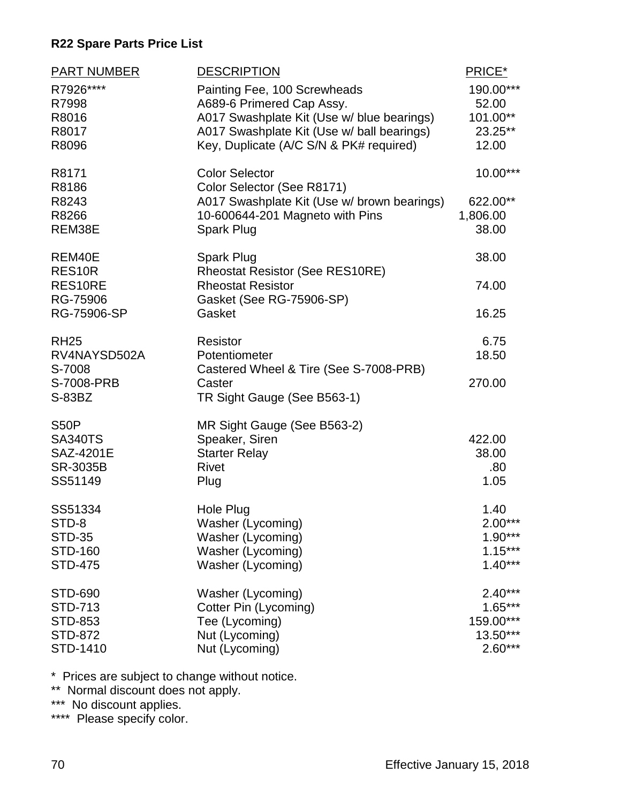| PART NUMBER<br>R7926****<br>R7998<br>R8016<br>R8017<br>R8096             | <b>DESCRIPTION</b><br>Painting Fee, 100 Screwheads<br>A689-6 Primered Cap Assy.<br>A017 Swashplate Kit (Use w/ blue bearings)<br>A017 Swashplate Kit (Use w/ ball bearings)<br>Key, Duplicate (A/C S/N & PK# required) | PRICE*<br>190.00***<br>52.00<br>101.00**<br>23.25**<br>12.00 |
|--------------------------------------------------------------------------|------------------------------------------------------------------------------------------------------------------------------------------------------------------------------------------------------------------------|--------------------------------------------------------------|
| R8171<br>R8186<br>R8243<br>R8266<br>REM38E                               | <b>Color Selector</b><br>Color Selector (See R8171)<br>A017 Swashplate Kit (Use w/ brown bearings)<br>10-600644-201 Magneto with Pins<br>Spark Plug                                                                    | 10.00***<br>622.00**<br>1,806.00<br>38.00                    |
| REM40E<br>RES <sub>10R</sub><br>RES10RE<br>RG-75906<br>RG-75906-SP       | Spark Plug<br><b>Rheostat Resistor (See RES10RE)</b><br><b>Rheostat Resistor</b><br>Gasket (See RG-75906-SP)<br>Gasket                                                                                                 | 38.00<br>74.00<br>16.25                                      |
| <b>RH25</b><br>RV4NAYSD502A<br>S-7008<br>S-7008-PRB<br>S-83BZ            | <b>Resistor</b><br>Potentiometer<br>Castered Wheel & Tire (See S-7008-PRB)<br>Caster<br>TR Sight Gauge (See B563-1)                                                                                                    | 6.75<br>18.50<br>270.00                                      |
| <b>S50P</b><br><b>SA340TS</b><br>SAZ-4201E<br><b>SR-3035B</b><br>SS51149 | MR Sight Gauge (See B563-2)<br>Speaker, Siren<br><b>Starter Relay</b><br><b>Rivet</b><br>Plug                                                                                                                          | 422.00<br>38.00<br>.80<br>1.05                               |
| SS51334<br>STD-8<br><b>STD-35</b><br><b>STD-160</b><br><b>STD-475</b>    | Hole Plug<br>Washer (Lycoming)<br>Washer (Lycoming)<br>Washer (Lycoming)<br>Washer (Lycoming)                                                                                                                          | 1.40<br>$2.00***$<br>$1.90***$<br>$1.15***$<br>$1.40***$     |
| STD-690<br>STD-713<br>STD-853<br><b>STD-872</b><br>STD-1410              | Washer (Lycoming)<br>Cotter Pin (Lycoming)<br>Tee (Lycoming)<br>Nut (Lycoming)<br>Nut (Lycoming)                                                                                                                       | $2.40***$<br>$1.65***$<br>159.00***<br>13.50***<br>$2.60***$ |

\* Prices are subject to change without notice.

\*\* Normal discount does not apply.

\*\*\* No discount applies.

\*\*\*\* Please specify color.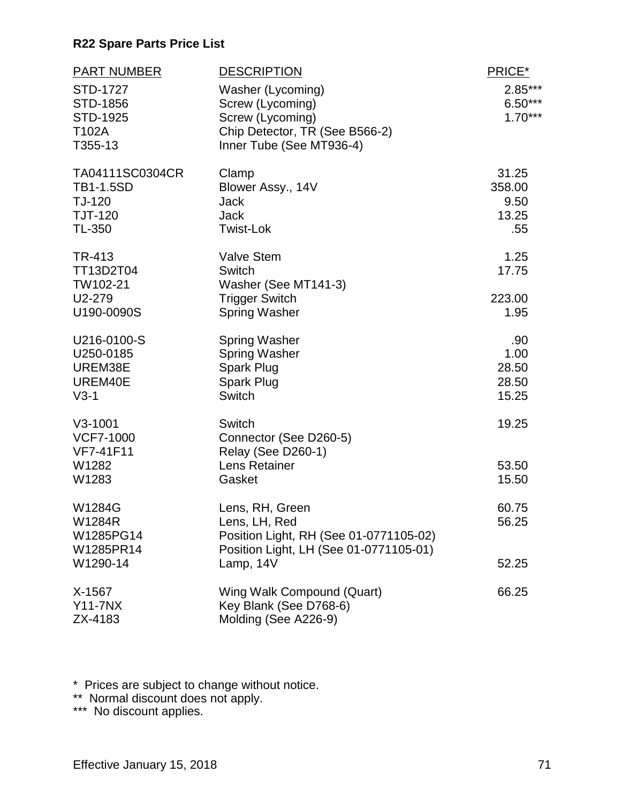| <b>PART NUMBER</b> | <b>DESCRIPTION</b>                         | PRICE*         |
|--------------------|--------------------------------------------|----------------|
| <b>STD-1727</b>    | Washer (Lycoming)                          | $2.85***$      |
| STD-1856           | Screw (Lycoming)                           | $6.50***$      |
| STD-1925           | Screw (Lycoming)                           | $1.70***$      |
| T102A              | Chip Detector, TR (See B566-2)             |                |
| T355-13            | Inner Tube (See MT936-4)                   |                |
| TA04111SC0304CR    | Clamp                                      | 31.25          |
| <b>TB1-1.5SD</b>   | Blower Assy., 14V                          | 358.00         |
| TJ-120             | <b>Jack</b>                                | 9.50           |
| <b>TJT-120</b>     | <b>Jack</b>                                | 13.25          |
| <b>TL-350</b>      | <b>Twist-Lok</b>                           | .55            |
| TR-413             | <b>Valve Stem</b>                          | 1.25           |
| TT13D2T04          | Switch                                     | 17.75          |
| TW102-21           | Washer (See MT141-3)                       |                |
| U2-279             | <b>Trigger Switch</b>                      | 223.00         |
| U190-0090S         | <b>Spring Washer</b>                       | 1.95           |
| U216-0100-S        | <b>Spring Washer</b>                       | .90            |
| U250-0185          | <b>Spring Washer</b>                       | 1.00           |
| UREM38E            | Spark Plug                                 | 28.50          |
| UREM40E            | Spark Plug                                 | 28.50          |
| $V3-1$             | Switch                                     | 15.25          |
| $V3-1001$          | Switch                                     | 19.25          |
| <b>VCF7-1000</b>   | Connector (See D260-5)                     |                |
| VF7-41F11<br>W1282 | <b>Relay (See D260-1)</b><br>Lens Retainer |                |
| W1283              | Gasket                                     | 53.50<br>15.50 |
|                    |                                            |                |
| W1284G             | Lens, RH, Green                            | 60.75          |
| <b>W1284R</b>      | Lens, LH, Red                              | 56.25          |
| W1285PG14          | Position Light, RH (See 01-0771105-02)     |                |
| W1285PR14          | Position Light, LH (See 01-0771105-01)     |                |
| W1290-14           | Lamp, 14V                                  | 52.25          |
| X-1567             | Wing Walk Compound (Quart)                 | 66.25          |
| <b>Y11-7NX</b>     | Key Blank (See D768-6)                     |                |
| ZX-4183            | Molding (See A226-9)                       |                |

\* Prices are subject to change without notice.

\*\* Normal discount does not apply.

\*\*\* No discount applies.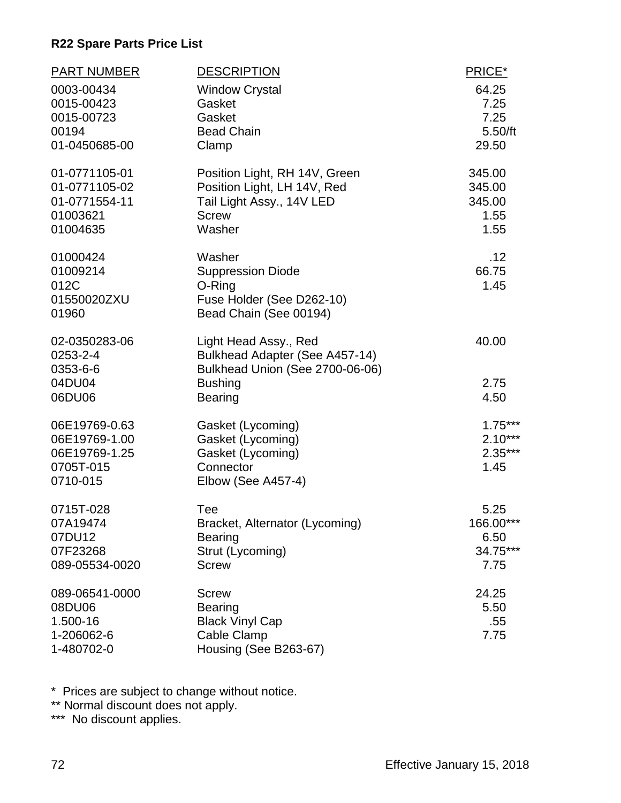| <b>PART NUMBER</b><br>0003-00434<br>0015-00423<br>0015-00723<br>00194<br>01-0450685-00 | <b>DESCRIPTION</b><br><b>Window Crystal</b><br>Gasket<br>Gasket<br><b>Bead Chain</b><br>Clamp                                  | PRICE*<br>64.25<br>7.25<br>7.25<br>5.50/ft<br>29.50 |
|----------------------------------------------------------------------------------------|--------------------------------------------------------------------------------------------------------------------------------|-----------------------------------------------------|
| 01-0771105-01<br>01-0771105-02<br>01-0771554-11<br>01003621<br>01004635                | Position Light, RH 14V, Green<br>Position Light, LH 14V, Red<br>Tail Light Assy., 14V LED<br><b>Screw</b><br>Washer            | 345.00<br>345.00<br>345.00<br>1.55<br>1.55          |
| 01000424<br>01009214<br>012C<br>01550020ZXU<br>01960                                   | Washer<br><b>Suppression Diode</b><br>O-Ring<br>Fuse Holder (See D262-10)<br>Bead Chain (See 00194)                            | .12<br>66.75<br>1.45                                |
| 02-0350283-06<br>0253-2-4<br>0353-6-6<br>04DU04<br>06DU06                              | Light Head Assy., Red<br>Bulkhead Adapter (See A457-14)<br>Bulkhead Union (See 2700-06-06)<br><b>Bushing</b><br><b>Bearing</b> | 40.00<br>2.75<br>4.50                               |
| 06E19769-0.63<br>06E19769-1.00<br>06E19769-1.25<br>0705T-015<br>0710-015               | Gasket (Lycoming)<br>Gasket (Lycoming)<br>Gasket (Lycoming)<br>Connector<br>Elbow (See A457-4)                                 | $1.75***$<br>$2.10***$<br>$2.35***$<br>1.45         |
| 0715T-028<br>07A19474<br>07DU12<br>07F23268<br>089-05534-0020                          | Tee<br>Bracket, Alternator (Lycoming)<br><b>Bearing</b><br>Strut (Lycoming)<br><b>Screw</b>                                    | 5.25<br>166.00***<br>6.50<br>34.75***<br>7.75       |
| 089-06541-0000<br>08DU06<br>1.500-16<br>1-206062-6<br>1-480702-0                       | <b>Screw</b><br><b>Bearing</b><br><b>Black Vinyl Cap</b><br>Cable Clamp<br>Housing (See B263-67)                               | 24.25<br>5.50<br>.55<br>7.75                        |

\* Prices are subject to change without notice.

\*\* Normal discount does not apply.

\*\*\* No discount applies.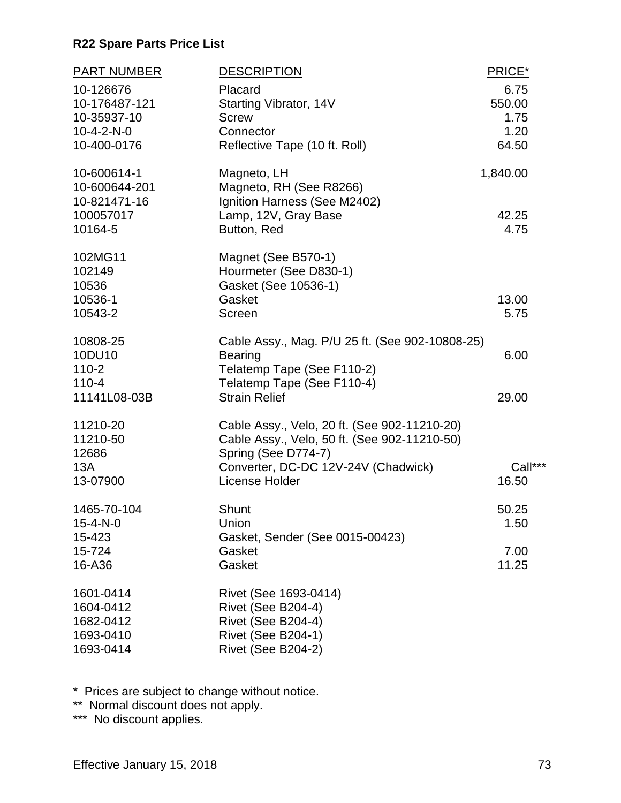| <b>PART NUMBER</b><br>10-126676      | <b>DESCRIPTION</b><br>Placard                                                                                       | PRICE*<br>6.75 |
|--------------------------------------|---------------------------------------------------------------------------------------------------------------------|----------------|
| 10-176487-121                        | Starting Vibrator, 14V                                                                                              | 550.00         |
| 10-35937-10<br>$10 - 4 - 2 - N - 0$  | <b>Screw</b><br>Connector                                                                                           | 1.75<br>1.20   |
| 10-400-0176                          | Reflective Tape (10 ft. Roll)                                                                                       | 64.50          |
| 10-600614-1<br>10-600644-201         | Magneto, LH<br>Magneto, RH (See R8266)                                                                              | 1,840.00       |
| 10-821471-16<br>100057017<br>10164-5 | Ignition Harness (See M2402)<br>Lamp, 12V, Gray Base<br>Button, Red                                                 | 42.25<br>4.75  |
| 102MG11<br>102149<br>10536           | Magnet (See B570-1)<br>Hourmeter (See D830-1)<br>Gasket (See 10536-1)                                               |                |
| 10536-1                              | Gasket                                                                                                              | 13.00          |
| 10543-2                              | <b>Screen</b>                                                                                                       | 5.75           |
| 10808-25<br>10DU10                   | Cable Assy., Mag. P/U 25 ft. (See 902-10808-25)                                                                     |                |
| $110 - 2$                            | <b>Bearing</b><br>Telatemp Tape (See F110-2)                                                                        | 6.00           |
| $110 - 4$<br>11141L08-03B            | Telatemp Tape (See F110-4)<br><b>Strain Relief</b>                                                                  | 29.00          |
|                                      |                                                                                                                     |                |
| 11210-20<br>11210-50<br>12686        | Cable Assy., Velo, 20 ft. (See 902-11210-20)<br>Cable Assy., Velo, 50 ft. (See 902-11210-50)<br>Spring (See D774-7) |                |
| 13A                                  | Converter, DC-DC 12V-24V (Chadwick)                                                                                 | Call***        |
| 13-07900                             | License Holder                                                                                                      | 16.50          |
| 1465-70-104                          | Shunt                                                                                                               | 50.25          |
| 15-4-N-0<br>15-423                   | Union<br>Gasket, Sender (See 0015-00423)                                                                            | 1.50           |
| 15-724                               | Gasket                                                                                                              | 7.00           |
| 16-A36                               | Gasket                                                                                                              | 11.25          |
| 1601-0414<br>1604-0412               | Rivet (See 1693-0414)                                                                                               |                |
| 1682-0412                            | Rivet (See B204-4)<br>Rivet (See B204-4)                                                                            |                |
| 1693-0410                            | <b>Rivet (See B204-1)</b>                                                                                           |                |
| 1693-0414                            | Rivet (See B204-2)                                                                                                  |                |

\* Prices are subject to change without notice.

\*\* Normal discount does not apply.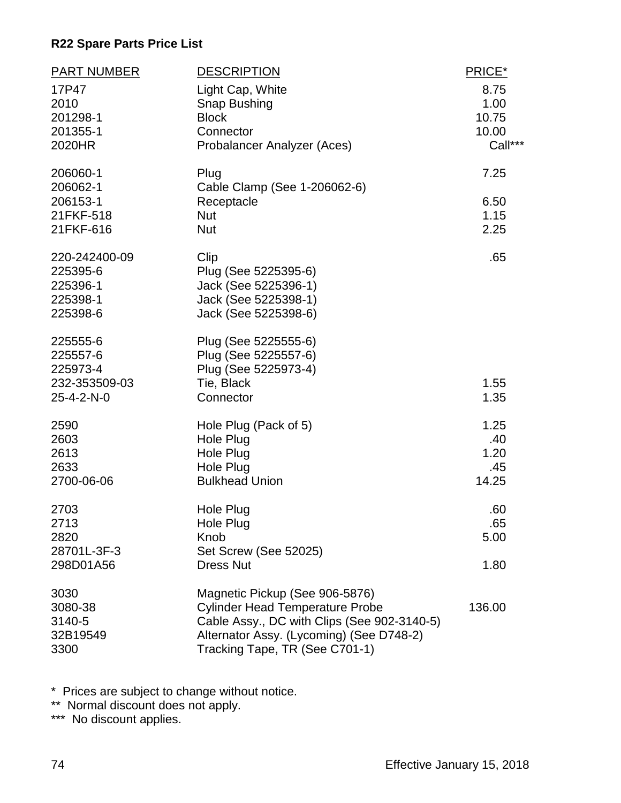| <b>PART NUMBER</b>                                              | <b>DESCRIPTION</b>                                                                                                                                                                                    | PRICE*                                    |
|-----------------------------------------------------------------|-------------------------------------------------------------------------------------------------------------------------------------------------------------------------------------------------------|-------------------------------------------|
| 17P47<br>2010<br>201298-1<br>201355-1<br>2020HR                 | Light Cap, White<br>Snap Bushing<br><b>Block</b><br>Connector<br>Probalancer Analyzer (Aces)                                                                                                          | 8.75<br>1.00<br>10.75<br>10.00<br>Call*** |
| 206060-1<br>206062-1<br>206153-1<br>21FKF-518<br>21FKF-616      | Plug<br>Cable Clamp (See 1-206062-6)<br>Receptacle<br><b>Nut</b><br><b>Nut</b>                                                                                                                        | 7.25<br>6.50<br>1.15<br>2.25              |
| 220-242400-09<br>225395-6<br>225396-1<br>225398-1<br>225398-6   | Clip<br>Plug (See 5225395-6)<br>Jack (See 5225396-1)<br>Jack (See 5225398-1)<br>Jack (See 5225398-6)                                                                                                  | .65                                       |
| 225555-6<br>225557-6<br>225973-4<br>232-353509-03<br>25-4-2-N-0 | Plug (See 5225555-6)<br>Plug (See 5225557-6)<br>Plug (See 5225973-4)<br>Tie, Black<br>Connector                                                                                                       | 1.55<br>1.35                              |
| 2590<br>2603<br>2613<br>2633<br>2700-06-06                      | Hole Plug (Pack of 5)<br>Hole Plug<br>Hole Plug<br>Hole Plug<br><b>Bulkhead Union</b>                                                                                                                 | 1.25<br>.40<br>1.20<br>.45<br>14.25       |
| 2703<br>2713<br>2820<br>28701L-3F-3<br>298D01A56                | Hole Plug<br>Hole Plug<br>Knob<br>Set Screw (See 52025)<br><b>Dress Nut</b>                                                                                                                           | .60<br>.65<br>5.00<br>1.80                |
| 3030<br>3080-38<br>3140-5<br>32B19549<br>3300                   | Magnetic Pickup (See 906-5876)<br><b>Cylinder Head Temperature Probe</b><br>Cable Assy., DC with Clips (See 902-3140-5)<br>Alternator Assy. (Lycoming) (See D748-2)<br>Tracking Tape, TR (See C701-1) | 136.00                                    |

\* Prices are subject to change without notice.

\*\* Normal discount does not apply.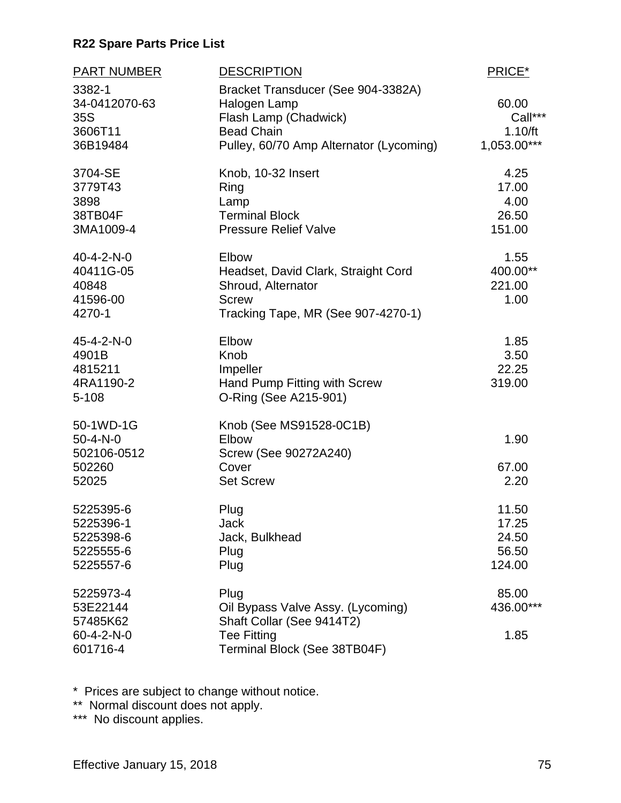| <b>PART NUMBER</b>                                                    | <b>DESCRIPTION</b>                                                                                                                          | PRICE*                                     |
|-----------------------------------------------------------------------|---------------------------------------------------------------------------------------------------------------------------------------------|--------------------------------------------|
| 3382-1<br>34-0412070-63<br>35S<br>3606T11<br>36B19484                 | Bracket Transducer (See 904-3382A)<br>Halogen Lamp<br>Flash Lamp (Chadwick)<br><b>Bead Chain</b><br>Pulley, 60/70 Amp Alternator (Lycoming) | 60.00<br>Call***<br>1.10/ft<br>1,053.00*** |
| 3704-SE<br>3779T43<br>3898<br>38TB04F<br>3MA1009-4                    | Knob, 10-32 Insert<br>Ring<br>Lamp<br><b>Terminal Block</b><br><b>Pressure Relief Valve</b>                                                 | 4.25<br>17.00<br>4.00<br>26.50<br>151.00   |
| 40-4-2-N-0<br>40411G-05<br>40848<br>41596-00<br>4270-1                | Elbow<br>Headset, David Clark, Straight Cord<br>Shroud, Alternator<br><b>Screw</b><br>Tracking Tape, MR (See 907-4270-1)                    | 1.55<br>400.00**<br>221.00<br>1.00         |
| 45-4-2-N-0<br>4901B<br>4815211<br>4RA1190-2<br>5-108                  | Elbow<br>Knob<br>Impeller<br>Hand Pump Fitting with Screw<br>O-Ring (See A215-901)                                                          | 1.85<br>3.50<br>22.25<br>319.00            |
| 50-1WD-1G<br>$50 - 4 - N - 0$<br>502106-0512<br>502260<br>52025       | Knob (See MS91528-0C1B)<br>Elbow<br>Screw (See 90272A240)<br>Cover<br><b>Set Screw</b>                                                      | 1.90<br>67.00<br>2.20                      |
| 5225395-6<br>5225396-1<br>5225398-6<br>5225555-6<br>5225557-6         | Plug<br>Jack<br>Jack, Bulkhead<br>Plug<br>Plug                                                                                              | 11.50<br>17.25<br>24.50<br>56.50<br>124.00 |
| 5225973-4<br>53E22144<br>57485K62<br>$60 - 4 - 2 - N - 0$<br>601716-4 | Plug<br>Oil Bypass Valve Assy. (Lycoming)<br>Shaft Collar (See 9414T2)<br><b>Tee Fitting</b><br>Terminal Block (See 38TB04F)                | 85.00<br>436.00***<br>1.85                 |

\* Prices are subject to change without notice.

\*\* Normal discount does not apply.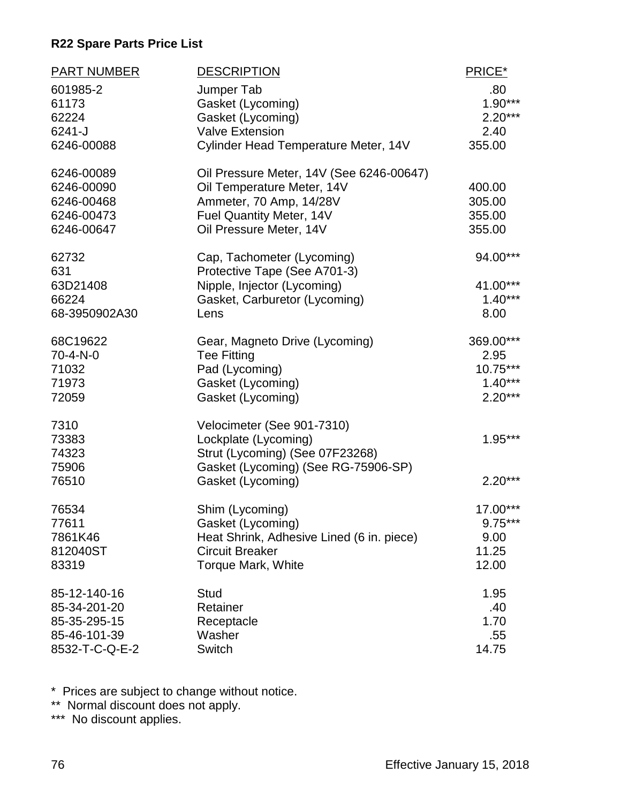| <b>PART NUMBER</b> | <b>DESCRIPTION</b>                        | PRICE*    |
|--------------------|-------------------------------------------|-----------|
| 601985-2           | Jumper Tab                                | .80       |
| 61173              | Gasket (Lycoming)                         | $1.90***$ |
| 62224              | Gasket (Lycoming)                         | $2.20***$ |
| 6241-J             | <b>Valve Extension</b>                    | 2.40      |
| 6246-00088         | Cylinder Head Temperature Meter, 14V      | 355.00    |
| 6246-00089         | Oil Pressure Meter, 14V (See 6246-00647)  |           |
| 6246-00090         | Oil Temperature Meter, 14V                | 400.00    |
| 6246-00468         | Ammeter, 70 Amp, 14/28V                   | 305.00    |
| 6246-00473         | Fuel Quantity Meter, 14V                  | 355.00    |
| 6246-00647         | Oil Pressure Meter, 14V                   | 355.00    |
| 62732              | Cap, Tachometer (Lycoming)                | 94.00***  |
| 631                | Protective Tape (See A701-3)              |           |
| 63D21408           | Nipple, Injector (Lycoming)               | 41.00***  |
| 66224              | Gasket, Carburetor (Lycoming)             | $1.40***$ |
| 68-3950902A30      | Lens                                      | 8.00      |
| 68C19622           | Gear, Magneto Drive (Lycoming)            | 369.00*** |
| $70 - 4 - N - 0$   | <b>Tee Fitting</b>                        | 2.95      |
| 71032              | Pad (Lycoming)                            | 10.75***  |
| 71973              | Gasket (Lycoming)                         | $1.40***$ |
| 72059              | Gasket (Lycoming)                         | $2.20***$ |
| 7310               | Velocimeter (See 901-7310)                |           |
| 73383              | Lockplate (Lycoming)                      | $1.95***$ |
| 74323              | Strut (Lycoming) (See 07F23268)           |           |
| 75906              | Gasket (Lycoming) (See RG-75906-SP)       |           |
| 76510              | Gasket (Lycoming)                         | $2.20***$ |
| 76534              | Shim (Lycoming)                           | 17.00***  |
| 77611              | Gasket (Lycoming)                         | $9.75***$ |
| 7861K46            | Heat Shrink, Adhesive Lined (6 in. piece) | 9.00      |
| 812040ST           | <b>Circuit Breaker</b>                    | 11.25     |
| 83319              | Torque Mark, White                        | 12.00     |
| 85-12-140-16       | Stud                                      | 1.95      |
| 85-34-201-20       | Retainer                                  | .40       |
| 85-35-295-15       | Receptacle                                | 1.70      |
| 85-46-101-39       | Washer                                    | .55       |
| 8532-T-C-Q-E-2     | Switch                                    | 14.75     |

\* Prices are subject to change without notice.

\*\* Normal discount does not apply.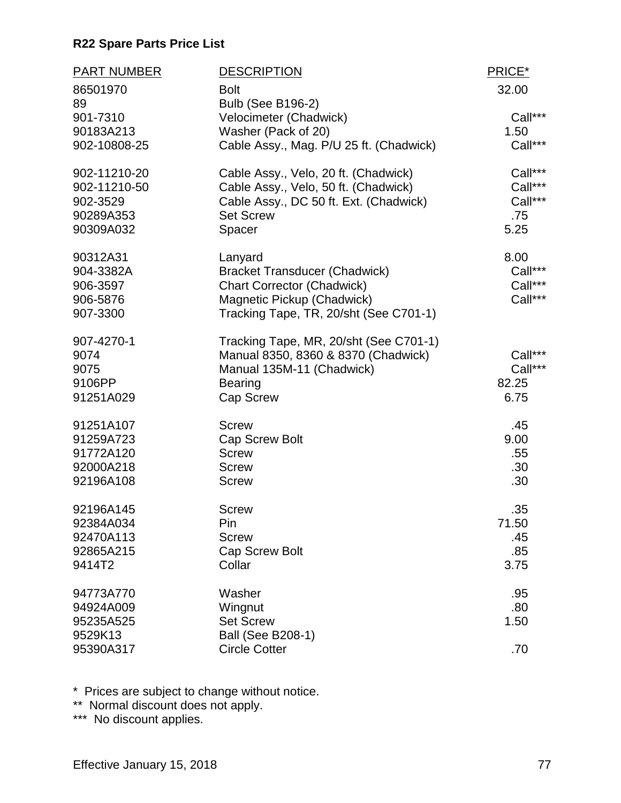| <b>PART NUMBER</b> | <b>DESCRIPTION</b>                      | PRICE*  |
|--------------------|-----------------------------------------|---------|
| 86501970           | <b>Bolt</b>                             | 32.00   |
| 89                 | <b>Bulb (See B196-2)</b>                |         |
| 901-7310           | Velocimeter (Chadwick)                  | Call*** |
| 90183A213          | Washer (Pack of 20)                     | 1.50    |
| 902-10808-25       | Cable Assy., Mag. P/U 25 ft. (Chadwick) | Call*** |
| 902-11210-20       | Cable Assy., Velo, 20 ft. (Chadwick)    | Call*** |
| 902-11210-50       | Cable Assy., Velo, 50 ft. (Chadwick)    | Call*** |
| 902-3529           | Cable Assy., DC 50 ft. Ext. (Chadwick)  | Call*** |
| 90289A353          | <b>Set Screw</b>                        | .75     |
| 90309A032          | Spacer                                  | 5.25    |
| 90312A31           | Lanyard                                 | 8.00    |
| 904-3382A          | <b>Bracket Transducer (Chadwick)</b>    | Call*** |
| 906-3597           | <b>Chart Corrector (Chadwick)</b>       | Call*** |
| 906-5876           | Magnetic Pickup (Chadwick)              | Call*** |
| 907-3300           | Tracking Tape, TR, 20/sht (See C701-1)  |         |
| 907-4270-1         | Tracking Tape, MR, 20/sht (See C701-1)  |         |
| 9074               | Manual 8350, 8360 & 8370 (Chadwick)     | Call*** |
| 9075               | Manual 135M-11 (Chadwick)               | Call*** |
| 9106PP             | <b>Bearing</b>                          | 82.25   |
| 91251A029          | Cap Screw                               | 6.75    |
| 91251A107          | <b>Screw</b>                            | .45     |
| 91259A723          | Cap Screw Bolt                          | 9.00    |
| 91772A120          | <b>Screw</b>                            | .55     |
| 92000A218          | <b>Screw</b>                            | .30     |
| 92196A108          | <b>Screw</b>                            | .30     |
| 92196A145          | <b>Screw</b>                            | .35     |
| 92384A034          | Pin                                     | 71.50   |
| 92470A113          | <b>Screw</b>                            | .45     |
| 92865A215          | <b>Cap Screw Bolt</b>                   | .85     |
| 9414T2             | Collar                                  | 3.75    |
| 94773A770          | Washer                                  | .95     |
| 94924A009          | Wingnut                                 | .80     |
| 95235A525          | <b>Set Screw</b>                        | 1.50    |
| 9529K13            | <b>Ball (See B208-1)</b>                |         |
| 95390A317          | <b>Circle Cotter</b>                    | .70     |

\* Prices are subject to change without notice.

\*\* Normal discount does not apply.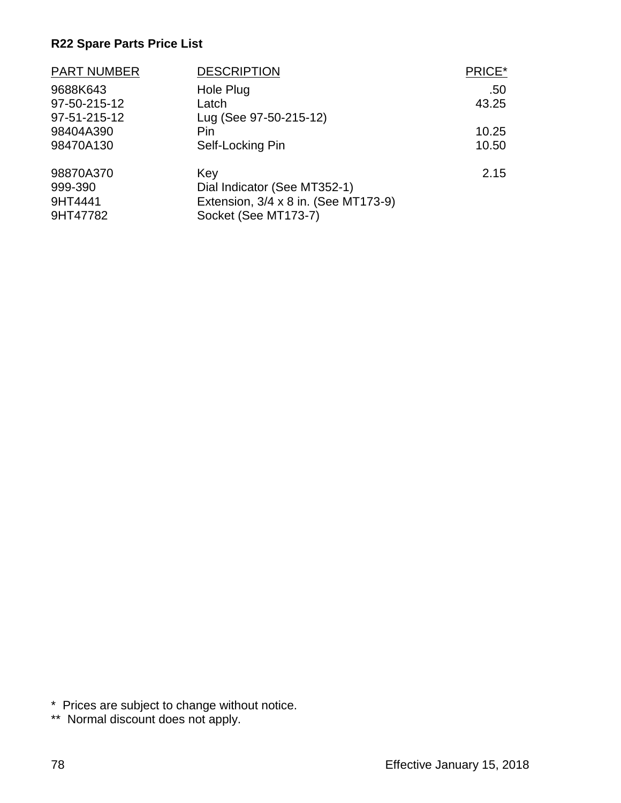| <b>PART NUMBER</b> | <b>DESCRIPTION</b>                   | PRICE* |
|--------------------|--------------------------------------|--------|
| 9688K643           | Hole Plug                            | .50    |
| 97-50-215-12       | Latch                                | 43.25  |
| 97-51-215-12       | Lug (See 97-50-215-12)               |        |
| 98404A390          | Pin                                  | 10.25  |
| 98470A130          | Self-Locking Pin                     | 10.50  |
| 98870A370          | Key                                  | 2.15   |
| 999-390            | Dial Indicator (See MT352-1)         |        |
| 9HT4441            | Extension, 3/4 x 8 in. (See MT173-9) |        |
| 9HT47782           | Socket (See MT173-7)                 |        |

\* Prices are subject to change without notice.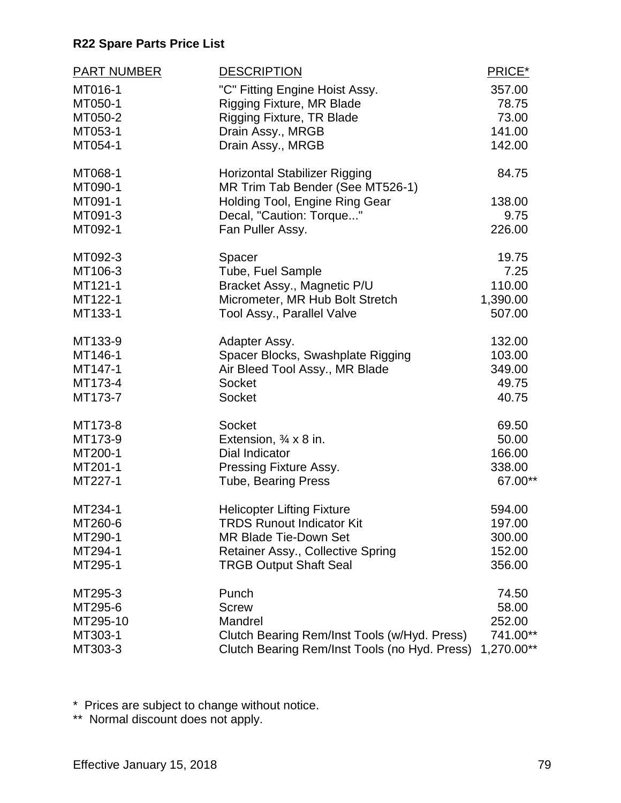| <b>PART NUMBER</b> | <b>DESCRIPTION</b>                            | PRICE*     |
|--------------------|-----------------------------------------------|------------|
| MT016-1            | "C" Fitting Engine Hoist Assy.                | 357.00     |
| MT050-1            | <b>Rigging Fixture, MR Blade</b>              | 78.75      |
| MT050-2            | <b>Rigging Fixture, TR Blade</b>              | 73.00      |
| MT053-1            | Drain Assy., MRGB                             | 141.00     |
| MT054-1            | Drain Assy., MRGB                             | 142.00     |
| MT068-1            | <b>Horizontal Stabilizer Rigging</b>          | 84.75      |
| MT090-1            | MR Trim Tab Bender (See MT526-1)              |            |
| MT091-1            | Holding Tool, Engine Ring Gear                | 138.00     |
| MT091-3            | Decal, "Caution: Torque"                      | 9.75       |
| MT092-1            | Fan Puller Assy.                              | 226.00     |
| MT092-3            | Spacer                                        | 19.75      |
| MT106-3            | Tube, Fuel Sample                             | 7.25       |
| MT121-1            | Bracket Assy., Magnetic P/U                   | 110.00     |
| MT122-1            | Micrometer, MR Hub Bolt Stretch               | 1,390.00   |
| MT133-1            | Tool Assy., Parallel Valve                    | 507.00     |
| MT133-9            | Adapter Assy.                                 | 132.00     |
| MT146-1            | Spacer Blocks, Swashplate Rigging             | 103.00     |
| MT147-1            | Air Bleed Tool Assy., MR Blade                | 349.00     |
| MT173-4            | <b>Socket</b>                                 | 49.75      |
| MT173-7            | Socket                                        | 40.75      |
| MT173-8            | Socket                                        | 69.50      |
| MT173-9            | Extension, $\frac{3}{4} \times 8$ in.         | 50.00      |
| MT200-1            | Dial Indicator                                | 166.00     |
| MT201-1            | Pressing Fixture Assy.                        | 338.00     |
| MT227-1            | <b>Tube, Bearing Press</b>                    | 67.00**    |
| MT234-1            | <b>Helicopter Lifting Fixture</b>             | 594.00     |
| MT260-6            | <b>TRDS Runout Indicator Kit</b>              | 197.00     |
| MT290-1            | <b>MR Blade Tie-Down Set</b>                  | 300.00     |
| MT294-1            | Retainer Assy., Collective Spring             | 152.00     |
| MT295-1            | <b>TRGB Output Shaft Seal</b>                 | 356.00     |
| MT295-3            | Punch                                         | 74.50      |
| MT295-6            | <b>Screw</b>                                  | 58.00      |
| MT295-10           | Mandrel                                       | 252.00     |
| MT303-1            | Clutch Bearing Rem/Inst Tools (w/Hyd. Press)  | 741.00**   |
| MT303-3            | Clutch Bearing Rem/Inst Tools (no Hyd. Press) | 1,270.00** |

\* Prices are subject to change without notice.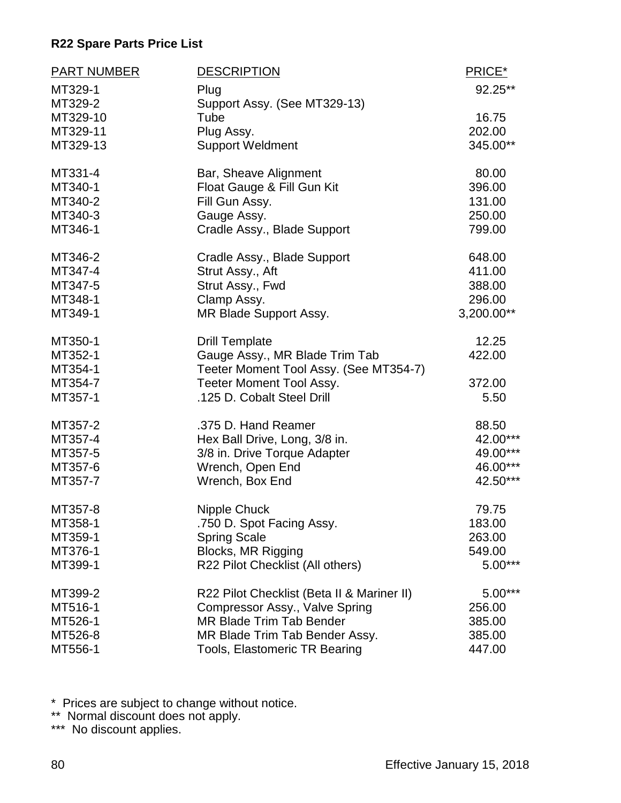| <b>PART NUMBER</b> | <b>DESCRIPTION</b>                         | PRICE*     |
|--------------------|--------------------------------------------|------------|
| MT329-1            | Plug                                       | 92.25**    |
| MT329-2            | Support Assy. (See MT329-13)               |            |
| MT329-10           | Tube                                       | 16.75      |
| MT329-11           | Plug Assy.                                 | 202.00     |
| MT329-13           | <b>Support Weldment</b>                    | 345.00**   |
| MT331-4            | Bar, Sheave Alignment                      | 80.00      |
| MT340-1            | Float Gauge & Fill Gun Kit                 | 396.00     |
| MT340-2            | Fill Gun Assy.                             | 131.00     |
| MT340-3            | Gauge Assy.                                | 250.00     |
| MT346-1            | Cradle Assy., Blade Support                | 799.00     |
| MT346-2            | Cradle Assy., Blade Support                | 648.00     |
| MT347-4            | Strut Assy., Aft                           | 411.00     |
| MT347-5            | Strut Assy., Fwd                           | 388.00     |
| MT348-1            | Clamp Assy.                                | 296.00     |
| MT349-1            | MR Blade Support Assy.                     | 3,200.00** |
| MT350-1            | <b>Drill Template</b>                      | 12.25      |
| MT352-1            | Gauge Assy., MR Blade Trim Tab             | 422.00     |
| MT354-1            | Teeter Moment Tool Assy. (See MT354-7)     |            |
| MT354-7            | <b>Teeter Moment Tool Assy.</b>            | 372.00     |
| MT357-1            | .125 D. Cobalt Steel Drill                 | 5.50       |
| MT357-2            | .375 D. Hand Reamer                        | 88.50      |
| MT357-4            | Hex Ball Drive, Long, 3/8 in.              | 42.00***   |
| MT357-5            | 3/8 in. Drive Torque Adapter               | 49.00***   |
| MT357-6            | Wrench, Open End                           | 46.00***   |
| MT357-7            | Wrench, Box End                            | 42.50***   |
| MT357-8            | Nipple Chuck                               | 79.75      |
| MT358-1            | .750 D. Spot Facing Assy.                  | 183.00     |
| MT359-1            | <b>Spring Scale</b>                        | 263.00     |
| MT376-1            | Blocks, MR Rigging                         | 549.00     |
| MT399-1            | R22 Pilot Checklist (All others)           | $5.00***$  |
| MT399-2            | R22 Pilot Checklist (Beta II & Mariner II) | $5.00***$  |
| MT516-1            | Compressor Assy., Valve Spring             | 256.00     |
| MT526-1            | <b>MR Blade Trim Tab Bender</b>            | 385.00     |
| MT526-8            | MR Blade Trim Tab Bender Assy.             | 385.00     |
| MT556-1            | <b>Tools, Elastomeric TR Bearing</b>       | 447.00     |

\* Prices are subject to change without notice.

\*\* Normal discount does not apply.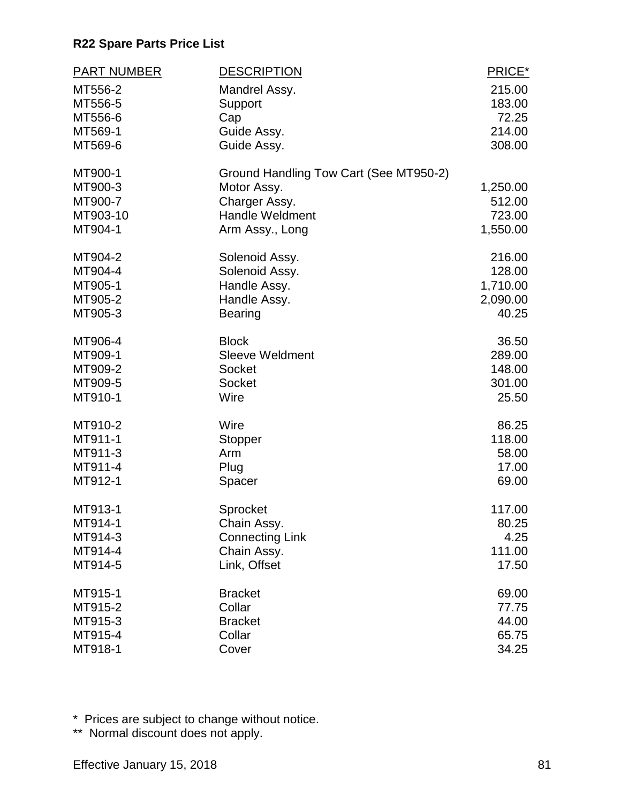| <b>PART NUMBER</b> | <b>DESCRIPTION</b>                     | PRICE*          |
|--------------------|----------------------------------------|-----------------|
| MT556-2            | Mandrel Assy.                          | 215.00          |
| MT556-5            | Support                                | 183.00          |
| MT556-6<br>MT569-1 | Cap                                    | 72.25<br>214.00 |
| MT569-6            | Guide Assy.<br>Guide Assy.             | 308.00          |
|                    |                                        |                 |
| MT900-1            | Ground Handling Tow Cart (See MT950-2) |                 |
| MT900-3            | Motor Assy.                            | 1,250.00        |
| MT900-7            | Charger Assy.                          | 512.00          |
| MT903-10           | <b>Handle Weldment</b>                 | 723.00          |
| MT904-1            | Arm Assy., Long                        | 1,550.00        |
| MT904-2            | Solenoid Assy.                         | 216.00          |
| MT904-4            | Solenoid Assy.                         | 128.00          |
| MT905-1            | Handle Assy.                           | 1,710.00        |
| MT905-2            | Handle Assy.                           | 2,090.00        |
| MT905-3            | <b>Bearing</b>                         | 40.25           |
| MT906-4            | <b>Block</b>                           | 36.50           |
| MT909-1            | <b>Sleeve Weldment</b>                 | 289.00          |
| MT909-2            | <b>Socket</b>                          | 148.00          |
| MT909-5            | <b>Socket</b>                          | 301.00          |
| MT910-1            | Wire                                   | 25.50           |
| MT910-2            | Wire                                   | 86.25           |
| MT911-1            | Stopper                                | 118.00          |
| MT911-3            | Arm                                    | 58.00           |
| MT911-4            | Plug                                   | 17.00           |
| MT912-1            | Spacer                                 | 69.00           |
| MT913-1            | Sprocket                               | 117.00          |
| MT914-1            | Chain Assy.                            | 80.25           |
| MT914-3            | <b>Connecting Link</b>                 | 4.25            |
| MT914-4            | Chain Assy.                            | 111.00          |
| MT914-5            | Link, Offset                           | 17.50           |
| MT915-1            | <b>Bracket</b>                         | 69.00           |
| MT915-2            | Collar                                 | 77.75           |
| MT915-3            | <b>Bracket</b>                         | 44.00           |
| MT915-4            | Collar                                 | 65.75           |
| MT918-1            | Cover                                  | 34.25           |

\* Prices are subject to change without notice.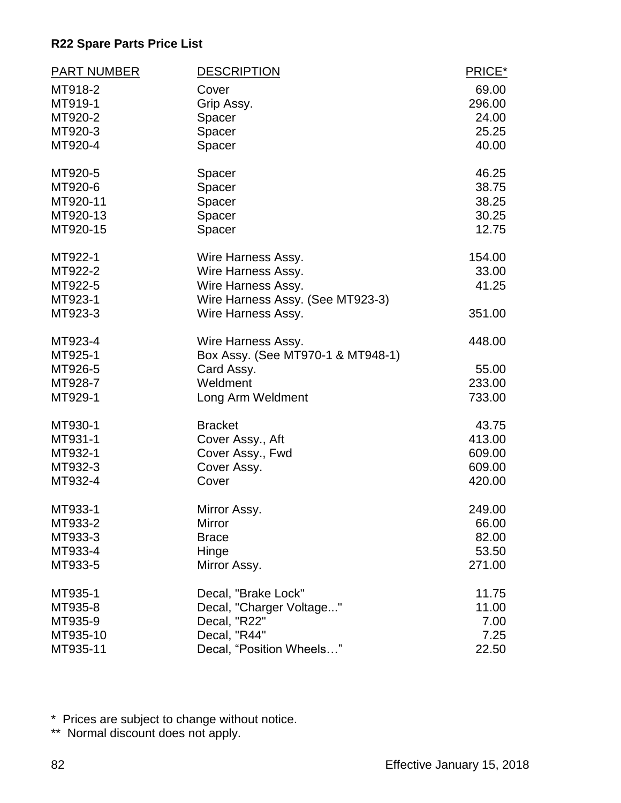| <b>PART NUMBER</b> | <b>DESCRIPTION</b>                | PRICE* |
|--------------------|-----------------------------------|--------|
| MT918-2            | Cover                             | 69.00  |
| MT919-1            | Grip Assy.                        | 296.00 |
| MT920-2            | Spacer                            | 24.00  |
| MT920-3            | Spacer                            | 25.25  |
| MT920-4            | Spacer                            | 40.00  |
| MT920-5            | Spacer                            | 46.25  |
| MT920-6            | Spacer                            | 38.75  |
| MT920-11           | Spacer                            | 38.25  |
| MT920-13           | Spacer                            | 30.25  |
| MT920-15           | Spacer                            | 12.75  |
| MT922-1            | Wire Harness Assy.                | 154.00 |
| MT922-2            | Wire Harness Assy.                | 33.00  |
| MT922-5            | Wire Harness Assy.                | 41.25  |
| MT923-1            | Wire Harness Assy. (See MT923-3)  |        |
| MT923-3            | Wire Harness Assy.                | 351.00 |
| MT923-4            | Wire Harness Assy.                | 448.00 |
| MT925-1            | Box Assy. (See MT970-1 & MT948-1) |        |
| MT926-5            | Card Assy.                        | 55.00  |
| MT928-7            | Weldment                          | 233.00 |
| MT929-1            | Long Arm Weldment                 | 733.00 |
| MT930-1            | <b>Bracket</b>                    | 43.75  |
| MT931-1            | Cover Assy., Aft                  | 413.00 |
| MT932-1            | Cover Assy., Fwd                  | 609.00 |
| MT932-3            | Cover Assy.                       | 609.00 |
| MT932-4            | Cover                             | 420.00 |
| MT933-1            | Mirror Assy.                      | 249.00 |
| MT933-2            | Mirror                            | 66.00  |
| MT933-3            | <b>Brace</b>                      | 82.00  |
| MT933-4            | Hinge                             | 53.50  |
| MT933-5            | Mirror Assy.                      | 271.00 |
| MT935-1            | Decal, "Brake Lock"               | 11.75  |
| MT935-8            | Decal, "Charger Voltage"          | 11.00  |
| MT935-9            | Decal, "R22"                      | 7.00   |
| MT935-10           | Decal, "R44"                      | 7.25   |
| MT935-11           | Decal, "Position Wheels"          | 22.50  |

\* Prices are subject to change without notice.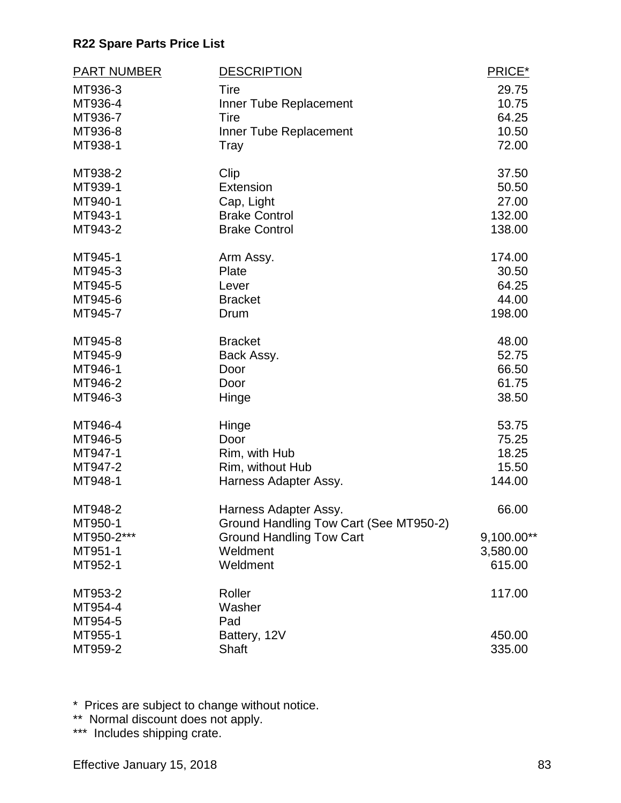| MT936-3<br>29.75<br>Tire<br>MT936-4<br>10.75<br>Inner Tube Replacement<br>MT936-7<br>Tire<br>64.25<br>MT936-8<br>10.50<br>Inner Tube Replacement<br>MT938-1<br>72.00<br>Tray<br>Clip<br>MT938-2<br>37.50<br>MT939-1<br>Extension<br>50.50<br>MT940-1<br>27.00<br>Cap, Light<br>MT943-1<br><b>Brake Control</b><br>132.00<br>MT943-2<br><b>Brake Control</b><br>138.00<br>MT945-1<br>174.00<br>Arm Assy.<br>MT945-3<br>Plate<br>30.50<br>64.25<br>MT945-5<br>Lever<br>44.00<br>MT945-6<br><b>Bracket</b><br>198.00<br>MT945-7<br>Drum<br>48.00<br>MT945-8<br><b>Bracket</b><br>MT945-9<br>52.75<br>Back Assy.<br>MT946-1<br>66.50<br>Door<br>MT946-2<br>61.75<br>Door<br>MT946-3<br>38.50<br>Hinge<br>MT946-4<br>53.75<br>Hinge<br>MT946-5<br>75.25<br>Door<br>MT947-1<br>Rim, with Hub<br>18.25<br>MT947-2<br>Rim, without Hub<br>15.50<br>MT948-1<br>144.00<br>Harness Adapter Assy.<br>66.00<br>MT948-2<br>Harness Adapter Assy.<br>Ground Handling Tow Cart (See MT950-2)<br>MT950-1<br><b>Ground Handling Tow Cart</b><br>9,100.00**<br>MT950-2***<br>MT951-1<br>Weldment<br>3,580.00<br>615.00<br>MT952-1<br>Weldment<br>MT953-2<br>Roller<br>117.00<br>Washer<br>MT954-4<br>MT954-5<br>Pad<br>MT955-1<br>Battery, 12V<br>450.00<br>MT959-2<br>Shaft<br>335.00 | <b>PART NUMBER</b> | <b>DESCRIPTION</b> | PRICE* |
|---------------------------------------------------------------------------------------------------------------------------------------------------------------------------------------------------------------------------------------------------------------------------------------------------------------------------------------------------------------------------------------------------------------------------------------------------------------------------------------------------------------------------------------------------------------------------------------------------------------------------------------------------------------------------------------------------------------------------------------------------------------------------------------------------------------------------------------------------------------------------------------------------------------------------------------------------------------------------------------------------------------------------------------------------------------------------------------------------------------------------------------------------------------------------------------------------------------------------------------------------------------------|--------------------|--------------------|--------|
|                                                                                                                                                                                                                                                                                                                                                                                                                                                                                                                                                                                                                                                                                                                                                                                                                                                                                                                                                                                                                                                                                                                                                                                                                                                                     |                    |                    |        |
|                                                                                                                                                                                                                                                                                                                                                                                                                                                                                                                                                                                                                                                                                                                                                                                                                                                                                                                                                                                                                                                                                                                                                                                                                                                                     |                    |                    |        |
|                                                                                                                                                                                                                                                                                                                                                                                                                                                                                                                                                                                                                                                                                                                                                                                                                                                                                                                                                                                                                                                                                                                                                                                                                                                                     |                    |                    |        |
|                                                                                                                                                                                                                                                                                                                                                                                                                                                                                                                                                                                                                                                                                                                                                                                                                                                                                                                                                                                                                                                                                                                                                                                                                                                                     |                    |                    |        |
|                                                                                                                                                                                                                                                                                                                                                                                                                                                                                                                                                                                                                                                                                                                                                                                                                                                                                                                                                                                                                                                                                                                                                                                                                                                                     |                    |                    |        |
|                                                                                                                                                                                                                                                                                                                                                                                                                                                                                                                                                                                                                                                                                                                                                                                                                                                                                                                                                                                                                                                                                                                                                                                                                                                                     |                    |                    |        |
|                                                                                                                                                                                                                                                                                                                                                                                                                                                                                                                                                                                                                                                                                                                                                                                                                                                                                                                                                                                                                                                                                                                                                                                                                                                                     |                    |                    |        |
|                                                                                                                                                                                                                                                                                                                                                                                                                                                                                                                                                                                                                                                                                                                                                                                                                                                                                                                                                                                                                                                                                                                                                                                                                                                                     |                    |                    |        |
|                                                                                                                                                                                                                                                                                                                                                                                                                                                                                                                                                                                                                                                                                                                                                                                                                                                                                                                                                                                                                                                                                                                                                                                                                                                                     |                    |                    |        |
|                                                                                                                                                                                                                                                                                                                                                                                                                                                                                                                                                                                                                                                                                                                                                                                                                                                                                                                                                                                                                                                                                                                                                                                                                                                                     |                    |                    |        |
|                                                                                                                                                                                                                                                                                                                                                                                                                                                                                                                                                                                                                                                                                                                                                                                                                                                                                                                                                                                                                                                                                                                                                                                                                                                                     |                    |                    |        |
|                                                                                                                                                                                                                                                                                                                                                                                                                                                                                                                                                                                                                                                                                                                                                                                                                                                                                                                                                                                                                                                                                                                                                                                                                                                                     |                    |                    |        |
|                                                                                                                                                                                                                                                                                                                                                                                                                                                                                                                                                                                                                                                                                                                                                                                                                                                                                                                                                                                                                                                                                                                                                                                                                                                                     |                    |                    |        |
|                                                                                                                                                                                                                                                                                                                                                                                                                                                                                                                                                                                                                                                                                                                                                                                                                                                                                                                                                                                                                                                                                                                                                                                                                                                                     |                    |                    |        |
|                                                                                                                                                                                                                                                                                                                                                                                                                                                                                                                                                                                                                                                                                                                                                                                                                                                                                                                                                                                                                                                                                                                                                                                                                                                                     |                    |                    |        |
|                                                                                                                                                                                                                                                                                                                                                                                                                                                                                                                                                                                                                                                                                                                                                                                                                                                                                                                                                                                                                                                                                                                                                                                                                                                                     |                    |                    |        |
|                                                                                                                                                                                                                                                                                                                                                                                                                                                                                                                                                                                                                                                                                                                                                                                                                                                                                                                                                                                                                                                                                                                                                                                                                                                                     |                    |                    |        |
|                                                                                                                                                                                                                                                                                                                                                                                                                                                                                                                                                                                                                                                                                                                                                                                                                                                                                                                                                                                                                                                                                                                                                                                                                                                                     |                    |                    |        |
|                                                                                                                                                                                                                                                                                                                                                                                                                                                                                                                                                                                                                                                                                                                                                                                                                                                                                                                                                                                                                                                                                                                                                                                                                                                                     |                    |                    |        |
|                                                                                                                                                                                                                                                                                                                                                                                                                                                                                                                                                                                                                                                                                                                                                                                                                                                                                                                                                                                                                                                                                                                                                                                                                                                                     |                    |                    |        |
|                                                                                                                                                                                                                                                                                                                                                                                                                                                                                                                                                                                                                                                                                                                                                                                                                                                                                                                                                                                                                                                                                                                                                                                                                                                                     |                    |                    |        |
|                                                                                                                                                                                                                                                                                                                                                                                                                                                                                                                                                                                                                                                                                                                                                                                                                                                                                                                                                                                                                                                                                                                                                                                                                                                                     |                    |                    |        |
|                                                                                                                                                                                                                                                                                                                                                                                                                                                                                                                                                                                                                                                                                                                                                                                                                                                                                                                                                                                                                                                                                                                                                                                                                                                                     |                    |                    |        |
|                                                                                                                                                                                                                                                                                                                                                                                                                                                                                                                                                                                                                                                                                                                                                                                                                                                                                                                                                                                                                                                                                                                                                                                                                                                                     |                    |                    |        |
|                                                                                                                                                                                                                                                                                                                                                                                                                                                                                                                                                                                                                                                                                                                                                                                                                                                                                                                                                                                                                                                                                                                                                                                                                                                                     |                    |                    |        |
|                                                                                                                                                                                                                                                                                                                                                                                                                                                                                                                                                                                                                                                                                                                                                                                                                                                                                                                                                                                                                                                                                                                                                                                                                                                                     |                    |                    |        |
|                                                                                                                                                                                                                                                                                                                                                                                                                                                                                                                                                                                                                                                                                                                                                                                                                                                                                                                                                                                                                                                                                                                                                                                                                                                                     |                    |                    |        |
|                                                                                                                                                                                                                                                                                                                                                                                                                                                                                                                                                                                                                                                                                                                                                                                                                                                                                                                                                                                                                                                                                                                                                                                                                                                                     |                    |                    |        |
|                                                                                                                                                                                                                                                                                                                                                                                                                                                                                                                                                                                                                                                                                                                                                                                                                                                                                                                                                                                                                                                                                                                                                                                                                                                                     |                    |                    |        |
|                                                                                                                                                                                                                                                                                                                                                                                                                                                                                                                                                                                                                                                                                                                                                                                                                                                                                                                                                                                                                                                                                                                                                                                                                                                                     |                    |                    |        |
|                                                                                                                                                                                                                                                                                                                                                                                                                                                                                                                                                                                                                                                                                                                                                                                                                                                                                                                                                                                                                                                                                                                                                                                                                                                                     |                    |                    |        |
|                                                                                                                                                                                                                                                                                                                                                                                                                                                                                                                                                                                                                                                                                                                                                                                                                                                                                                                                                                                                                                                                                                                                                                                                                                                                     |                    |                    |        |
|                                                                                                                                                                                                                                                                                                                                                                                                                                                                                                                                                                                                                                                                                                                                                                                                                                                                                                                                                                                                                                                                                                                                                                                                                                                                     |                    |                    |        |
|                                                                                                                                                                                                                                                                                                                                                                                                                                                                                                                                                                                                                                                                                                                                                                                                                                                                                                                                                                                                                                                                                                                                                                                                                                                                     |                    |                    |        |
|                                                                                                                                                                                                                                                                                                                                                                                                                                                                                                                                                                                                                                                                                                                                                                                                                                                                                                                                                                                                                                                                                                                                                                                                                                                                     |                    |                    |        |
|                                                                                                                                                                                                                                                                                                                                                                                                                                                                                                                                                                                                                                                                                                                                                                                                                                                                                                                                                                                                                                                                                                                                                                                                                                                                     |                    |                    |        |
|                                                                                                                                                                                                                                                                                                                                                                                                                                                                                                                                                                                                                                                                                                                                                                                                                                                                                                                                                                                                                                                                                                                                                                                                                                                                     |                    |                    |        |

\* Prices are subject to change without notice.

\*\* Normal discount does not apply.

\*\*\* Includes shipping crate.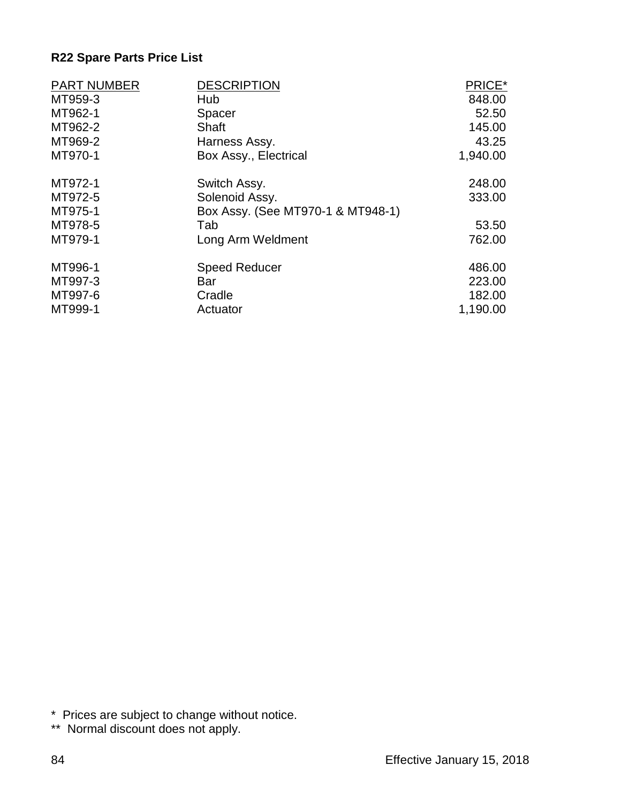| <b>PART NUMBER</b> | <b>DESCRIPTION</b>                | PRICE*   |
|--------------------|-----------------------------------|----------|
| MT959-3            | Hub                               | 848.00   |
| MT962-1            | Spacer                            | 52.50    |
| MT962-2            | Shaft                             | 145.00   |
| MT969-2            | Harness Assy.                     | 43.25    |
| MT970-1            | Box Assy., Electrical             | 1,940.00 |
| MT972-1            | Switch Assy.                      | 248.00   |
| MT972-5            | Solenoid Assy.                    | 333.00   |
| MT975-1            | Box Assy. (See MT970-1 & MT948-1) |          |
| MT978-5            | Tab                               | 53.50    |
| MT979-1            | Long Arm Weldment                 | 762.00   |
| MT996-1            | <b>Speed Reducer</b>              | 486.00   |
| MT997-3            | Bar                               | 223.00   |
| MT997-6            | Cradle                            | 182.00   |
| MT999-1            | Actuator                          | 1,190.00 |

\* Prices are subject to change without notice.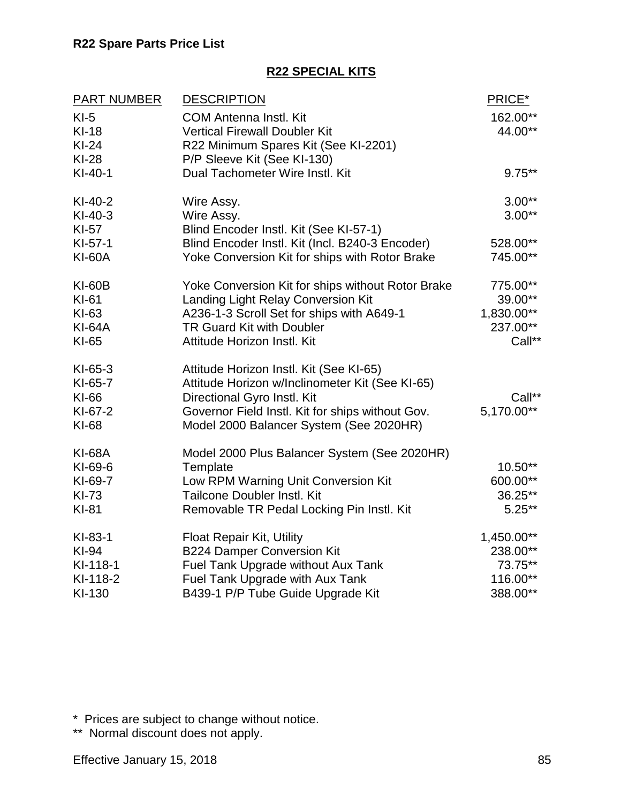#### **R22 SPECIAL KITS**

| <b>PART NUMBER</b>                                        | <b>DESCRIPTION</b>                                                                                                                                                                                                       | PRICE*                                                    |
|-----------------------------------------------------------|--------------------------------------------------------------------------------------------------------------------------------------------------------------------------------------------------------------------------|-----------------------------------------------------------|
| $KI-5$<br>$KI-18$<br>$Kl-24$<br>$KI-28$                   | <b>COM Antenna Instl. Kit</b><br><b>Vertical Firewall Doubler Kit</b><br>R22 Minimum Spares Kit (See KI-2201)<br>P/P Sleeve Kit (See KI-130)                                                                             | 162.00**<br>44.00**                                       |
| $KI-40-1$                                                 | Dual Tachometer Wire Instl. Kit                                                                                                                                                                                          | $9.75***$                                                 |
| $KI-40-2$<br>$KI-40-3$<br>KI-57                           | Wire Assy.<br>Wire Assy.<br>Blind Encoder Instl. Kit (See KI-57-1)                                                                                                                                                       | $3.00**$<br>$3.00**$                                      |
| $KI-57-1$<br><b>KI-60A</b>                                | Blind Encoder Instl. Kit (Incl. B240-3 Encoder)<br>Yoke Conversion Kit for ships with Rotor Brake                                                                                                                        | 528.00**<br>745.00**                                      |
| <b>KI-60B</b><br>KI-61<br>KI-63<br><b>KI-64A</b><br>KI-65 | Yoke Conversion Kit for ships without Rotor Brake<br>Landing Light Relay Conversion Kit<br>A236-1-3 Scroll Set for ships with A649-1<br>TR Guard Kit with Doubler<br>Attitude Horizon Instl. Kit                         | 775.00**<br>39.00**<br>1,830.00**<br>237.00**<br>Call**   |
| $KI-65-3$<br>KI-65-7<br>KI-66<br>KI-67-2<br>KI-68         | Attitude Horizon Instl. Kit (See KI-65)<br>Attitude Horizon w/Inclinometer Kit (See KI-65)<br>Directional Gyro Instl. Kit<br>Governor Field Instl. Kit for ships without Gov.<br>Model 2000 Balancer System (See 2020HR) | Call**<br>5,170.00**                                      |
| <b>KI-68A</b><br>KI-69-6<br>KI-69-7<br>KI-73<br>KI-81     | Model 2000 Plus Balancer System (See 2020HR)<br>Template<br>Low RPM Warning Unit Conversion Kit<br><b>Tailcone Doubler Instl. Kit</b><br>Removable TR Pedal Locking Pin Instl. Kit                                       | $10.50**$<br>600.00**<br>36.25**<br>$5.25***$             |
| KI-83-1<br>KI-94<br>KI-118-1<br>KI-118-2<br>KI-130        | <b>Float Repair Kit, Utility</b><br><b>B224 Damper Conversion Kit</b><br><b>Fuel Tank Upgrade without Aux Tank</b><br>Fuel Tank Upgrade with Aux Tank<br>B439-1 P/P Tube Guide Upgrade Kit                               | 1,450.00**<br>238.00**<br>73.75**<br>116.00**<br>388.00** |

\* Prices are subject to change without notice.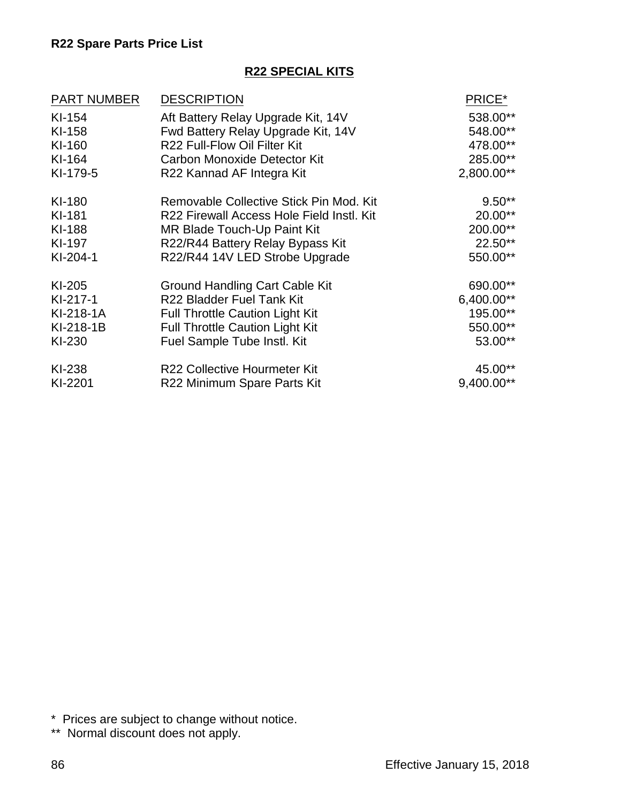#### **R22 SPECIAL KITS**

| <b>PART NUMBER</b> | <b>DESCRIPTION</b>                        | PRICE*     |
|--------------------|-------------------------------------------|------------|
| KI-154             | Aft Battery Relay Upgrade Kit, 14V        | 538.00**   |
| KI-158             | Fwd Battery Relay Upgrade Kit, 14V        | 548.00**   |
| KI-160             | R22 Full-Flow Oil Filter Kit              | 478.00**   |
| KI-164             | <b>Carbon Monoxide Detector Kit</b>       | 285.00**   |
| KI-179-5           | R22 Kannad AF Integra Kit                 | 2,800.00** |
| KI-180             | Removable Collective Stick Pin Mod. Kit   | $9.50**$   |
| KI-181             | R22 Firewall Access Hole Field Instl. Kit | 20.00**    |
| KI-188             | MR Blade Touch-Up Paint Kit               | 200.00**   |
| KI-197             | R22/R44 Battery Relay Bypass Kit          | 22.50**    |
| $KI-204-1$         | R22/R44 14V LED Strobe Upgrade            | 550.00**   |
| KI-205             | <b>Ground Handling Cart Cable Kit</b>     | 690.00**   |
| $KI-217-1$         | R22 Bladder Fuel Tank Kit                 | 6,400.00** |
| KI-218-1A          | <b>Full Throttle Caution Light Kit</b>    | 195.00**   |
| KI-218-1B          | <b>Full Throttle Caution Light Kit</b>    | 550.00**   |
| KI-230             | Fuel Sample Tube Instl. Kit               | 53.00**    |
| KI-238             | <b>R22 Collective Hourmeter Kit</b>       | 45.00**    |
| KI-2201            | R22 Minimum Spare Parts Kit               | 9,400.00** |

\* Prices are subject to change without notice.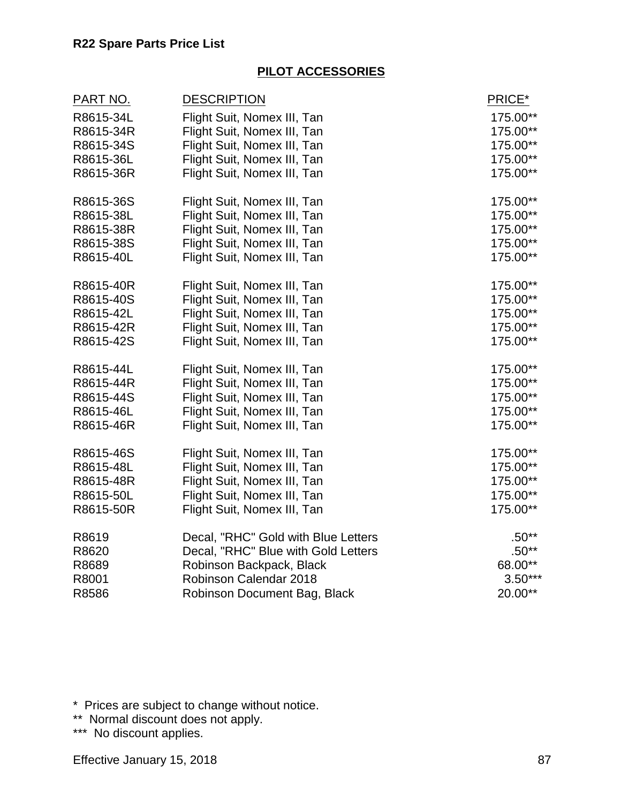#### **PILOT ACCESSORIES**

| <u>PART NO.</u> | <b>DESCRIPTION</b>                  | PRICE*    |
|-----------------|-------------------------------------|-----------|
| R8615-34L       | Flight Suit, Nomex III, Tan         | 175.00**  |
| R8615-34R       | Flight Suit, Nomex III, Tan         | 175.00**  |
| R8615-34S       | Flight Suit, Nomex III, Tan         | 175.00**  |
| R8615-36L       | Flight Suit, Nomex III, Tan         | 175.00**  |
| R8615-36R       | Flight Suit, Nomex III, Tan         | 175.00**  |
| R8615-36S       | Flight Suit, Nomex III, Tan         | 175.00**  |
| R8615-38L       | Flight Suit, Nomex III, Tan         | 175.00**  |
| R8615-38R       | Flight Suit, Nomex III, Tan         | 175.00**  |
| R8615-38S       | Flight Suit, Nomex III, Tan         | 175.00**  |
| R8615-40L       | Flight Suit, Nomex III, Tan         | 175.00**  |
| R8615-40R       | Flight Suit, Nomex III, Tan         | 175.00**  |
| R8615-40S       | Flight Suit, Nomex III, Tan         | 175.00**  |
| R8615-42L       | Flight Suit, Nomex III, Tan         | 175.00**  |
| R8615-42R       | Flight Suit, Nomex III, Tan         | 175.00**  |
| R8615-42S       | Flight Suit, Nomex III, Tan         | 175.00**  |
| R8615-44L       | Flight Suit, Nomex III, Tan         | 175.00**  |
| R8615-44R       | Flight Suit, Nomex III, Tan         | 175.00**  |
| R8615-44S       | Flight Suit, Nomex III, Tan         | 175.00**  |
| R8615-46L       | Flight Suit, Nomex III, Tan         | 175.00**  |
| R8615-46R       | Flight Suit, Nomex III, Tan         | 175.00**  |
| R8615-46S       | Flight Suit, Nomex III, Tan         | 175.00**  |
| R8615-48L       | Flight Suit, Nomex III, Tan         | 175.00**  |
| R8615-48R       | Flight Suit, Nomex III, Tan         | 175.00**  |
| R8615-50L       | Flight Suit, Nomex III, Tan         | 175.00**  |
| R8615-50R       | Flight Suit, Nomex III, Tan         | 175.00**  |
| R8619           | Decal, "RHC" Gold with Blue Letters | $.50**$   |
| R8620           | Decal, "RHC" Blue with Gold Letters | $.50**$   |
| R8689           | Robinson Backpack, Black            | 68.00**   |
| R8001           | Robinson Calendar 2018              | $3.50***$ |
| R8586           | Robinson Document Bag, Black        | 20.00**   |

\* Prices are subject to change without notice.

\*\* Normal discount does not apply.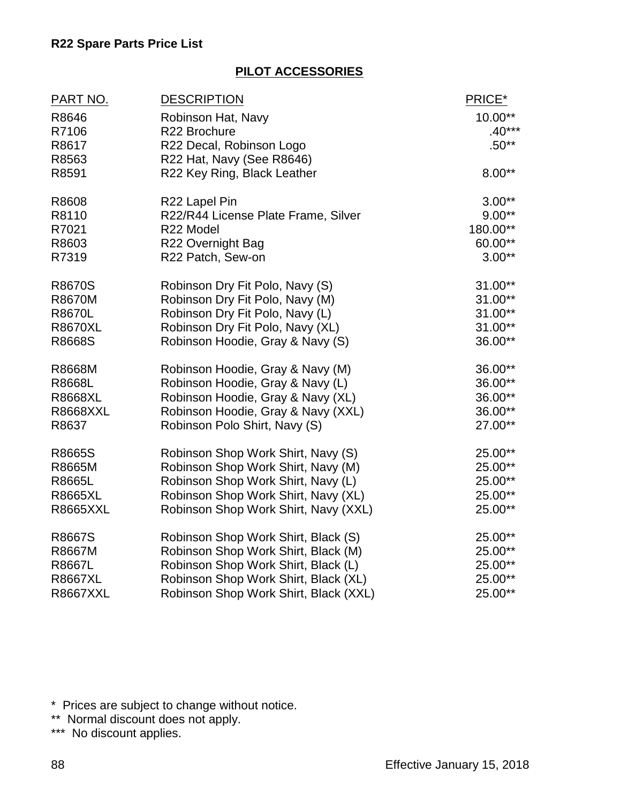## **PILOT ACCESSORIES**

| <u>PART NO.</u> | <b>DESCRIPTION</b>                    | PRICE*    |
|-----------------|---------------------------------------|-----------|
| R8646           | Robinson Hat, Navy                    | $10.00**$ |
| R7106           | R22 Brochure                          | $.40***$  |
| R8617           | R22 Decal, Robinson Logo              | $.50**$   |
| R8563           | R22 Hat, Navy (See R8646)             |           |
| R8591           | R22 Key Ring, Black Leather           | $8.00**$  |
| R8608           | R22 Lapel Pin                         | $3.00**$  |
| R8110           | R22/R44 License Plate Frame, Silver   | $9.00**$  |
| R7021           | R22 Model                             | 180.00**  |
| R8603           | R22 Overnight Bag                     | 60.00**   |
| R7319           | R22 Patch, Sew-on                     | $3.00**$  |
| R8670S          | Robinson Dry Fit Polo, Navy (S)       | $31.00**$ |
| <b>R8670M</b>   | Robinson Dry Fit Polo, Navy (M)       | $31.00**$ |
| <b>R8670L</b>   | Robinson Dry Fit Polo, Navy (L)       | $31.00**$ |
| <b>R8670XL</b>  | Robinson Dry Fit Polo, Navy (XL)      | $31.00**$ |
| R8668S          | Robinson Hoodie, Gray & Navy (S)      | 36.00**   |
| R8668M          | Robinson Hoodie, Gray & Navy (M)      | 36.00**   |
| <b>R8668L</b>   | Robinson Hoodie, Gray & Navy (L)      | 36.00**   |
| <b>R8668XL</b>  | Robinson Hoodie, Gray & Navy (XL)     | 36.00**   |
| <b>R8668XXL</b> | Robinson Hoodie, Gray & Navy (XXL)    | 36.00**   |
| R8637           | Robinson Polo Shirt, Navy (S)         | 27.00**   |
| R8665S          | Robinson Shop Work Shirt, Navy (S)    | 25.00**   |
| R8665M          | Robinson Shop Work Shirt, Navy (M)    | 25.00**   |
| R8665L          | Robinson Shop Work Shirt, Navy (L)    | 25.00**   |
| <b>R8665XL</b>  | Robinson Shop Work Shirt, Navy (XL)   | 25.00**   |
| <b>R8665XXL</b> | Robinson Shop Work Shirt, Navy (XXL)  | 25.00**   |
| R8667S          | Robinson Shop Work Shirt, Black (S)   | 25.00**   |
| R8667M          | Robinson Shop Work Shirt, Black (M)   | 25.00**   |
| R8667L          | Robinson Shop Work Shirt, Black (L)   | 25.00**   |
| <b>R8667XL</b>  | Robinson Shop Work Shirt, Black (XL)  | 25.00**   |
| <b>R8667XXL</b> | Robinson Shop Work Shirt, Black (XXL) | 25.00**   |

\* Prices are subject to change without notice.

\*\* Normal discount does not apply.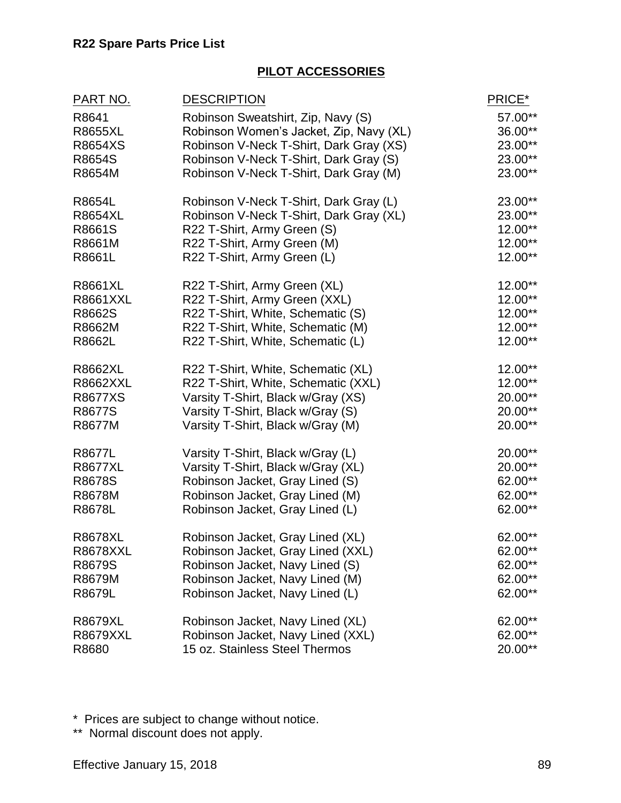#### **PILOT ACCESSORIES**

| PART NO.        | <b>DESCRIPTION</b>                      | PRICE*    |
|-----------------|-----------------------------------------|-----------|
| R8641           | Robinson Sweatshirt, Zip, Navy (S)      | 57.00**   |
| <b>R8655XL</b>  | Robinson Women's Jacket, Zip, Navy (XL) | 36.00**   |
| R8654XS         | Robinson V-Neck T-Shirt, Dark Gray (XS) | 23.00**   |
| R8654S          | Robinson V-Neck T-Shirt, Dark Gray (S)  | 23.00**   |
| R8654M          | Robinson V-Neck T-Shirt, Dark Gray (M)  | 23.00**   |
| R8654L          | Robinson V-Neck T-Shirt, Dark Gray (L)  | 23.00**   |
| <b>R8654XL</b>  | Robinson V-Neck T-Shirt, Dark Gray (XL) | 23.00**   |
| R8661S          | R22 T-Shirt, Army Green (S)             | 12.00**   |
| R8661M          | R22 T-Shirt, Army Green (M)             | 12.00**   |
| R8661L          | R22 T-Shirt, Army Green (L)             | 12.00**   |
| <b>R8661XL</b>  | R22 T-Shirt, Army Green (XL)            | 12.00**   |
| <b>R8661XXL</b> | R22 T-Shirt, Army Green (XXL)           | 12.00**   |
| R8662S          | R22 T-Shirt, White, Schematic (S)       | 12.00**   |
| R8662M          | R22 T-Shirt, White, Schematic (M)       | $12.00**$ |
| R8662L          | R22 T-Shirt, White, Schematic (L)       | 12.00**   |
| <b>R8662XL</b>  | R22 T-Shirt, White, Schematic (XL)      | 12.00**   |
| <b>R8662XXL</b> | R22 T-Shirt, White, Schematic (XXL)     | 12.00**   |
| R8677XS         | Varsity T-Shirt, Black w/Gray (XS)      | 20.00**   |
| R8677S          | Varsity T-Shirt, Black w/Gray (S)       | 20.00**   |
| R8677M          | Varsity T-Shirt, Black w/Gray (M)       | 20.00**   |
| R8677L          | Varsity T-Shirt, Black w/Gray (L)       | 20.00**   |
| <b>R8677XL</b>  | Varsity T-Shirt, Black w/Gray (XL)      | 20.00**   |
| R8678S          | Robinson Jacket, Gray Lined (S)         | 62.00**   |
| R8678M          | Robinson Jacket, Gray Lined (M)         | 62.00**   |
| R8678L          | Robinson Jacket, Gray Lined (L)         | 62.00**   |
| <b>R8678XL</b>  | Robinson Jacket, Gray Lined (XL)        | 62.00**   |
| R8678XXL        | Robinson Jacket, Gray Lined (XXL)       | $62.00**$ |
| R8679S          | Robinson Jacket, Navy Lined (S)         | 62.00**   |
| R8679M          | Robinson Jacket, Navy Lined (M)         | 62.00**   |
| R8679L          | Robinson Jacket, Navy Lined (L)         | 62.00**   |
| R8679XL         | Robinson Jacket, Navy Lined (XL)        | 62.00**   |
| <b>R8679XXL</b> | Robinson Jacket, Navy Lined (XXL)       | 62.00**   |
| R8680           | 15 oz. Stainless Steel Thermos          | 20.00**   |

\* Prices are subject to change without notice.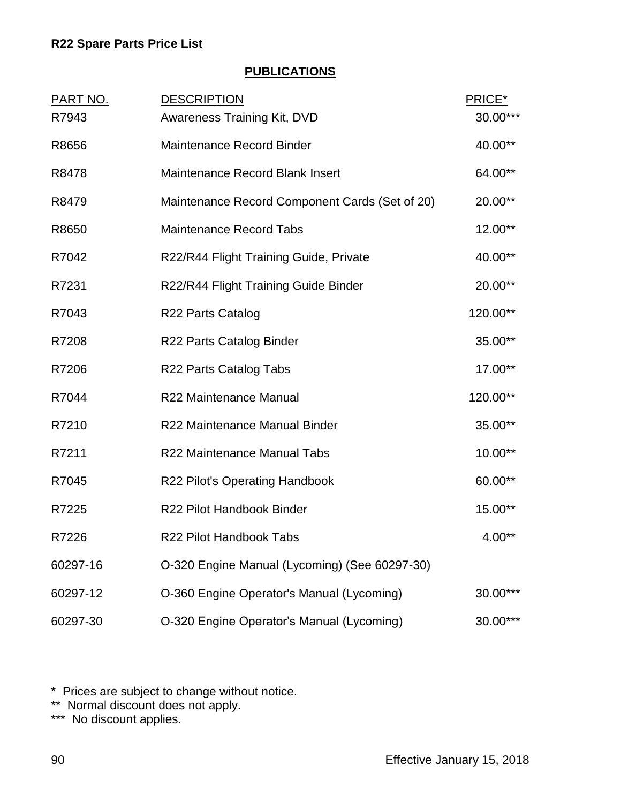## **PUBLICATIONS**

| <b>PART NO.</b> | <b>DESCRIPTION</b>                             | PRICE*   |
|-----------------|------------------------------------------------|----------|
| R7943           | <b>Awareness Training Kit, DVD</b>             | 30.00*** |
| R8656           | Maintenance Record Binder                      | 40.00**  |
| R8478           | <b>Maintenance Record Blank Insert</b>         | 64.00**  |
| R8479           | Maintenance Record Component Cards (Set of 20) | 20.00**  |
| R8650           | <b>Maintenance Record Tabs</b>                 | 12.00**  |
| R7042           | R22/R44 Flight Training Guide, Private         | 40.00**  |
| R7231           | R22/R44 Flight Training Guide Binder           | 20.00**  |
| R7043           | <b>R22 Parts Catalog</b>                       | 120.00** |
| R7208           | R22 Parts Catalog Binder                       | 35.00**  |
| R7206           | R22 Parts Catalog Tabs                         | 17.00**  |
| R7044           | R22 Maintenance Manual                         | 120.00** |
| R7210           | R22 Maintenance Manual Binder                  | 35.00**  |
| R7211           | R22 Maintenance Manual Tabs                    | 10.00**  |
| R7045           | R22 Pilot's Operating Handbook                 | 60.00**  |
| R7225           | R22 Pilot Handbook Binder                      | 15.00**  |
| R7226           | R22 Pilot Handbook Tabs                        | $4.00**$ |
| 60297-16        | O-320 Engine Manual (Lycoming) (See 60297-30)  |          |
| 60297-12        | O-360 Engine Operator's Manual (Lycoming)      | 30.00*** |
| 60297-30        | O-320 Engine Operator's Manual (Lycoming)      | 30.00*** |

\* Prices are subject to change without notice.

\*\* Normal discount does not apply.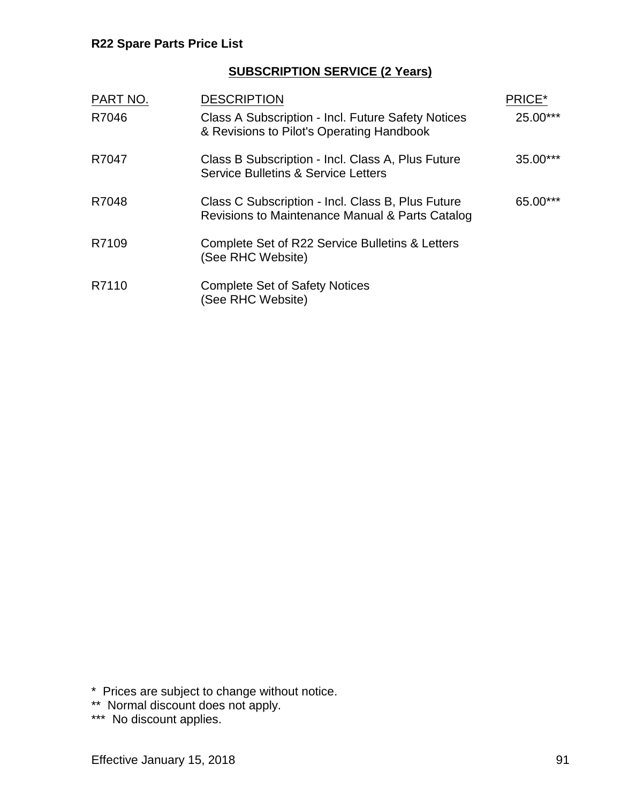## **SUBSCRIPTION SERVICE (2 Years)**

| PART NO. | <b>DESCRIPTION</b>                                                                                   | PRICE*   |
|----------|------------------------------------------------------------------------------------------------------|----------|
| R7046    | Class A Subscription - Incl. Future Safety Notices<br>& Revisions to Pilot's Operating Handbook      | 25.00*** |
| R7047    | Class B Subscription - Incl. Class A, Plus Future<br><b>Service Bulletins &amp; Service Letters</b>  | 35.00*** |
| R7048    | Class C Subscription - Incl. Class B, Plus Future<br>Revisions to Maintenance Manual & Parts Catalog | 65.00*** |
| R7109    | Complete Set of R22 Service Bulletins & Letters<br>(See RHC Website)                                 |          |
| R7110    | <b>Complete Set of Safety Notices</b><br>(See RHC Website)                                           |          |

\* Prices are subject to change without notice.

\*\* Normal discount does not apply.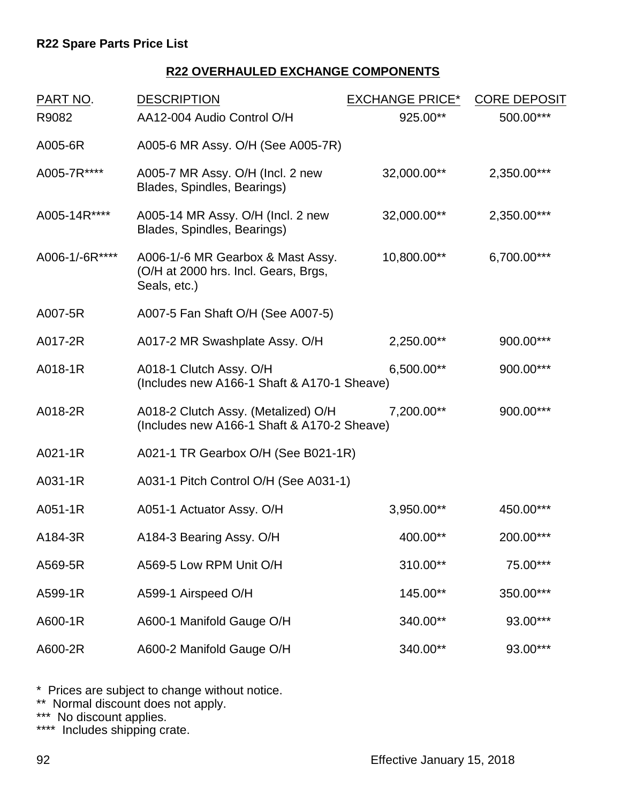## **R22 OVERHAULED EXCHANGE COMPONENTS**

| PART NO.       | <b>DESCRIPTION</b>                                                                        | <b>EXCHANGE PRICE*</b> | <b>CORE DEPOSIT</b> |
|----------------|-------------------------------------------------------------------------------------------|------------------------|---------------------|
| R9082          | AA12-004 Audio Control O/H                                                                | 925.00**               | 500.00***           |
| A005-6R        | A005-6 MR Assy. O/H (See A005-7R)                                                         |                        |                     |
| A005-7R****    | A005-7 MR Assy. O/H (Incl. 2 new<br>Blades, Spindles, Bearings)                           | 32,000.00**            | 2,350.00***         |
| A005-14R****   | A005-14 MR Assy. O/H (Incl. 2 new<br>Blades, Spindles, Bearings)                          | 32,000.00**            | 2,350.00***         |
| A006-1/-6R**** | A006-1/-6 MR Gearbox & Mast Assy.<br>(O/H at 2000 hrs. Incl. Gears, Brgs,<br>Seals, etc.) | 10,800.00**            | 6,700.00***         |
| A007-5R        | A007-5 Fan Shaft O/H (See A007-5)                                                         |                        |                     |
| A017-2R        | A017-2 MR Swashplate Assy. O/H                                                            | 2,250.00**             | 900.00***           |
| A018-1R        | A018-1 Clutch Assy. O/H<br>(Includes new A166-1 Shaft & A170-1 Sheave)                    | 6,500.00**             | 900.00***           |
| A018-2R        | A018-2 Clutch Assy. (Metalized) O/H<br>(Includes new A166-1 Shaft & A170-2 Sheave)        | 7,200.00**             | 900.00***           |
| A021-1R        | A021-1 TR Gearbox O/H (See B021-1R)                                                       |                        |                     |
| A031-1R        | A031-1 Pitch Control O/H (See A031-1)                                                     |                        |                     |
| A051-1R        | A051-1 Actuator Assy. O/H                                                                 | 3,950.00**             | 450.00***           |
| A184-3R        | A184-3 Bearing Assy. O/H                                                                  | 400.00**               | 200.00***           |
| A569-5R        | A569-5 Low RPM Unit O/H                                                                   | 310.00**               | 75.00***            |
| A599-1R        | A599-1 Airspeed O/H                                                                       | 145.00**               | 350.00***           |
| A600-1R        | A600-1 Manifold Gauge O/H                                                                 | 340.00**               | 93.00***            |
| A600-2R        | A600-2 Manifold Gauge O/H                                                                 | 340.00**               | 93.00***            |

\* Prices are subject to change without notice.

\*\* Normal discount does not apply.

\*\*\* No discount applies.

\*\*\*\* Includes shipping crate.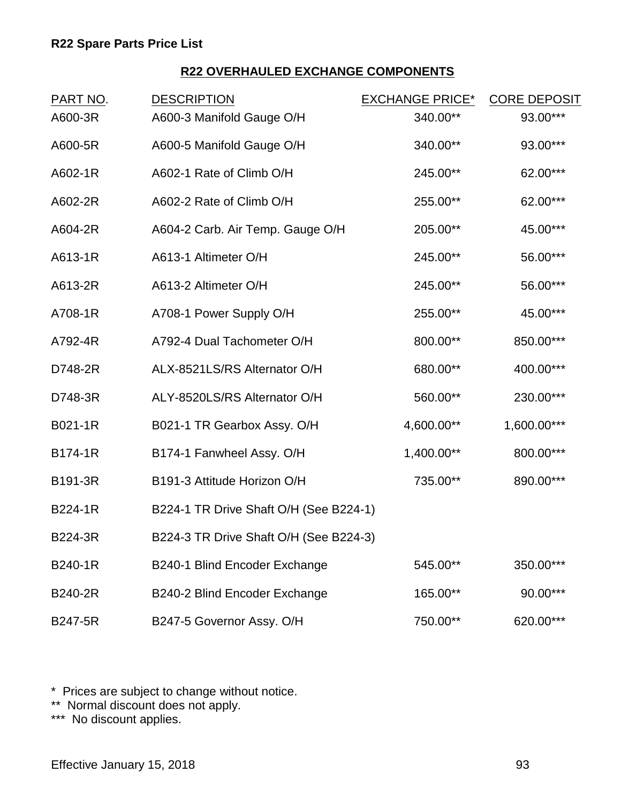# **R22 OVERHAULED EXCHANGE COMPONENTS**

| PART NO.       | <b>DESCRIPTION</b>                     | <b>EXCHANGE PRICE*</b> | <b>CORE DEPOSIT</b> |
|----------------|----------------------------------------|------------------------|---------------------|
| A600-3R        | A600-3 Manifold Gauge O/H              | 340.00**               | 93.00***            |
| A600-5R        | A600-5 Manifold Gauge O/H              | 340.00**               | 93.00***            |
| A602-1R        | A602-1 Rate of Climb O/H               | 245.00**               | 62.00***            |
| A602-2R        | A602-2 Rate of Climb O/H               | 255.00**               | 62.00***            |
| A604-2R        | A604-2 Carb. Air Temp. Gauge O/H       | 205.00**               | 45.00***            |
| A613-1R        | A613-1 Altimeter O/H                   | 245.00**               | 56.00***            |
| A613-2R        | A613-2 Altimeter O/H                   | 245.00**               | 56.00***            |
| A708-1R        | A708-1 Power Supply O/H                | 255.00**               | 45.00***            |
| A792-4R        | A792-4 Dual Tachometer O/H             | 800.00**               | 850.00***           |
| D748-2R        | ALX-8521LS/RS Alternator O/H           | 680.00**               | 400.00***           |
| D748-3R        | ALY-8520LS/RS Alternator O/H           | 560.00**               | 230.00***           |
| B021-1R        | B021-1 TR Gearbox Assy. O/H            | 4,600.00**             | 1,600.00***         |
| B174-1R        | B174-1 Fanwheel Assy. O/H              | 1,400.00**             | 800.00***           |
| B191-3R        | B191-3 Attitude Horizon O/H            | 735.00**               | 890.00***           |
| B224-1R        | B224-1 TR Drive Shaft O/H (See B224-1) |                        |                     |
| <b>B224-3R</b> | B224-3 TR Drive Shaft O/H (See B224-3) |                        |                     |
| B240-1R        | B240-1 Blind Encoder Exchange          | 545.00**               | 350.00***           |
| <b>B240-2R</b> | B240-2 Blind Encoder Exchange          | 165.00**               | 90.00***            |
| <b>B247-5R</b> | B247-5 Governor Assy. O/H              | 750.00**               | 620.00***           |

\* Prices are subject to change without notice.

\*\* Normal discount does not apply.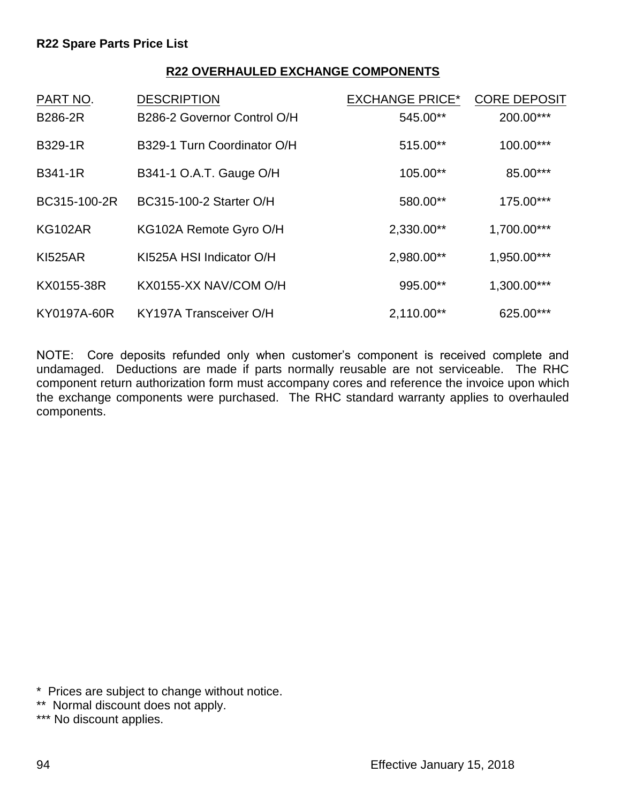#### **R22 OVERHAULED EXCHANGE COMPONENTS**

| PART NO.       | <b>DESCRIPTION</b>          | <b>EXCHANGE PRICE*</b> | <b>CORE DEPOSIT</b> |
|----------------|-----------------------------|------------------------|---------------------|
| <b>B286-2R</b> | B286-2 Governor Control O/H | 545.00**               | 200.00***           |
| <b>B329-1R</b> | B329-1 Turn Coordinator O/H | 515.00**               | 100.00***           |
| B341-1R        | B341-1 O.A.T. Gauge O/H     | 105.00**               | 85.00***            |
| BC315-100-2R   | BC315-100-2 Starter O/H     | 580.00**               | 175.00***           |
| <b>KG102AR</b> | KG102A Remote Gyro O/H      | 2,330.00**             | 1,700.00***         |
| <b>KI525AR</b> | KI525A HSI Indicator O/H    | 2,980.00**             | 1,950.00***         |
| KX0155-38R     | KX0155-XX NAV/COM O/H       | 995.00**               | 1,300.00***         |
| KY0197A-60R    | KY197A Transceiver O/H      | $2,110.00**$           | 625.00***           |

NOTE: Core deposits refunded only when customer's component is received complete and undamaged. Deductions are made if parts normally reusable are not serviceable. The RHC component return authorization form must accompany cores and reference the invoice upon which the exchange components were purchased. The RHC standard warranty applies to overhauled components.

<sup>\*</sup> Prices are subject to change without notice.

<sup>\*\*</sup> Normal discount does not apply.

<sup>\*\*\*</sup> No discount applies.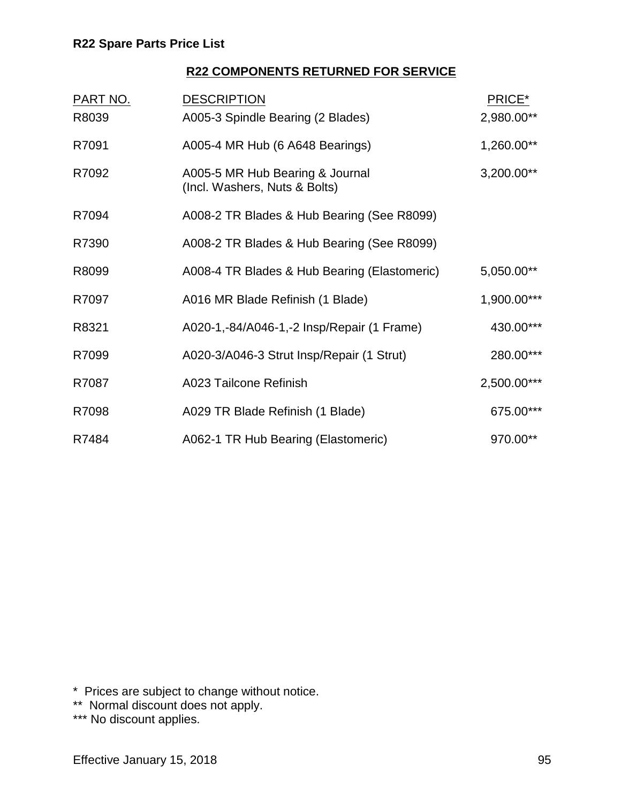## **R22 COMPONENTS RETURNED FOR SERVICE**

| <b>PART NO.</b> | <b>DESCRIPTION</b>                                               | PRICE*      |
|-----------------|------------------------------------------------------------------|-------------|
| R8039           | A005-3 Spindle Bearing (2 Blades)                                | 2,980.00**  |
| R7091           | A005-4 MR Hub (6 A648 Bearings)                                  | 1,260.00**  |
| R7092           | A005-5 MR Hub Bearing & Journal<br>(Incl. Washers, Nuts & Bolts) | 3,200.00**  |
| R7094           | A008-2 TR Blades & Hub Bearing (See R8099)                       |             |
| R7390           | A008-2 TR Blades & Hub Bearing (See R8099)                       |             |
| R8099           | A008-4 TR Blades & Hub Bearing (Elastomeric)                     | 5,050.00**  |
| R7097           | A016 MR Blade Refinish (1 Blade)                                 | 1,900.00*** |
| R8321           | A020-1,-84/A046-1,-2 Insp/Repair (1 Frame)                       | 430.00***   |
| R7099           | A020-3/A046-3 Strut Insp/Repair (1 Strut)                        | 280.00***   |
| R7087           | A023 Tailcone Refinish                                           | 2,500.00*** |
| R7098           | A029 TR Blade Refinish (1 Blade)                                 | 675.00***   |
| R7484           | A062-1 TR Hub Bearing (Elastomeric)                              | 970.00**    |

\* Prices are subject to change without notice.

- \*\* Normal discount does not apply.
- \*\*\* No discount applies.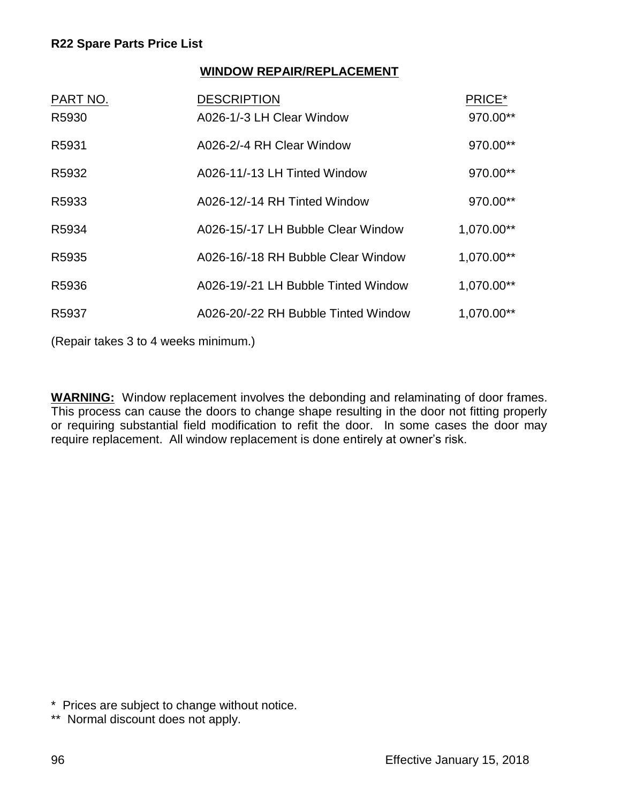### **WINDOW REPAIR/REPLACEMENT**

| PART NO.<br>R5930 | <b>DESCRIPTION</b><br>A026-1/-3 LH Clear Window | PRICE*<br>970.00** |
|-------------------|-------------------------------------------------|--------------------|
| R5931             | A026-2/-4 RH Clear Window                       | 970.00**           |
| R5932             | A026-11/-13 LH Tinted Window                    | 970.00**           |
| R5933             | A026-12/-14 RH Tinted Window                    | 970.00**           |
| R5934             | A026-15/-17 LH Bubble Clear Window              | 1,070.00**         |
| R5935             | A026-16/-18 RH Bubble Clear Window              | 1,070.00**         |
| R5936             | A026-19/-21 LH Bubble Tinted Window             | 1,070.00**         |
| R <sub>5937</sub> | A026-20/-22 RH Bubble Tinted Window             | 1,070.00**         |
|                   |                                                 |                    |

(Repair takes 3 to 4 weeks minimum.)

**WARNING:** Window replacement involves the debonding and relaminating of door frames. This process can cause the doors to change shape resulting in the door not fitting properly or requiring substantial field modification to refit the door. In some cases the door may require replacement. All window replacement is done entirely at owner's risk.

<sup>\*</sup> Prices are subject to change without notice.

<sup>\*\*</sup> Normal discount does not apply.